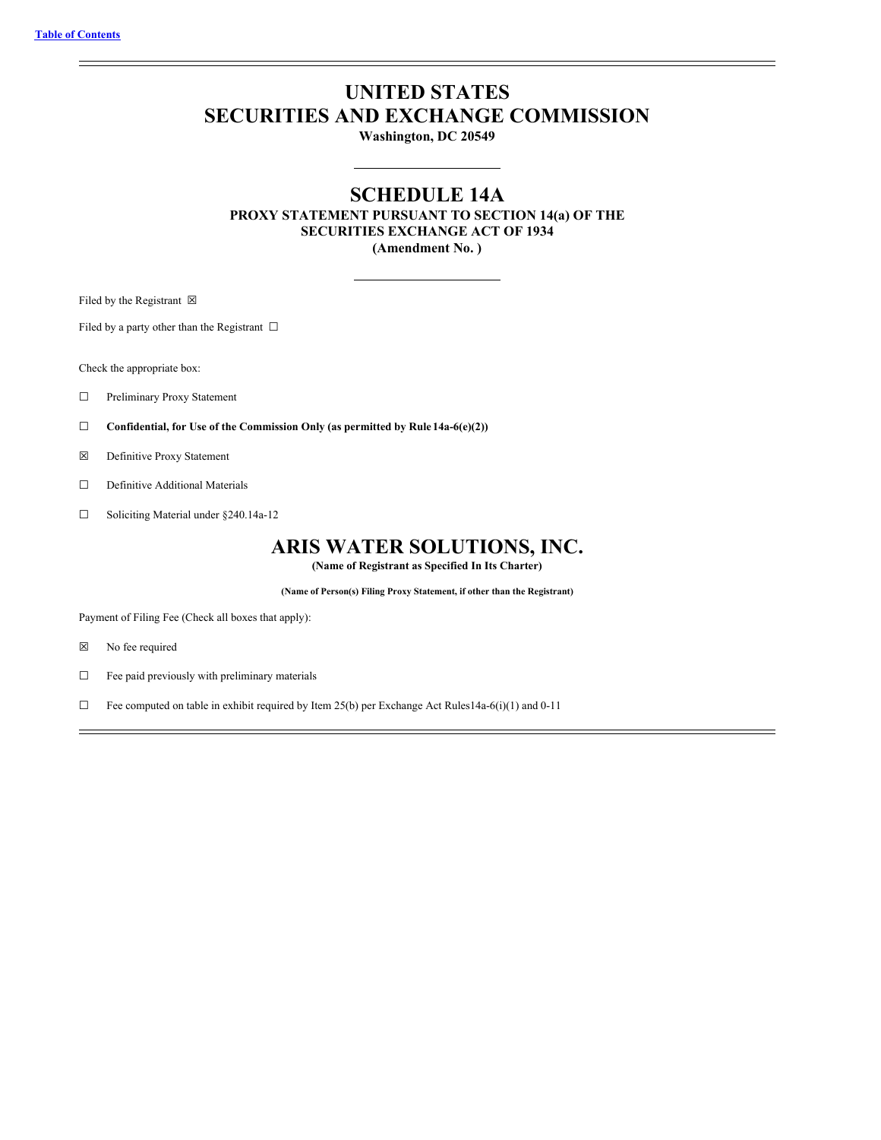# **UNITED STATES SECURITIES AND EXCHANGE COMMISSION**

**Washington, DC 20549**

# **SCHEDULE 14A**

**PROXY STATEMENT PURSUANT TO SECTION 14(a) OF THE SECURITIES EXCHANGE ACT OF 1934 (Amendment No. )**

Filed by the Registrant  $\boxtimes$ 

Filed by a party other than the Registrant  $\Box$ 

Check the appropriate box:

- ☐ Preliminary Proxy Statement
- ☐ **Confidential, for Use of the Commission Only (as permitted by Rule 14a-6(e)(2))**
- ☒ Definitive Proxy Statement
- □ Definitive Additional Materials
- ☐ Soliciting Material under §240.14a-12

# **ARIS WATER SOLUTIONS, INC.**

**(Name of Registrant as Specified In Its Charter)**

**(Name of Person(s) Filing Proxy Statement, if other than the Registrant)**

Payment of Filing Fee (Check all boxes that apply):

- ☒ No fee required
- $\Box$  Fee paid previously with preliminary materials
- ☐ Fee computed on table in exhibit required by Item 25(b) per Exchange Act Rules14a-6(i)(1) and 0-11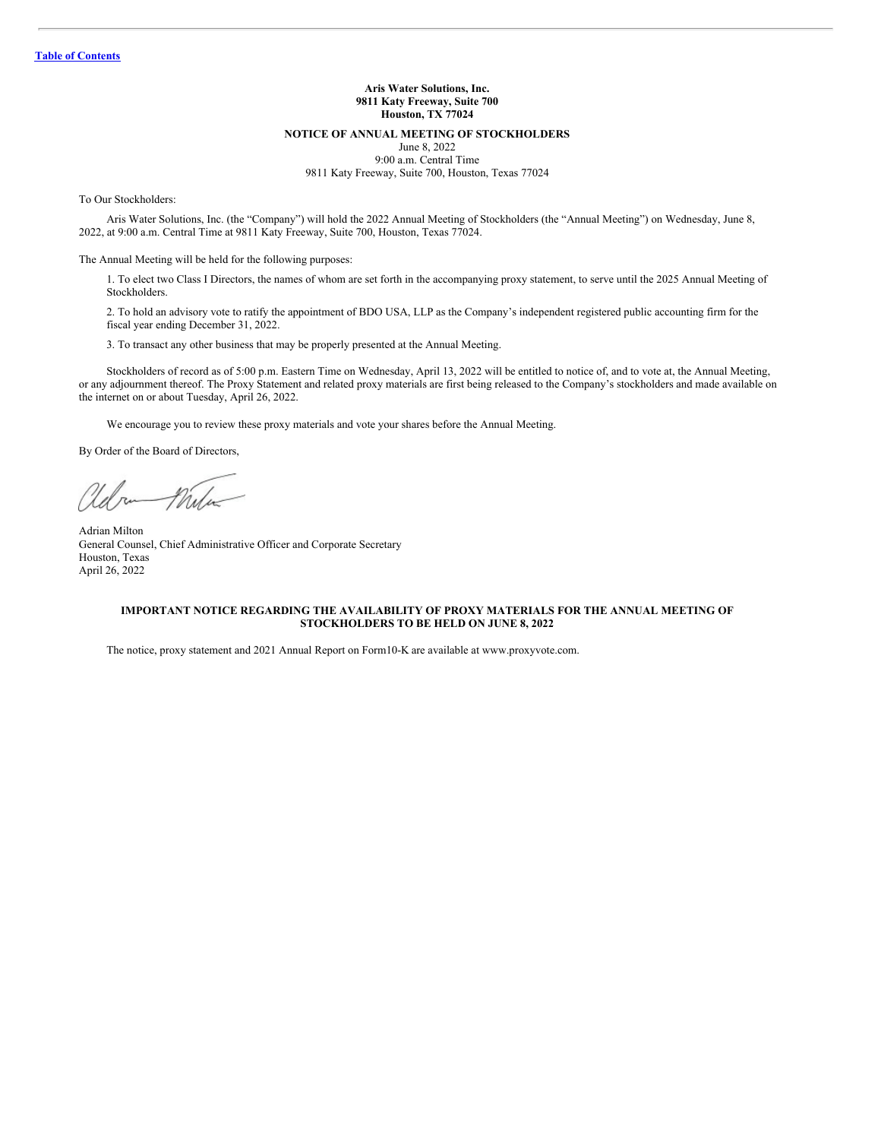# **Aris Water Solutions, Inc. 9811 Katy Freeway, Suite 700 Houston, TX 77024**

#### **NOTICE OF ANNUAL MEETING OF STOCKHOLDERS**

June 8, 2022 9:00 a.m. Central Time 9811 Katy Freeway, Suite 700, Houston, Texas 77024

To Our Stockholders:

Aris Water Solutions, Inc. (the "Company") will hold the 2022 Annual Meeting of Stockholders (the "Annual Meeting") on Wednesday, June 8, 2022, at 9:00 a.m. Central Time at 9811 Katy Freeway, Suite 700, Houston, Texas 77024.

The Annual Meeting will be held for the following purposes:

1. To elect two Class I Directors, the names of whom are set forth in the accompanying proxy statement, to serve until the 2025 Annual Meeting of Stockholders.

2. To hold an advisory vote to ratify the appointment of BDO USA, LLP as the Company's independent registered public accounting firm for the fiscal year ending December 31, 2022.

3. To transact any other business that may be properly presented at the Annual Meeting.

Stockholders of record as of 5:00 p.m. Eastern Time on Wednesday, April 13, 2022 will be entitled to notice of, and to vote at, the Annual Meeting, or any adjournment thereof. The Proxy Statement and related proxy materials are first being released to the Company's stockholders and made available on the internet on or about Tuesday, April 26, 2022.

We encourage you to review these proxy materials and vote your shares before the Annual Meeting.

By Order of the Board of Directors,

Mulu  $n_{\rm a}$ 

Adrian Milton General Counsel, Chief Administrative Officer and Corporate Secretary Houston, Texas April 26, 2022

## **IMPORTANT NOTICE REGARDING THE AVAILABILITY OF PROXY MATERIALS FOR THE ANNUAL MEETING OF STOCKHOLDERS TO BE HELD ON JUNE 8, 2022**

The notice, proxy statement and 2021 Annual Report on Form10-K are available at www.proxyvote.com.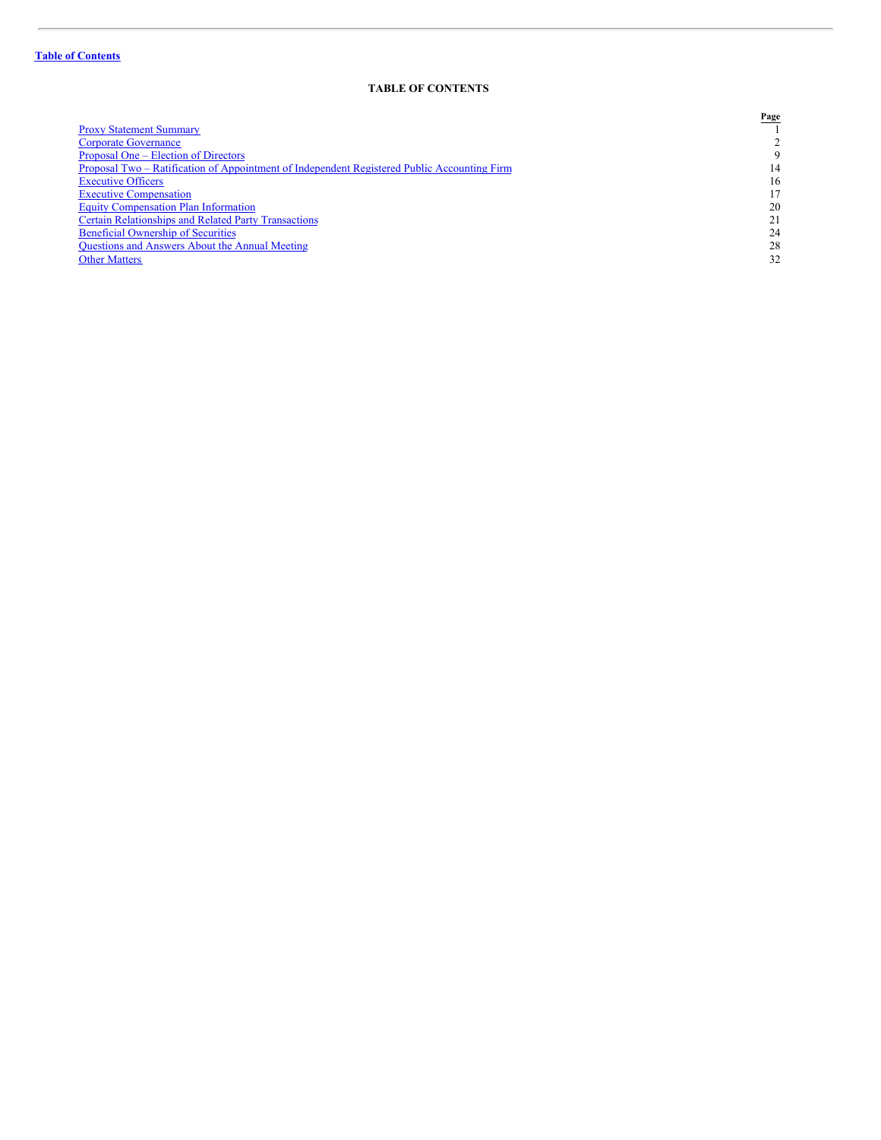# <span id="page-2-0"></span>**TABLE OF CONTENTS**

| Page |
|------|
|      |
|      |
| 9    |
| 14   |
| 16   |
|      |
| 20   |
| 21   |
| 24   |
| 28   |
| 32   |
|      |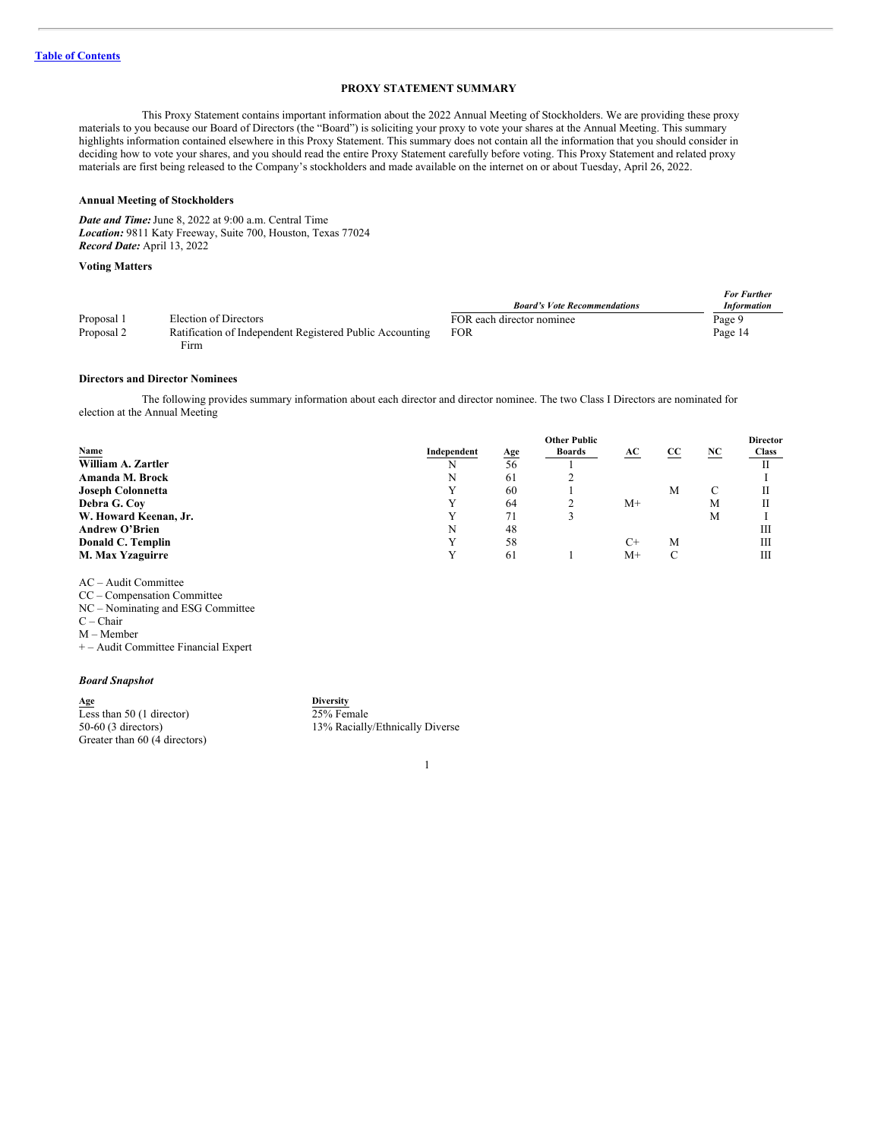# <span id="page-3-0"></span>**PROXY STATEMENT SUMMARY**

This Proxy Statement contains important information about the 2022 Annual Meeting of Stockholders. We are providing these proxy materials to you because our Board of Directors (the "Board") is soliciting your proxy to vote your shares at the Annual Meeting. This summary highlights information contained elsewhere in this Proxy Statement. This summary does not contain all the information that you should consider in deciding how to vote your shares, and you should read the entire Proxy Statement carefully before voting. This Proxy Statement and related proxy materials are first being released to the Company's stockholders and made available on the internet on or about Tuesday, April 26, 2022.

#### **Annual Meeting of Stockholders**

*Date and Time:*June 8, 2022 at 9:00 a.m. Central Time *Location:* 9811 Katy Freeway, Suite 700, Houston, Texas 77024 *Record Date:* April 13, 2022

#### **Voting Matters**

|            |                                                          | <b>Board's Vote Recommendations</b> | <b>For Further</b><br><b>Information</b> |
|------------|----------------------------------------------------------|-------------------------------------|------------------------------------------|
| Proposal 1 | Election of Directors                                    | FOR each director nominee           | Page 9                                   |
| Proposal 2 | Ratification of Independent Registered Public Accounting | <b>FOR</b>                          | Page 14                                  |
|            | Firm                                                     |                                     |                                          |

#### **Directors and Director Nominees**

The following provides summary information about each director and director nominee. The two Class I Directors are nominated for election at the Annual Meeting

|                          | <b>Other Public</b> |            |        |      | <b>Director</b> |    |       |
|--------------------------|---------------------|------------|--------|------|-----------------|----|-------|
| Name                     | Independent         | <u>Age</u> | Boards | AC   | CC              | NC | Class |
| William A. Zartler       | N                   | 56         |        |      |                 |    |       |
| Amanda M. Brock          | N                   | 61         |        |      |                 |    |       |
| <b>Joseph Colonnetta</b> | v                   | 60         |        |      | M               | C  |       |
| Debra G. Coy             |                     | 64         |        | $M+$ |                 | М  |       |
| W. Howard Keenan, Jr.    |                     | 71         |        |      |                 | М  |       |
| <b>Andrew O'Brien</b>    | N                   | 48         |        |      |                 |    | Ш     |
| Donald C. Templin        |                     | 58         |        | $C+$ | М               |    | Ш     |
| M. Max Yzaguirre         |                     | 61         |        | M+   |                 |    | Ш     |

AC – Audit Committee

CC – Compensation Committee

NC – Nominating and ESG Committee

C – Chair

M – Member

+ – Audit Committee Financial Expert

# *Board Snapshot*

**Age Diversity** Less than 50 (1 director) 50-60 (3 directors) Greater than 60 (4 directors) 25% Female 13% Racially/Ethnically Diverse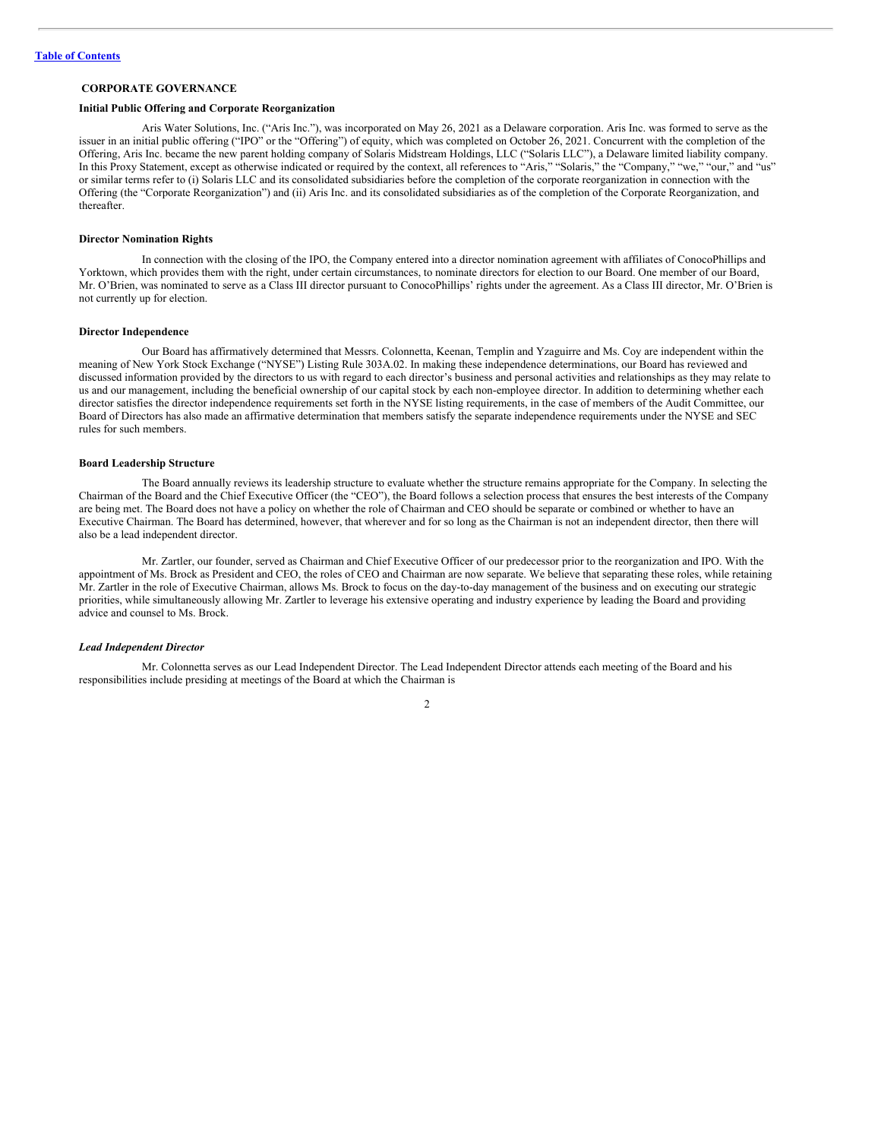# <span id="page-4-0"></span>**CORPORATE GOVERNANCE**

#### **Initial Public Offering and Corporate Reorganization**

Aris Water Solutions, Inc. ("Aris Inc."), was incorporated on May 26, 2021 as a Delaware corporation. Aris Inc. was formed to serve as the issuer in an initial public offering ("IPO" or the "Offering") of equity, which was completed on October 26, 2021. Concurrent with the completion of the Offering, Aris Inc. became the new parent holding company of Solaris Midstream Holdings, LLC ("Solaris LLC"), a Delaware limited liability company. In this Proxy Statement, except as otherwise indicated or required by the context, all references to "Aris," "Solaris," the "Company," "we," "our," and "us" or similar terms refer to (i) Solaris LLC and its consolidated subsidiaries before the completion of the corporate reorganization in connection with the Offering (the "Corporate Reorganization") and (ii) Aris Inc. and its consolidated subsidiaries as of the completion of the Corporate Reorganization, and thereafter.

#### **Director Nomination Rights**

In connection with the closing of the IPO, the Company entered into a director nomination agreement with affiliates of ConocoPhillips and Yorktown, which provides them with the right, under certain circumstances, to nominate directors for election to our Board. One member of our Board, Mr. O'Brien, was nominated to serve as a Class III director pursuant to ConocoPhillips' rights under the agreement. As a Class III director, Mr. O'Brien is not currently up for election.

#### **Director Independence**

Our Board has affirmatively determined that Messrs. Colonnetta, Keenan, Templin and Yzaguirre and Ms. Coy are independent within the meaning of New York Stock Exchange ("NYSE") Listing Rule 303A.02. In making these independence determinations, our Board has reviewed and discussed information provided by the directors to us with regard to each director's business and personal activities and relationships as they may relate to us and our management, including the beneficial ownership of our capital stock by each non-employee director. In addition to determining whether each director satisfies the director independence requirements set forth in the NYSE listing requirements, in the case of members of the Audit Committee, our Board of Directors has also made an affirmative determination that members satisfy the separate independence requirements under the NYSE and SEC rules for such members.

#### **Board Leadership Structure**

The Board annually reviews its leadership structure to evaluate whether the structure remains appropriate for the Company. In selecting the Chairman of the Board and the Chief Executive Officer (the "CEO"), the Board follows a selection process that ensures the best interests of the Company are being met. The Board does not have a policy on whether the role of Chairman and CEO should be separate or combined or whether to have an Executive Chairman. The Board has determined, however, that wherever and for so long as the Chairman is not an independent director, then there will also be a lead independent director.

Mr. Zartler, our founder, served as Chairman and Chief Executive Officer of our predecessor prior to the reorganization and IPO. With the appointment of Ms. Brock as President and CEO, the roles of CEO and Chairman are now separate. We believe that separating these roles, while retaining Mr. Zartler in the role of Executive Chairman, allows Ms. Brock to focus on the day-to-day management of the business and on executing our strategic priorities, while simultaneously allowing Mr. Zartler to leverage his extensive operating and industry experience by leading the Board and providing advice and counsel to Ms. Brock.

#### *Lead Independent Director*

Mr. Colonnetta serves as our Lead Independent Director. The Lead Independent Director attends each meeting of the Board and his responsibilities include presiding at meetings of the Board at which the Chairman is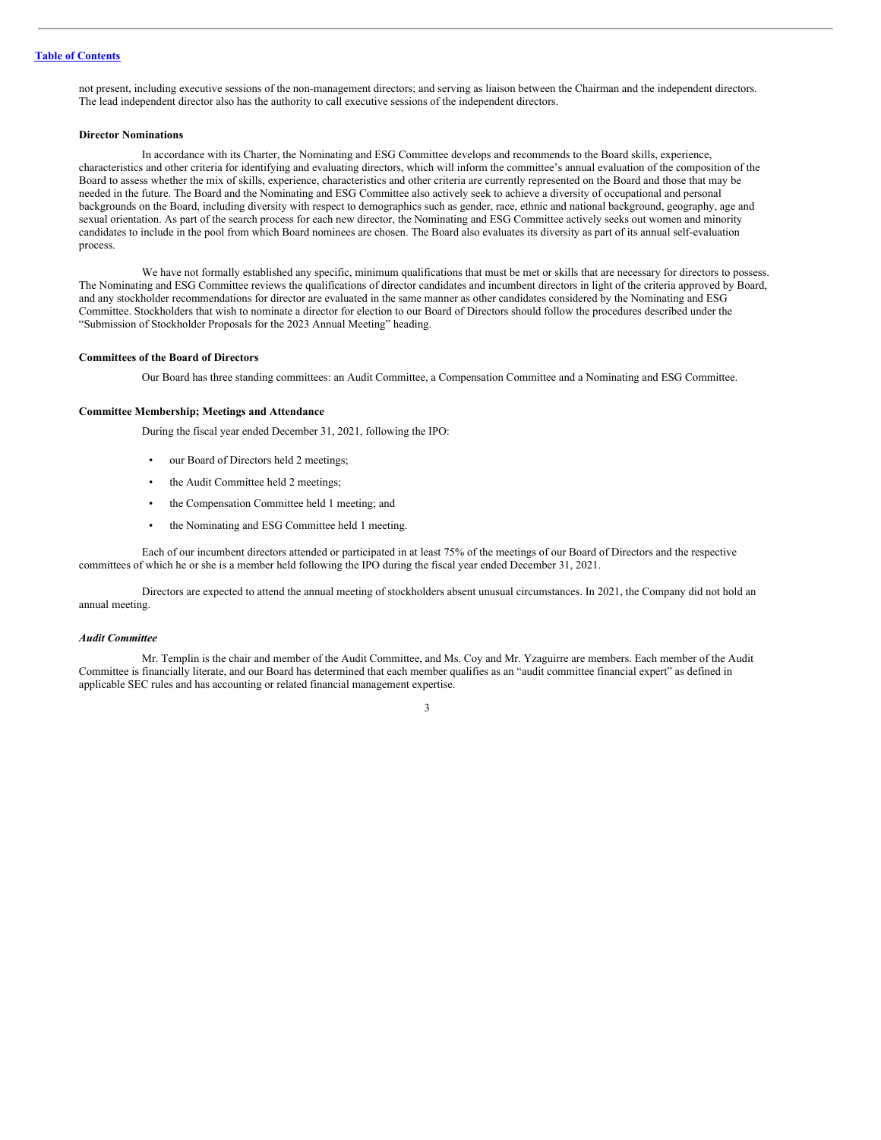not present, including executive sessions of the non-management directors; and serving as liaison between the Chairman and the independent directors. The lead independent director also has the authority to call executive sessions of the independent directors.

# **Director Nominations**

In accordance with its Charter, the Nominating and ESG Committee develops and recommends to the Board skills, experience, characteristics and other criteria for identifying and evaluating directors, which will inform the committee's annual evaluation of the composition of the Board to assess whether the mix of skills, experience, characteristics and other criteria are currently represented on the Board and those that may be needed in the future. The Board and the Nominating and ESG Committee also actively seek to achieve a diversity of occupational and personal backgrounds on the Board, including diversity with respect to demographics such as gender, race, ethnic and national background, geography, age and sexual orientation. As part of the search process for each new director, the Nominating and ESG Committee actively seeks out women and minority candidates to include in the pool from which Board nominees are chosen. The Board also evaluates its diversity as part of its annual self-evaluation process.

We have not formally established any specific, minimum qualifications that must be met or skills that are necessary for directors to possess. The Nominating and ESG Committee reviews the qualifications of director candidates and incumbent directors in light of the criteria approved by Board, and any stockholder recommendations for director are evaluated in the same manner as other candidates considered by the Nominating and ESG Committee. Stockholders that wish to nominate a director for election to our Board of Directors should follow the procedures described under the "Submission of Stockholder Proposals for the 2023 Annual Meeting" heading.

### **Committees of the Board of Directors**

Our Board has three standing committees: an Audit Committee, a Compensation Committee and a Nominating and ESG Committee.

#### **Committee Membership; Meetings and Attendance**

During the fiscal year ended December 31, 2021, following the IPO:

- our Board of Directors held 2 meetings;
- the Audit Committee held 2 meetings;
- the Compensation Committee held 1 meeting; and
- the Nominating and ESG Committee held 1 meeting.

Each of our incumbent directors attended or participated in at least 75% of the meetings of our Board of Directors and the respective committees of which he or she is a member held following the IPO during the fiscal year ended December 31, 2021.

Directors are expected to attend the annual meeting of stockholders absent unusual circumstances. In 2021, the Company did not hold an annual meeting.

#### *Audit Committee*

Mr. Templin is the chair and member of the Audit Committee, and Ms. Coy and Mr. Yzaguirre are members. Each member of the Audit Committee is financially literate, and our Board has determined that each member qualifies as an "audit committee financial expert" as defined in applicable SEC rules and has accounting or related financial management expertise.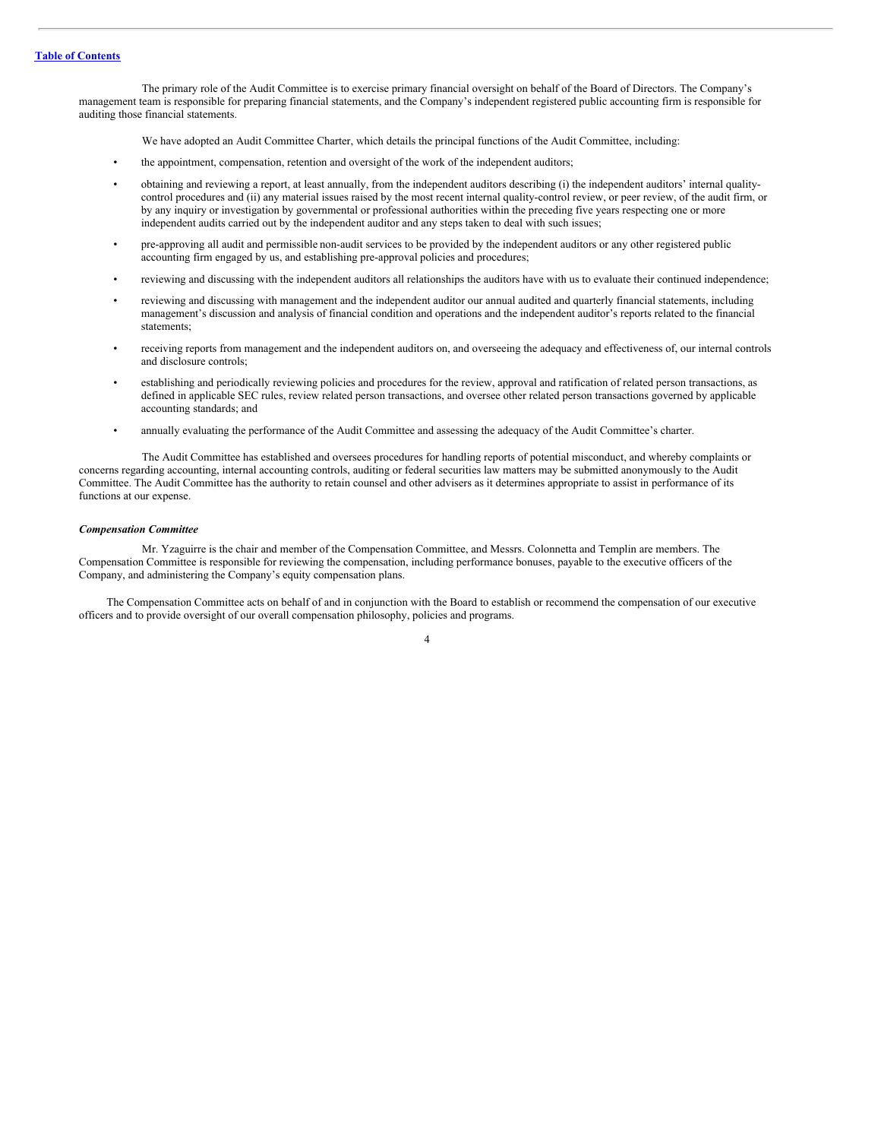The primary role of the Audit Committee is to exercise primary financial oversight on behalf of the Board of Directors. The Company's management team is responsible for preparing financial statements, and the Company's independent registered public accounting firm is responsible for auditing those financial statements.

We have adopted an Audit Committee Charter, which details the principal functions of the Audit Committee, including:

- the appointment, compensation, retention and oversight of the work of the independent auditors;
- obtaining and reviewing a report, at least annually, from the independent auditors describing (i) the independent auditors' internal qualitycontrol procedures and (ii) any material issues raised by the most recent internal quality-control review, or peer review, of the audit firm, or by any inquiry or investigation by governmental or professional authorities within the preceding five years respecting one or more independent audits carried out by the independent auditor and any steps taken to deal with such issues;
- pre-approving all audit and permissible non-audit services to be provided by the independent auditors or any other registered public accounting firm engaged by us, and establishing pre-approval policies and procedures;
- reviewing and discussing with the independent auditors all relationships the auditors have with us to evaluate their continued independence;
- reviewing and discussing with management and the independent auditor our annual audited and quarterly financial statements, including management's discussion and analysis of financial condition and operations and the independent auditor's reports related to the financial statements;
- receiving reports from management and the independent auditors on, and overseeing the adequacy and effectiveness of, our internal controls and disclosure controls;
- establishing and periodically reviewing policies and procedures for the review, approval and ratification of related person transactions, as defined in applicable SEC rules, review related person transactions, and oversee other related person transactions governed by applicable accounting standards; and
- annually evaluating the performance of the Audit Committee and assessing the adequacy of the Audit Committee's charter.

The Audit Committee has established and oversees procedures for handling reports of potential misconduct, and whereby complaints or concerns regarding accounting, internal accounting controls, auditing or federal securities law matters may be submitted anonymously to the Audit Committee. The Audit Committee has the authority to retain counsel and other advisers as it determines appropriate to assist in performance of its functions at our expense.

#### *Compensation Committee*

Mr. Yzaguirre is the chair and member of the Compensation Committee, and Messrs. Colonnetta and Templin are members. The Compensation Committee is responsible for reviewing the compensation, including performance bonuses, payable to the executive officers of the Company, and administering the Company's equity compensation plans.

The Compensation Committee acts on behalf of and in conjunction with the Board to establish or recommend the compensation of our executive officers and to provide oversight of our overall compensation philosophy, policies and programs.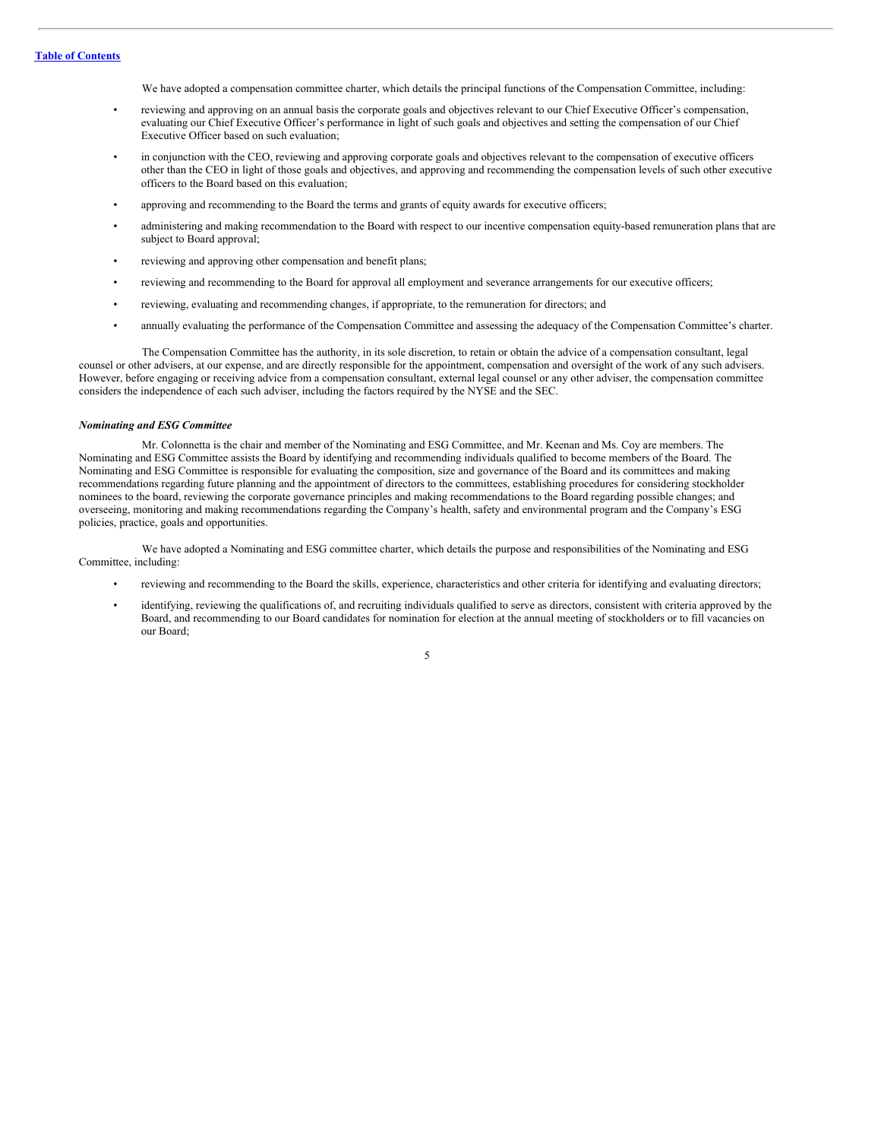We have adopted a compensation committee charter, which details the principal functions of the Compensation Committee, including:

- reviewing and approving on an annual basis the corporate goals and objectives relevant to our Chief Executive Officer's compensation, evaluating our Chief Executive Officer's performance in light of such goals and objectives and setting the compensation of our Chief Executive Officer based on such evaluation;
- in conjunction with the CEO, reviewing and approving corporate goals and objectives relevant to the compensation of executive officers other than the CEO in light of those goals and objectives, and approving and recommending the compensation levels of such other executive officers to the Board based on this evaluation;
- approving and recommending to the Board the terms and grants of equity awards for executive officers;
- administering and making recommendation to the Board with respect to our incentive compensation equity-based remuneration plans that are subject to Board approval;
- reviewing and approving other compensation and benefit plans;
- reviewing and recommending to the Board for approval all employment and severance arrangements for our executive officers;
- reviewing, evaluating and recommending changes, if appropriate, to the remuneration for directors; and
- annually evaluating the performance of the Compensation Committee and assessing the adequacy of the Compensation Committee's charter.

The Compensation Committee has the authority, in its sole discretion, to retain or obtain the advice of a compensation consultant, legal counsel or other advisers, at our expense, and are directly responsible for the appointment, compensation and oversight of the work of any such advisers. However, before engaging or receiving advice from a compensation consultant, external legal counsel or any other adviser, the compensation committee considers the independence of each such adviser, including the factors required by the NYSE and the SEC.

#### *Nominating and ESG Committee*

Mr. Colonnetta is the chair and member of the Nominating and ESG Committee, and Mr. Keenan and Ms. Coy are members. The Nominating and ESG Committee assists the Board by identifying and recommending individuals qualified to become members of the Board. The Nominating and ESG Committee is responsible for evaluating the composition, size and governance of the Board and its committees and making recommendations regarding future planning and the appointment of directors to the committees, establishing procedures for considering stockholder nominees to the board, reviewing the corporate governance principles and making recommendations to the Board regarding possible changes; and overseeing, monitoring and making recommendations regarding the Company's health, safety and environmental program and the Company's ESG policies, practice, goals and opportunities.

We have adopted a Nominating and ESG committee charter, which details the purpose and responsibilities of the Nominating and ESG Committee, including:

- reviewing and recommending to the Board the skills, experience, characteristics and other criteria for identifying and evaluating directors;
- identifying, reviewing the qualifications of, and recruiting individuals qualified to serve as directors, consistent with criteria approved by the Board, and recommending to our Board candidates for nomination for election at the annual meeting of stockholders or to fill vacancies on our Board;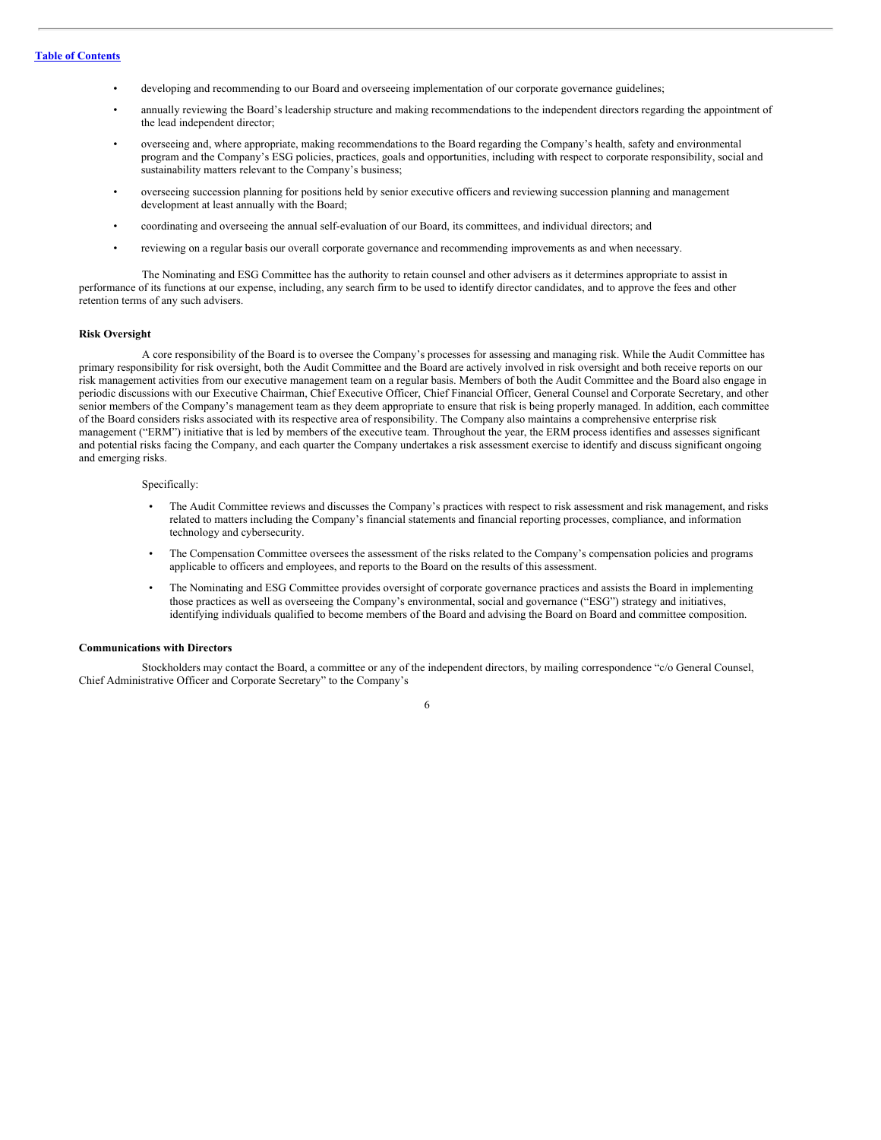- developing and recommending to our Board and overseeing implementation of our corporate governance guidelines;
- annually reviewing the Board's leadership structure and making recommendations to the independent directors regarding the appointment of the lead independent director;
- overseeing and, where appropriate, making recommendations to the Board regarding the Company's health, safety and environmental program and the Company's ESG policies, practices, goals and opportunities, including with respect to corporate responsibility, social and sustainability matters relevant to the Company's business;
- overseeing succession planning for positions held by senior executive officers and reviewing succession planning and management development at least annually with the Board;
- coordinating and overseeing the annual self-evaluation of our Board, its committees, and individual directors; and
- reviewing on a regular basis our overall corporate governance and recommending improvements as and when necessary.

The Nominating and ESG Committee has the authority to retain counsel and other advisers as it determines appropriate to assist in performance of its functions at our expense, including, any search firm to be used to identify director candidates, and to approve the fees and other retention terms of any such advisers.

#### **Risk Oversight**

A core responsibility of the Board is to oversee the Company's processes for assessing and managing risk. While the Audit Committee has primary responsibility for risk oversight, both the Audit Committee and the Board are actively involved in risk oversight and both receive reports on our risk management activities from our executive management team on a regular basis. Members of both the Audit Committee and the Board also engage in periodic discussions with our Executive Chairman, Chief Executive Officer, Chief Financial Officer, General Counsel and Corporate Secretary, and other senior members of the Company's management team as they deem appropriate to ensure that risk is being properly managed. In addition, each committee of the Board considers risks associated with its respective area of responsibility. The Company also maintains a comprehensive enterprise risk management ("ERM") initiative that is led by members of the executive team. Throughout the year, the ERM process identifies and assesses significant and potential risks facing the Company, and each quarter the Company undertakes a risk assessment exercise to identify and discuss significant ongoing and emerging risks.

#### Specifically:

- The Audit Committee reviews and discusses the Company's practices with respect to risk assessment and risk management, and risks related to matters including the Company's financial statements and financial reporting processes, compliance, and information technology and cybersecurity.
- The Compensation Committee oversees the assessment of the risks related to the Company's compensation policies and programs applicable to officers and employees, and reports to the Board on the results of this assessment.
- The Nominating and ESG Committee provides oversight of corporate governance practices and assists the Board in implementing those practices as well as overseeing the Company's environmental, social and governance ("ESG") strategy and initiatives, identifying individuals qualified to become members of the Board and advising the Board on Board and committee composition.

# **Communications with Directors**

Stockholders may contact the Board, a committee or any of the independent directors, by mailing correspondence "c/o General Counsel, Chief Administrative Officer and Corporate Secretary" to the Company's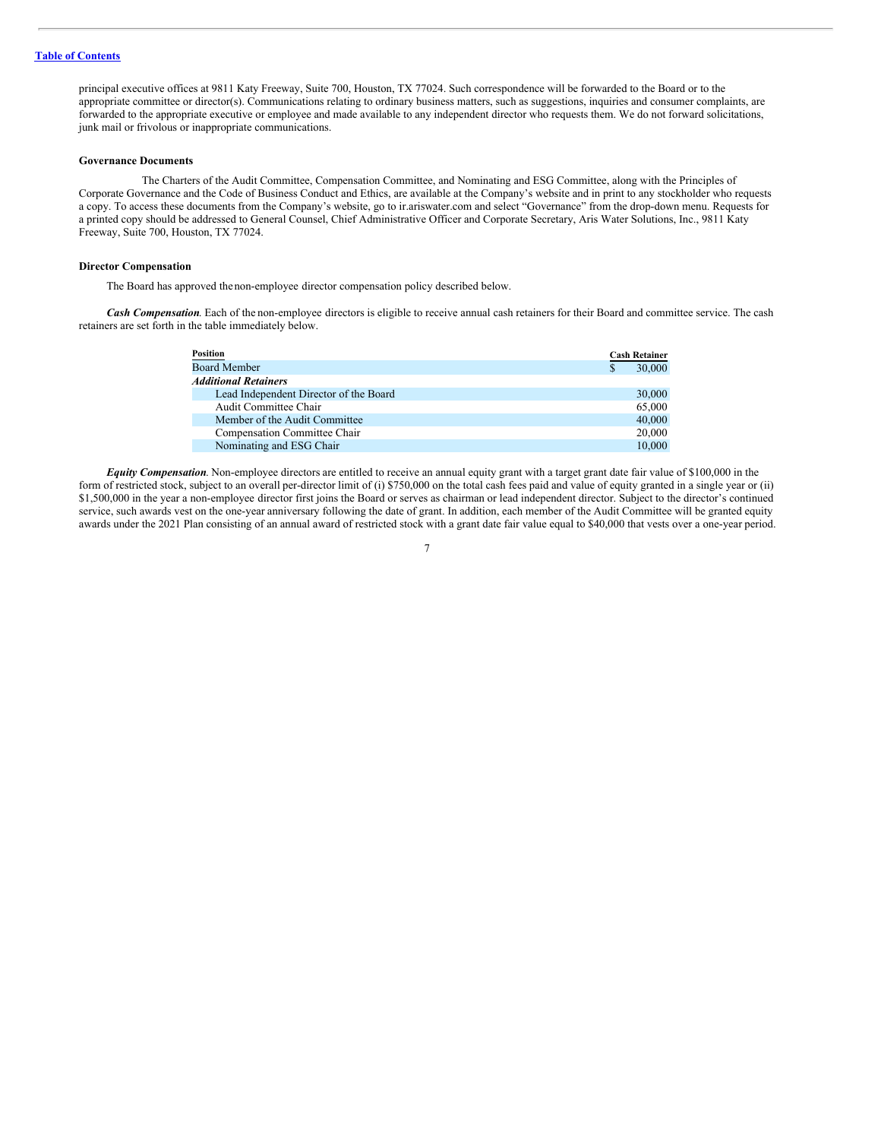principal executive offices at 9811 Katy Freeway, Suite 700, Houston, TX 77024. Such correspondence will be forwarded to the Board or to the appropriate committee or director(s). Communications relating to ordinary business matters, such as suggestions, inquiries and consumer complaints, are forwarded to the appropriate executive or employee and made available to any independent director who requests them. We do not forward solicitations, junk mail or frivolous or inappropriate communications.

#### **Governance Documents**

The Charters of the Audit Committee, Compensation Committee, and Nominating and ESG Committee, along with the Principles of Corporate Governance and the Code of Business Conduct and Ethics, are available at the Company's website and in print to any stockholder who requests a copy. To access these documents from the Company's website, go to ir.ariswater.com and select "Governance" from the drop-down menu. Requests for a printed copy should be addressed to General Counsel, Chief Administrative Officer and Corporate Secretary, Aris Water Solutions, Inc., 9811 Katy Freeway, Suite 700, Houston, TX 77024.

#### **Director Compensation**

The Board has approved thenon-employee director compensation policy described below.

*Cash Compensation*. Each of the non-employee directors is eligible to receive annual cash retainers for their Board and committee service. The cash retainers are set forth in the table immediately below.

| <b>Position</b>                        |   | <b>Cash Retainer</b> |
|----------------------------------------|---|----------------------|
| <b>Board Member</b>                    | S | 30,000               |
| <b>Additional Retainers</b>            |   |                      |
| Lead Independent Director of the Board |   | 30,000               |
| Audit Committee Chair                  |   | 65,000               |
| Member of the Audit Committee          |   | 40,000               |
| Compensation Committee Chair           |   | 20,000               |
| Nominating and ESG Chair               |   | 10.000               |

*Equity Compensation*. Non-employee directors are entitled to receive an annual equity grant with a target grant date fair value of \$100,000 in the form of restricted stock, subject to an overall per-director limit of (i) \$750,000 on the total cash fees paid and value of equity granted in a single year or (ii) \$1,500,000 in the year a non-employee director first joins the Board or serves as chairman or lead independent director. Subject to the director's continued service, such awards vest on the one-year anniversary following the date of grant. In addition, each member of the Audit Committee will be granted equity awards under the 2021 Plan consisting of an annual award of restricted stock with a grant date fair value equal to \$40,000 that vests over a one-year period.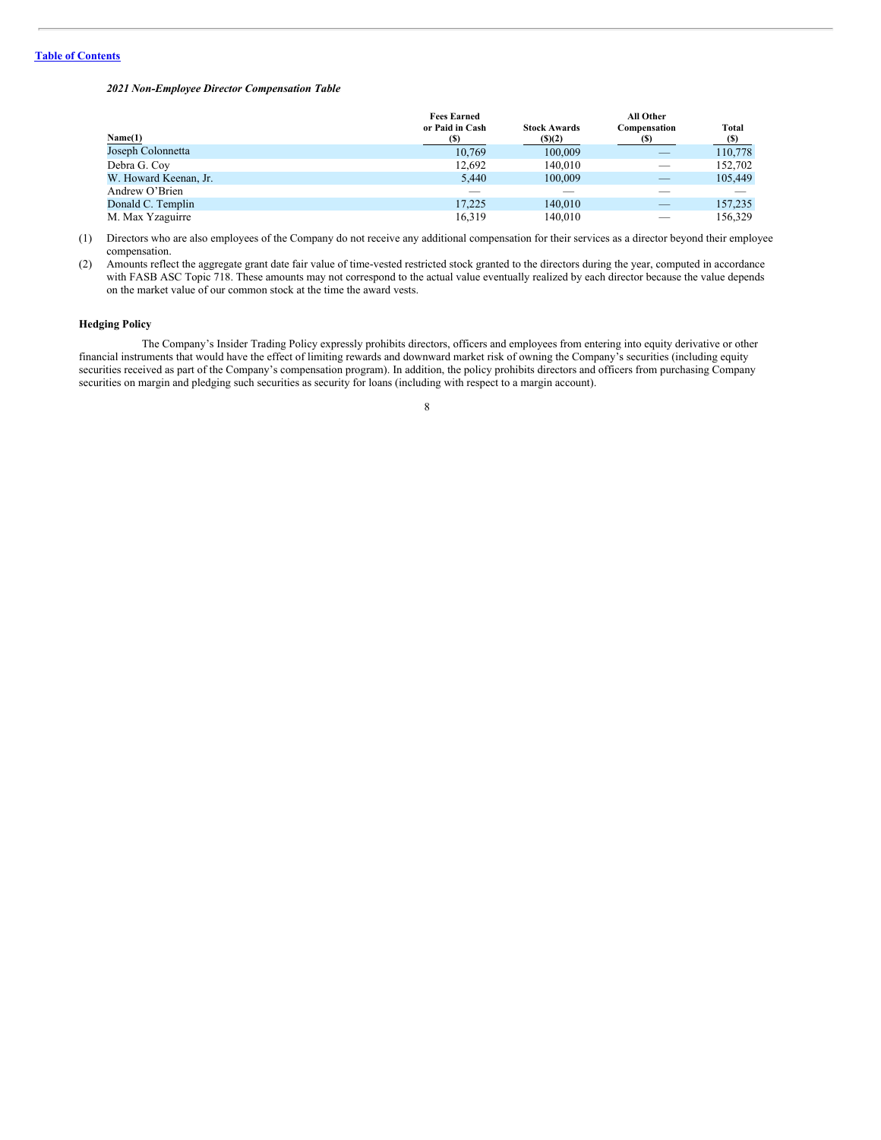*2021 Non-Employee Director Compensation Table*

|                       | <b>Fees Earned</b> |                     | All Other    |              |
|-----------------------|--------------------|---------------------|--------------|--------------|
|                       | or Paid in Cash    | <b>Stock Awards</b> | Compensation | <b>Total</b> |
| Name(1)               | (S)                | $($ (\$) $(2)$      | (5)          | (S)          |
| Joseph Colonnetta     | 10,769             | 100,009             |              | 110,778      |
| Debra G. Coy          | 12,692             | 140,010             |              | 152,702      |
| W. Howard Keenan, Jr. | 5.440              | 100,009             |              | 105,449      |
| Andrew O'Brien        | __                 |                     |              |              |
| Donald C. Templin     | 17.225             | 140,010             |              | 157,235      |
| M. Max Yzaguirre      | 16.319             | 140,010             |              | 156.329      |

(1) Directors who are also employees of the Company do not receive any additional compensation for their services as a director beyond their employee compensation.

(2) Amounts reflect the aggregate grant date fair value of time-vested restricted stock granted to the directors during the year, computed in accordance with FASB ASC Topic 718. These amounts may not correspond to the actual value eventually realized by each director because the value depends on the market value of our common stock at the time the award vests.

# **Hedging Policy**

The Company's Insider Trading Policy expressly prohibits directors, officers and employees from entering into equity derivative or other financial instruments that would have the effect of limiting rewards and downward market risk of owning the Company's securities (including equity securities received as part of the Company's compensation program). In addition, the policy prohibits directors and officers from purchasing Company securities on margin and pledging such securities as security for loans (including with respect to a margin account).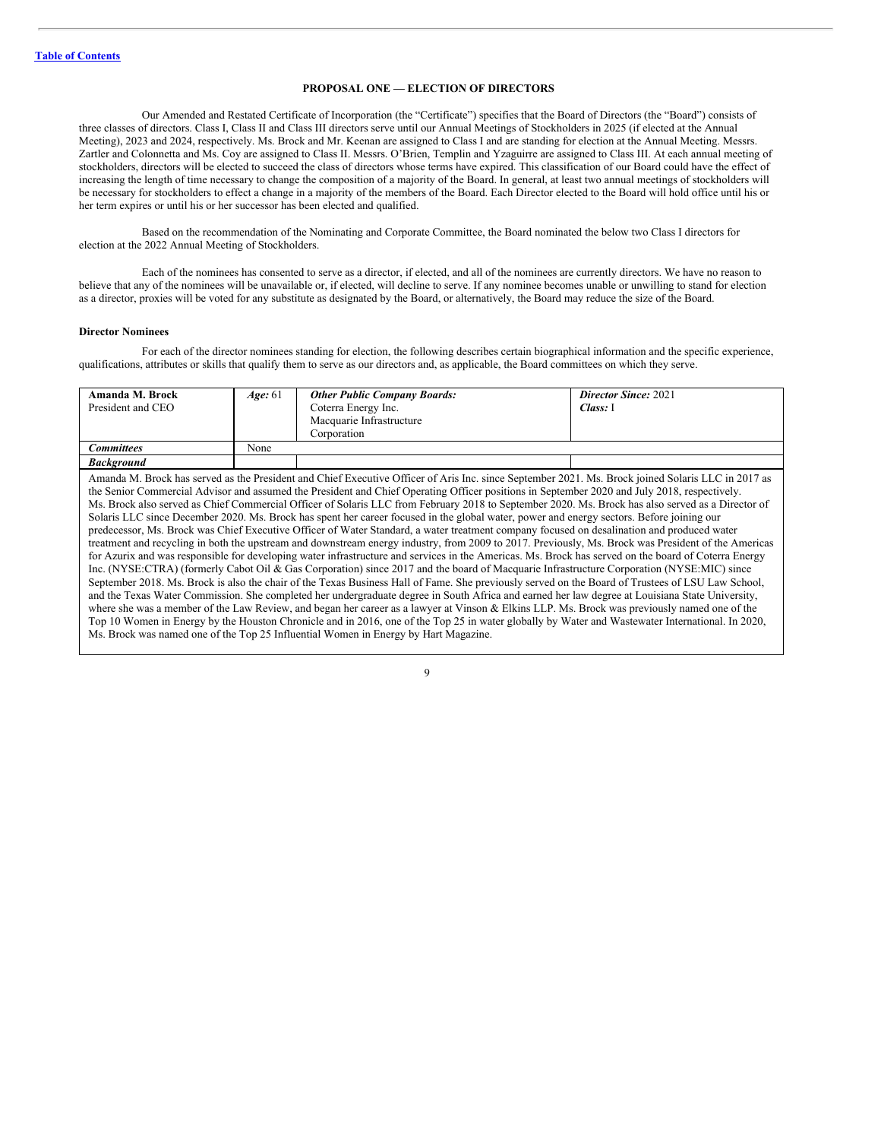# <span id="page-11-0"></span>**PROPOSAL ONE — ELECTION OF DIRECTORS**

Our Amended and Restated Certificate of Incorporation (the "Certificate") specifies that the Board of Directors (the "Board") consists of three classes of directors. Class I, Class II and Class III directors serve until our Annual Meetings of Stockholders in 2025 (if elected at the Annual Meeting), 2023 and 2024, respectively. Ms. Brock and Mr. Keenan are assigned to Class I and are standing for election at the Annual Meeting. Messrs. Zartler and Colonnetta and Ms. Coy are assigned to Class II. Messrs. O'Brien, Templin and Yzaguirre are assigned to Class III. At each annual meeting of stockholders, directors will be elected to succeed the class of directors whose terms have expired. This classification of our Board could have the effect of increasing the length of time necessary to change the composition of a majority of the Board. In general, at least two annual meetings of stockholders will be necessary for stockholders to effect a change in a majority of the members of the Board. Each Director elected to the Board will hold office until his or her term expires or until his or her successor has been elected and qualified.

Based on the recommendation of the Nominating and Corporate Committee, the Board nominated the below two Class I directors for election at the 2022 Annual Meeting of Stockholders.

Each of the nominees has consented to serve as a director, if elected, and all of the nominees are currently directors. We have no reason to believe that any of the nominees will be unavailable or, if elected, will decline to serve. If any nominee becomes unable or unwilling to stand for election as a director, proxies will be voted for any substitute as designated by the Board, or alternatively, the Board may reduce the size of the Board.

#### **Director Nominees**

For each of the director nominees standing for election, the following describes certain biographical information and the specific experience, qualifications, attributes or skills that qualify them to serve as our directors and, as applicable, the Board committees on which they serve.

| Amanda M. Brock   | Age: 61 | <b>Other Public Company Boards:</b>                                                                                                                                                                                                                                                                                                                                                                                                                                                                                                                                                                                                                                                                                                                                                                                                                                                                                                                                                                                                                                                                                                                                                                                                                                                                                                                                                                                                                                                                                                                                                                                                                                                                                                                                                                                                                                                                               | <b>Director Since: 2021</b> |
|-------------------|---------|-------------------------------------------------------------------------------------------------------------------------------------------------------------------------------------------------------------------------------------------------------------------------------------------------------------------------------------------------------------------------------------------------------------------------------------------------------------------------------------------------------------------------------------------------------------------------------------------------------------------------------------------------------------------------------------------------------------------------------------------------------------------------------------------------------------------------------------------------------------------------------------------------------------------------------------------------------------------------------------------------------------------------------------------------------------------------------------------------------------------------------------------------------------------------------------------------------------------------------------------------------------------------------------------------------------------------------------------------------------------------------------------------------------------------------------------------------------------------------------------------------------------------------------------------------------------------------------------------------------------------------------------------------------------------------------------------------------------------------------------------------------------------------------------------------------------------------------------------------------------------------------------------------------------|-----------------------------|
| President and CEO |         | Coterra Energy Inc.                                                                                                                                                                                                                                                                                                                                                                                                                                                                                                                                                                                                                                                                                                                                                                                                                                                                                                                                                                                                                                                                                                                                                                                                                                                                                                                                                                                                                                                                                                                                                                                                                                                                                                                                                                                                                                                                                               | Class: I                    |
|                   |         | Macquarie Infrastructure                                                                                                                                                                                                                                                                                                                                                                                                                                                                                                                                                                                                                                                                                                                                                                                                                                                                                                                                                                                                                                                                                                                                                                                                                                                                                                                                                                                                                                                                                                                                                                                                                                                                                                                                                                                                                                                                                          |                             |
|                   |         | Corporation                                                                                                                                                                                                                                                                                                                                                                                                                                                                                                                                                                                                                                                                                                                                                                                                                                                                                                                                                                                                                                                                                                                                                                                                                                                                                                                                                                                                                                                                                                                                                                                                                                                                                                                                                                                                                                                                                                       |                             |
| <b>Committees</b> | None    |                                                                                                                                                                                                                                                                                                                                                                                                                                                                                                                                                                                                                                                                                                                                                                                                                                                                                                                                                                                                                                                                                                                                                                                                                                                                                                                                                                                                                                                                                                                                                                                                                                                                                                                                                                                                                                                                                                                   |                             |
| <b>Background</b> |         |                                                                                                                                                                                                                                                                                                                                                                                                                                                                                                                                                                                                                                                                                                                                                                                                                                                                                                                                                                                                                                                                                                                                                                                                                                                                                                                                                                                                                                                                                                                                                                                                                                                                                                                                                                                                                                                                                                                   |                             |
|                   |         | Amanda M. Brock has served as the President and Chief Executive Officer of Aris Inc. since September 2021. Ms. Brock joined Solaris LLC in 2017 as<br>the Senior Commercial Advisor and assumed the President and Chief Operating Officer positions in September 2020 and July 2018, respectively.<br>Ms. Brock also served as Chief Commercial Officer of Solaris LLC from February 2018 to September 2020. Ms. Brock has also served as a Director of<br>Solaris LLC since December 2020. Ms. Brock has spent her career focused in the global water, power and energy sectors. Before joining our<br>predecessor, Ms. Brock was Chief Executive Officer of Water Standard, a water treatment company focused on desalination and produced water<br>treatment and recycling in both the upstream and downstream energy industry, from 2009 to 2017. Previously, Ms. Brock was President of the Americas<br>for Azurix and was responsible for developing water infrastructure and services in the Americas. Ms. Brock has served on the board of Coterra Energy<br>Inc. (NYSE:CTRA) (formerly Cabot Oil & Gas Corporation) since 2017 and the board of Macquarie Infrastructure Corporation (NYSE:MIC) since<br>September 2018. Ms. Brock is also the chair of the Texas Business Hall of Fame. She previously served on the Board of Trustees of LSU Law School,<br>and the Texas Water Commission. She completed her undergraduate degree in South Africa and earned her law degree at Louisiana State University,<br>where she was a member of the Law Review, and began her career as a lawyer at Vinson & Elkins LLP. Ms. Brock was previously named one of the<br>Top 10 Women in Energy by the Houston Chronicle and in 2016, one of the Top 25 in water globally by Water and Wastewater International. In 2020,<br>Ms. Brock was named one of the Top 25 Influential Women in Energy by Hart Magazine. |                             |

| ٧<br>۰. |    |        |   |
|---------|----|--------|---|
|         |    |        |   |
|         |    |        | I |
|         | ۰. | I<br>ł |   |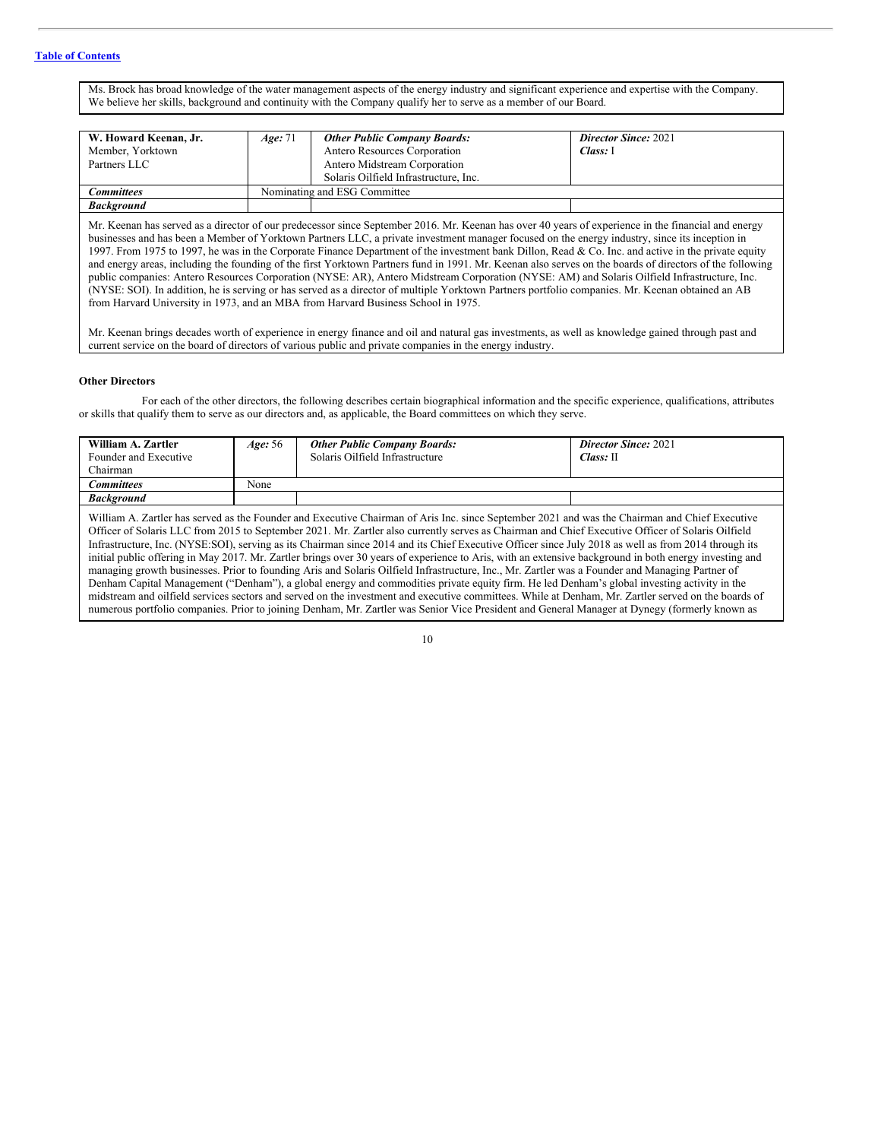Ms. Brock has broad knowledge of the water management aspects of the energy industry and significant experience and expertise with the Company. We believe her skills, background and continuity with the Company qualify her to serve as a member of our Board.

| W. Howard Keenan, Jr.<br>Member, Yorktown<br>Partners LLC | Age: 71                      | <b>Other Public Company Boards:</b><br>Antero Resources Corporation<br>Antero Midstream Corporation<br>Solaris Oilfield Infrastructure, Inc. | <b>Director Since: 2021</b><br>Class: 1 |  |  |
|-----------------------------------------------------------|------------------------------|----------------------------------------------------------------------------------------------------------------------------------------------|-----------------------------------------|--|--|
| Committees                                                | Nominating and ESG Committee |                                                                                                                                              |                                         |  |  |
| <b>Background</b>                                         |                              |                                                                                                                                              |                                         |  |  |

Mr. Keenan has served as a director of our predecessor since September 2016. Mr. Keenan has over 40 years of experience in the financial and energy businesses and has been a Member of Yorktown Partners LLC, a private investment manager focused on the energy industry, since its inception in 1997. From 1975 to 1997, he was in the Corporate Finance Department of the investment bank Dillon, Read & Co. Inc. and active in the private equity and energy areas, including the founding of the first Yorktown Partners fund in 1991. Mr. Keenan also serves on the boards of directors of the following public companies: Antero Resources Corporation (NYSE: AR), Antero Midstream Corporation (NYSE: AM) and Solaris Oilfield Infrastructure, Inc. (NYSE: SOI). In addition, he is serving or has served as a director of multiple Yorktown Partners portfolio companies. Mr. Keenan obtained an AB from Harvard University in 1973, and an MBA from Harvard Business School in 1975.

Mr. Keenan brings decades worth of experience in energy finance and oil and natural gas investments, as well as knowledge gained through past and current service on the board of directors of various public and private companies in the energy industry.

### **Other Directors**

For each of the other directors, the following describes certain biographical information and the specific experience, qualifications, attributes or skills that qualify them to serve as our directors and, as applicable, the Board committees on which they serve.

| William A. Zartler<br>Founder and Executive<br>Chairman                                                                                                                                                                                                                                             | Age: 56 | <b>Other Public Company Boards:</b><br>Solaris Oilfield Infrastructure | <b>Director Since: 2021</b><br>$Class: \mathbb{H}$ |  |  |  |
|-----------------------------------------------------------------------------------------------------------------------------------------------------------------------------------------------------------------------------------------------------------------------------------------------------|---------|------------------------------------------------------------------------|----------------------------------------------------|--|--|--|
| Committees                                                                                                                                                                                                                                                                                          | None    |                                                                        |                                                    |  |  |  |
| <b>Background</b>                                                                                                                                                                                                                                                                                   |         |                                                                        |                                                    |  |  |  |
| William A. Zartler has served as the Founder and Executive Chairman of Aris Inc. since September 2021 and was the Chairman and Chief Executive<br>Officer of Solaris LLC from 2015 to September 2021. Mr. Zartler also currently serves as Chairman and Chief Executive Officer of Solaris Oilfield |         |                                                                        |                                                    |  |  |  |

Officer of Solaris LLC from 2015 to September 2021. Mr. Zartler also currently serves as Chairman and Chief Executive Officer of Solaris Oilfield Infrastructure, Inc. (NYSE:SOI), serving as its Chairman since 2014 and its Chief Executive Officer since July 2018 as well as from 2014 through its initial public offering in May 2017. Mr. Zartler brings over 30 years of experience to Aris, with an extensive background in both energy investing and managing growth businesses. Prior to founding Aris and Solaris Oilfield Infrastructure, Inc., Mr. Zartler was a Founder and Managing Partner of Denham Capital Management ("Denham"), a global energy and commodities private equity firm. He led Denham's global investing activity in the midstream and oilfield services sectors and served on the investment and executive committees. While at Denham, Mr. Zartler served on the boards of numerous portfolio companies. Prior to joining Denham, Mr. Zartler was Senior Vice President and General Manager at Dynegy (formerly known as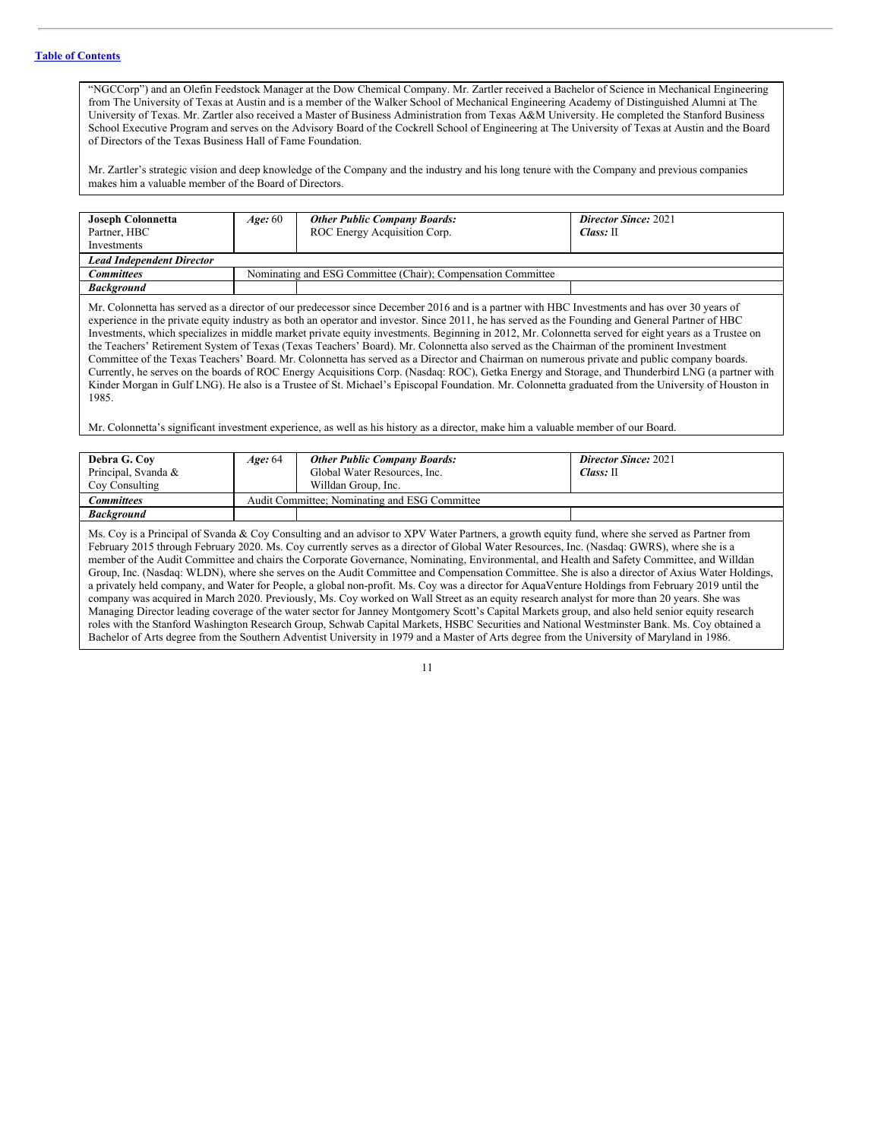# **Table of [Contents](#page-2-0)**

"NGCCorp") and an Olefin Feedstock Manager at the Dow Chemical Company. Mr. Zartler received a Bachelor of Science in Mechanical Engineering from The University of Texas at Austin and is a member of the Walker School of Mechanical Engineering Academy of Distinguished Alumni at The University of Texas. Mr. Zartler also received a Master of Business Administration from Texas A&M University. He completed the Stanford Business School Executive Program and serves on the Advisory Board of the Cockrell School of Engineering at The University of Texas at Austin and the Board of Directors of the Texas Business Hall of Fame Foundation.

Mr. Zartler's strategic vision and deep knowledge of the Company and the industry and his long tenure with the Company and previous companies makes him a valuable member of the Board of Directors.

| <b>Joseph Colonnetta</b>                                                                                                                      | Age:60                                                       | <b>Other Public Company Boards:</b> | <b>Director Since: 2021</b> |  |  |
|-----------------------------------------------------------------------------------------------------------------------------------------------|--------------------------------------------------------------|-------------------------------------|-----------------------------|--|--|
| Partner, HBC                                                                                                                                  |                                                              | ROC Energy Acquisition Corp.        | $Class: \mathbb{H}$         |  |  |
| Investments                                                                                                                                   |                                                              |                                     |                             |  |  |
| <b>Lead Independent Director</b>                                                                                                              |                                                              |                                     |                             |  |  |
| <b>Committees</b>                                                                                                                             | Nominating and ESG Committee (Chair); Compensation Committee |                                     |                             |  |  |
| <b>Background</b>                                                                                                                             |                                                              |                                     |                             |  |  |
| Mr. Colonnetta has served as a director of our predecessor since December 2016 and is a partner with HRC Investments and has over 30 years of |                                                              |                                     |                             |  |  |

Mr. Colonnetta has served as a director of our predecessor since December 2016 and is a partner with HBC Investments and has over 30 years of experience in the private equity industry as both an operator and investor. Since 2011, he has served as the Founding and General Partner of HBC Investments, which specializes in middle market private equity investments. Beginning in 2012, Mr. Colonnetta served for eight years as a Trustee on the Teachers' Retirement System of Texas (Texas Teachers' Board). Mr. Colonnetta also served as the Chairman of the prominent Investment Committee of the Texas Teachers' Board. Mr. Colonnetta has served as a Director and Chairman on numerous private and public company boards. Currently, he serves on the boards of ROC Energy Acquisitions Corp. (Nasdaq: ROC), Getka Energy and Storage, and Thunderbird LNG (a partner with Kinder Morgan in Gulf LNG). He also is a Trustee of St. Michael's Episcopal Foundation. Mr. Colonnetta graduated from the University of Houston in 1985.

Mr. Colonnetta's significant investment experience, as well as his history as a director, make him a valuable member of our Board.

| Debra G. Coy                                                                                                                                                                                                                                                                                                                                                                                                                                                                                                                                                                                                                                                                                                                                       | Age: 64 | <b>Other Public Company Boards:</b>                 | <b>Director Since: 2021</b> |  |  |
|----------------------------------------------------------------------------------------------------------------------------------------------------------------------------------------------------------------------------------------------------------------------------------------------------------------------------------------------------------------------------------------------------------------------------------------------------------------------------------------------------------------------------------------------------------------------------------------------------------------------------------------------------------------------------------------------------------------------------------------------------|---------|-----------------------------------------------------|-----------------------------|--|--|
| Principal, Svanda &                                                                                                                                                                                                                                                                                                                                                                                                                                                                                                                                                                                                                                                                                                                                |         | Global Water Resources, Inc.<br>$Class: \mathbb{H}$ |                             |  |  |
| Coy Consulting                                                                                                                                                                                                                                                                                                                                                                                                                                                                                                                                                                                                                                                                                                                                     |         | Willdan Group, Inc.                                 |                             |  |  |
| <b>Committees</b>                                                                                                                                                                                                                                                                                                                                                                                                                                                                                                                                                                                                                                                                                                                                  |         | Audit Committee; Nominating and ESG Committee       |                             |  |  |
| <b>Background</b>                                                                                                                                                                                                                                                                                                                                                                                                                                                                                                                                                                                                                                                                                                                                  |         |                                                     |                             |  |  |
| Ms. Coy is a Principal of Svanda & Coy Consulting and an advisor to XPV Water Partners, a growth equity fund, where she served as Partner from<br>February 2015 through February 2020. Ms. Coy currently serves as a director of Global Water Resources, Inc. (Nasdaq: GWRS), where she is a<br>member of the Audit Committee and chairs the Corporate Governance, Nominating, Environmental, and Health and Safety Committee, and Willdan<br>Group, Inc. (Nasdaq: WLDN), where she serves on the Audit Committee and Compensation Committee. She is also a director of Axius Water Holdings,<br>a privately held company, and Water for People, a global non-profit. Ms. Coy was a director for AquaVenture Holdings from February 2019 until the |         |                                                     |                             |  |  |

company was acquired in March 2020. Previously, Ms. Coy worked on Wall Street as an equity research analyst for more than 20 years. She was Managing Director leading coverage of the water sector for Janney Montgomery Scott's Capital Markets group, and also held senior equity research roles with the Stanford Washington Research Group, Schwab Capital Markets, HSBC Securities and National Westminster Bank. Ms. Coy obtained a Bachelor of Arts degree from the Southern Adventist University in 1979 and a Master of Arts degree from the University of Maryland in 1986.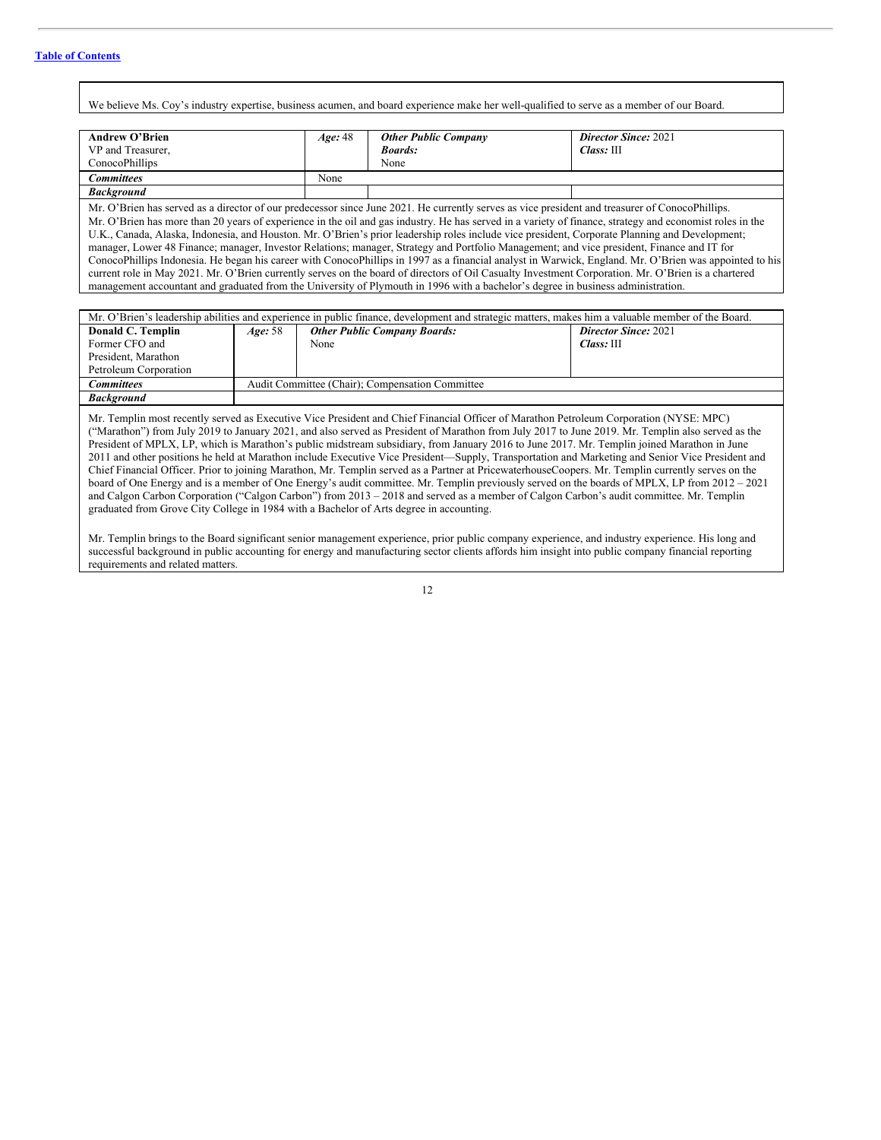We believe Ms. Coy's industry expertise, business acumen, and board experience make her well-qualified to serve as a member of our Board.

| <b>Andrew O'Brien</b>                                                                                                                                                                                                                                                                                                                                                                                                                                                                                                                                                                                                                                                                                                                                                 | Age: 48 | <b>Other Public Company</b> | <b>Director Since: 2021</b> |  |  |
|-----------------------------------------------------------------------------------------------------------------------------------------------------------------------------------------------------------------------------------------------------------------------------------------------------------------------------------------------------------------------------------------------------------------------------------------------------------------------------------------------------------------------------------------------------------------------------------------------------------------------------------------------------------------------------------------------------------------------------------------------------------------------|---------|-----------------------------|-----------------------------|--|--|
| VP and Treasurer,                                                                                                                                                                                                                                                                                                                                                                                                                                                                                                                                                                                                                                                                                                                                                     |         | <b>Boards:</b>              | Class: III                  |  |  |
| ConocoPhillips                                                                                                                                                                                                                                                                                                                                                                                                                                                                                                                                                                                                                                                                                                                                                        |         | None                        |                             |  |  |
| <b>Committees</b>                                                                                                                                                                                                                                                                                                                                                                                                                                                                                                                                                                                                                                                                                                                                                     | None    |                             |                             |  |  |
| <b>Background</b>                                                                                                                                                                                                                                                                                                                                                                                                                                                                                                                                                                                                                                                                                                                                                     |         |                             |                             |  |  |
| Mr. O'Brien has served as a director of our predecessor since June 2021. He currently serves as vice president and treasurer of ConocoPhillips.<br>Mr. O'Brien has more than 20 years of experience in the oil and gas industry. He has served in a variety of finance, strategy and economist roles in the<br>U.K., Canada, Alaska, Indonesia, and Houston. Mr. O'Brien's prior leadership roles include vice president, Corporate Planning and Development;<br>manager, Lower 48 Finance; manager, Investor Relations; manager, Strategy and Portfolio Management; and vice president, Finance and IT for<br>ConocoPhillips Indonesia. He began his career with ConocoPhillips in 1997 as a financial analyst in Warwick, England. Mr. O'Brien was appointed to his |         |                             |                             |  |  |
| current role in May 2021. Mr. O'Brien currently serves on the board of directors of Oil Casualty Investment Corporation. Mr. O'Brien is a chartered                                                                                                                                                                                                                                                                                                                                                                                                                                                                                                                                                                                                                   |         |                             |                             |  |  |
| management accountant and graduated from the University of Plymouth in 1996 with a bachelor's degree in business administration.                                                                                                                                                                                                                                                                                                                                                                                                                                                                                                                                                                                                                                      |         |                             |                             |  |  |

|                       | Mr. O'Brien's leadership abilities and experience in public finance, development and strategic matters, makes him a valuable member of the Board. |                                                                    |            |  |  |  |
|-----------------------|---------------------------------------------------------------------------------------------------------------------------------------------------|--------------------------------------------------------------------|------------|--|--|--|
| Donald C. Templin     | Age: 58                                                                                                                                           | <b>Director Since: 2021</b><br><b>Other Public Company Boards:</b> |            |  |  |  |
| Former CFO and        |                                                                                                                                                   | None                                                               | Class: III |  |  |  |
| President, Marathon   |                                                                                                                                                   |                                                                    |            |  |  |  |
| Petroleum Corporation |                                                                                                                                                   |                                                                    |            |  |  |  |
| Committees            |                                                                                                                                                   | Audit Committee (Chair); Compensation Committee                    |            |  |  |  |
| <b>Background</b>     |                                                                                                                                                   |                                                                    |            |  |  |  |
|                       |                                                                                                                                                   |                                                                    |            |  |  |  |

Mr. Templin most recently served as Executive Vice President and Chief Financial Officer of Marathon Petroleum Corporation (NYSE: MPC) ("Marathon") from July 2019 to January 2021, and also served as President of Marathon from July 2017 to June 2019. Mr. Templin also served as the President of MPLX, LP, which is Marathon's public midstream subsidiary, from January 2016 to June 2017. Mr. Templin joined Marathon in June 2011 and other positions he held at Marathon include Executive Vice President—Supply, Transportation and Marketing and Senior Vice President and Chief Financial Officer. Prior to joining Marathon, Mr. Templin served as a Partner at PricewaterhouseCoopers. Mr. Templin currently serves on the board of One Energy and is a member of One Energy's audit committee. Mr. Templin previously served on the boards of MPLX, LP from 2012 – 2021 and Calgon Carbon Corporation ("Calgon Carbon") from 2013 – 2018 and served as a member of Calgon Carbon's audit committee. Mr. Templin graduated from Grove City College in 1984 with a Bachelor of Arts degree in accounting.

Mr. Templin brings to the Board significant senior management experience, prior public company experience, and industry experience. His long and successful background in public accounting for energy and manufacturing sector clients affords him insight into public company financial reporting requirements and related matters.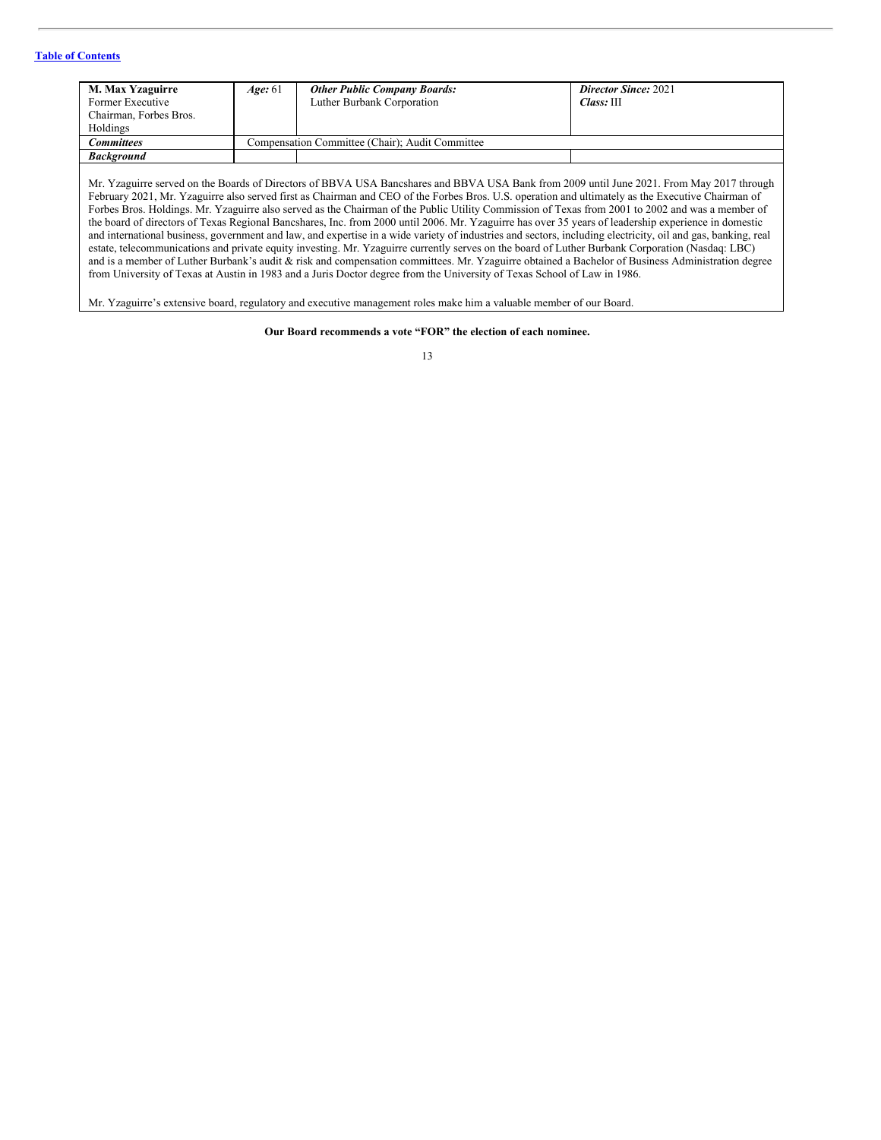# **Table of [Contents](#page-2-0)**

| M. Max Yzaguirre<br>Former Executive<br>Chairman, Forbes Bros.<br>Holdings | Age: 61 | <b>Other Public Company Boards:</b><br>Luther Burbank Corporation | <b>Director Since: 2021</b><br>Class: III |
|----------------------------------------------------------------------------|---------|-------------------------------------------------------------------|-------------------------------------------|
| Committees                                                                 |         | Compensation Committee (Chair); Audit Committee                   |                                           |
| <b>Background</b>                                                          |         |                                                                   |                                           |
|                                                                            |         |                                                                   |                                           |

Mr. Yzaguirre served on the Boards of Directors of BBVA USA Bancshares and BBVA USA Bank from 2009 until June 2021. From May 2017 through February 2021, Mr. Yzaguirre also served first as Chairman and CEO of the Forbes Bros. U.S. operation and ultimately as the Executive Chairman of Forbes Bros. Holdings. Mr. Yzaguirre also served as the Chairman of the Public Utility Commission of Texas from 2001 to 2002 and was a member of the board of directors of Texas Regional Bancshares, Inc. from 2000 until 2006. Mr. Yzaguirre has over 35 years of leadership experience in domestic and international business, government and law, and expertise in a wide variety of industries and sectors, including electricity, oil and gas, banking, real estate, telecommunications and private equity investing. Mr. Yzaguirre currently serves on the board of Luther Burbank Corporation (Nasdaq: LBC) and is a member of Luther Burbank's audit & risk and compensation committees. Mr. Yzaguirre obtained a Bachelor of Business Administration degree from University of Texas at Austin in 1983 and a Juris Doctor degree from the University of Texas School of Law in 1986.

Mr. Yzaguirre's extensive board, regulatory and executive management roles make him a valuable member of our Board.

# **Our Board recommends a vote "FOR" the election of each nominee.**

| ı<br>ı |
|--------|
| ×<br>v |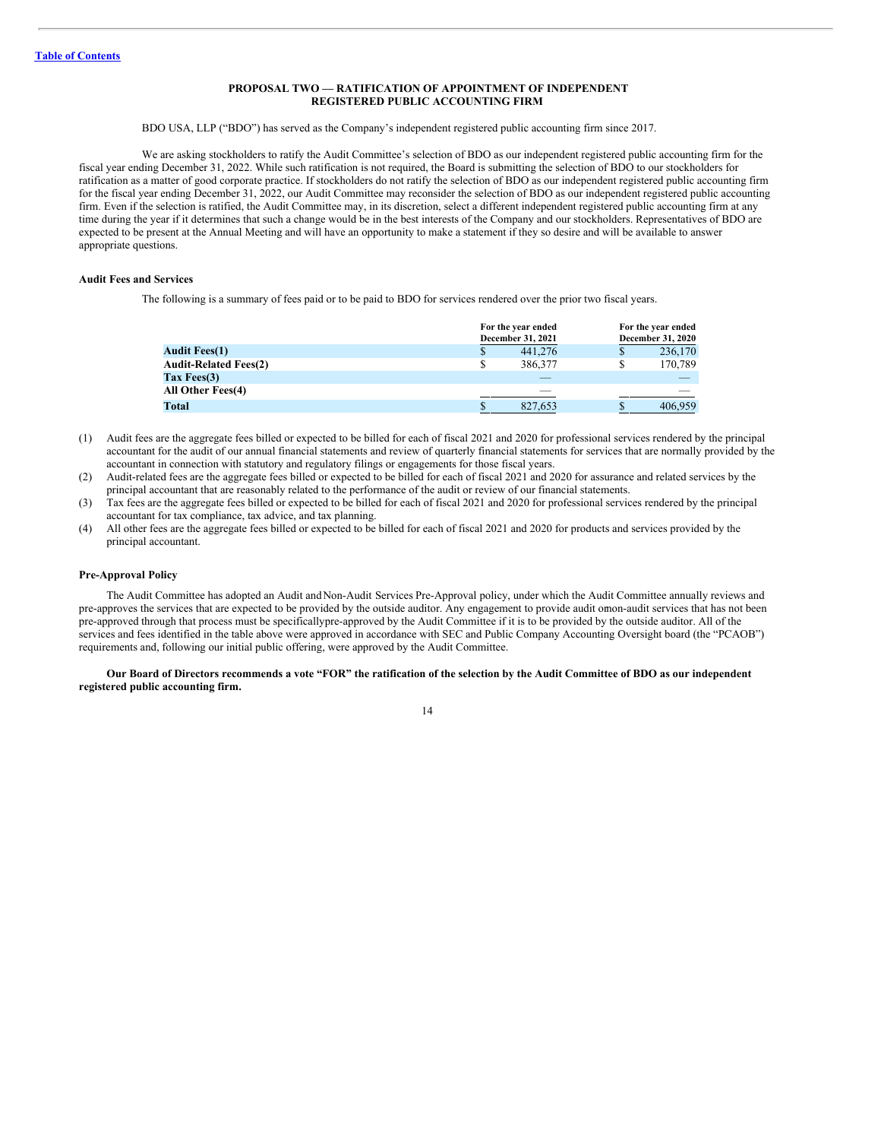# <span id="page-16-0"></span>**PROPOSAL TWO — RATIFICATION OF APPOINTMENT OF INDEPENDENT REGISTERED PUBLIC ACCOUNTING FIRM**

#### BDO USA, LLP ("BDO") has served as the Company's independent registered public accounting firm since 2017.

We are asking stockholders to ratify the Audit Committee's selection of BDO as our independent registered public accounting firm for the fiscal year ending December 31, 2022. While such ratification is not required, the Board is submitting the selection of BDO to our stockholders for ratification as a matter of good corporate practice. If stockholders do not ratify the selection of BDO as our independent registered public accounting firm for the fiscal year ending December 31, 2022, our Audit Committee may reconsider the selection of BDO as our independent registered public accounting firm. Even if the selection is ratified, the Audit Committee may, in its discretion, select a different independent registered public accounting firm at any time during the year if it determines that such a change would be in the best interests of the Company and our stockholders. Representatives of BDO are expected to be present at the Annual Meeting and will have an opportunity to make a statement if they so desire and will be available to answer appropriate questions.

#### **Audit Fees and Services**

The following is a summary of fees paid or to be paid to BDO for services rendered over the prior two fiscal years.

|                              |    | For the year ended<br>December 31, 2021 |   | For the year ended<br>December 31, 2020 |  |  |
|------------------------------|----|-----------------------------------------|---|-----------------------------------------|--|--|
| <b>Audit Fees(1)</b>         | \$ | 441,276                                 | S | 236,170                                 |  |  |
| <b>Audit-Related Fees(2)</b> | S  | 386,377                                 | S | 170,789                                 |  |  |
| Tax Fees $(3)$               |    | __                                      |   |                                         |  |  |
| All Other Fees(4)            |    |                                         |   |                                         |  |  |
| Total                        | \$ | 827,653                                 | S | 406,959                                 |  |  |

- (1) Audit fees are the aggregate fees billed or expected to be billed for each of fiscal 2021 and 2020 for professional services rendered by the principal accountant for the audit of our annual financial statements and review of quarterly financial statements for services that are normally provided by the accountant in connection with statutory and regulatory filings or engagements for those fiscal years.
- (2) Audit-related fees are the aggregate fees billed or expected to be billed for each of fiscal 2021 and 2020 for assurance and related services by the principal accountant that are reasonably related to the performance of the audit or review of our financial statements.
- (3) Tax fees are the aggregate fees billed or expected to be billed for each of fiscal 2021 and 2020 for professional services rendered by the principal accountant for tax compliance, tax advice, and tax planning.
- (4) All other fees are the aggregate fees billed or expected to be billed for each of fiscal 2021 and 2020 for products and services provided by the principal accountant.

#### **Pre-Approval Policy**

The Audit Committee has adopted an Audit andNon-Audit Services Pre-Approval policy, under which the Audit Committee annually reviews and pre-approves the services that are expected to be provided by the outside auditor. Any engagement to provide audit ornon-audit services that has not been pre-approved through that process must be specificallypre-approved by the Audit Committee if it is to be provided by the outside auditor. All of the services and fees identified in the table above were approved in accordance with SEC and Public Company Accounting Oversight board (the "PCAOB") requirements and, following our initial public offering, were approved by the Audit Committee.

Our Board of Directors recommends a vote "FOR" the ratification of the selection by the Audit Committee of BDO as our independent **registered public accounting firm.**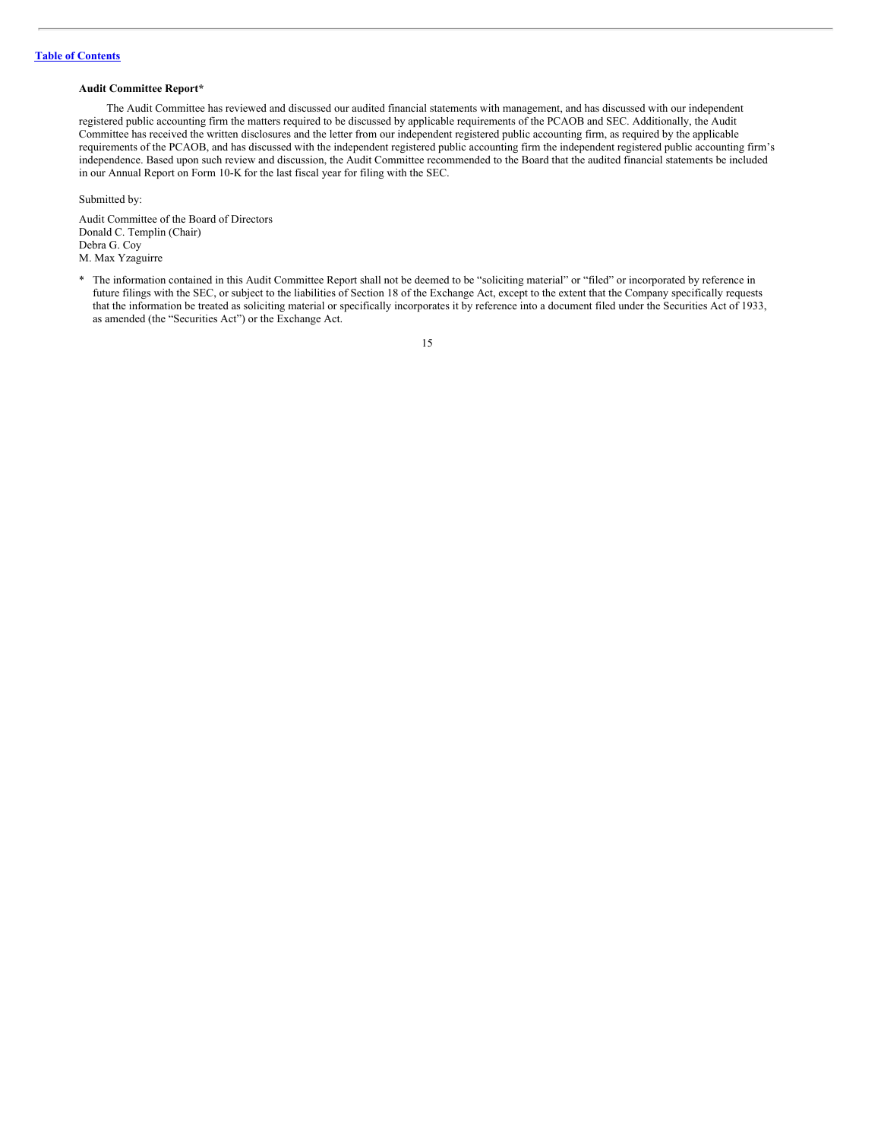#### **Audit Committee Report\***

The Audit Committee has reviewed and discussed our audited financial statements with management, and has discussed with our independent registered public accounting firm the matters required to be discussed by applicable requirements of the PCAOB and SEC. Additionally, the Audit Committee has received the written disclosures and the letter from our independent registered public accounting firm, as required by the applicable requirements of the PCAOB, and has discussed with the independent registered public accounting firm the independent registered public accounting firm's independence. Based upon such review and discussion, the Audit Committee recommended to the Board that the audited financial statements be included in our Annual Report on Form 10-K for the last fiscal year for filing with the SEC.

Submitted by:

Audit Committee of the Board of Directors Donald C. Templin (Chair) Debra G. Coy M. Max Yzaguirre

<sup>\*</sup> The information contained in this Audit Committee Report shall not be deemed to be "soliciting material" or "filed" or incorporated by reference in future filings with the SEC, or subject to the liabilities of Section 18 of the Exchange Act, except to the extent that the Company specifically requests that the information be treated as soliciting material or specifically incorporates it by reference into a document filed under the Securities Act of 1933, as amended (the "Securities Act") or the Exchange Act.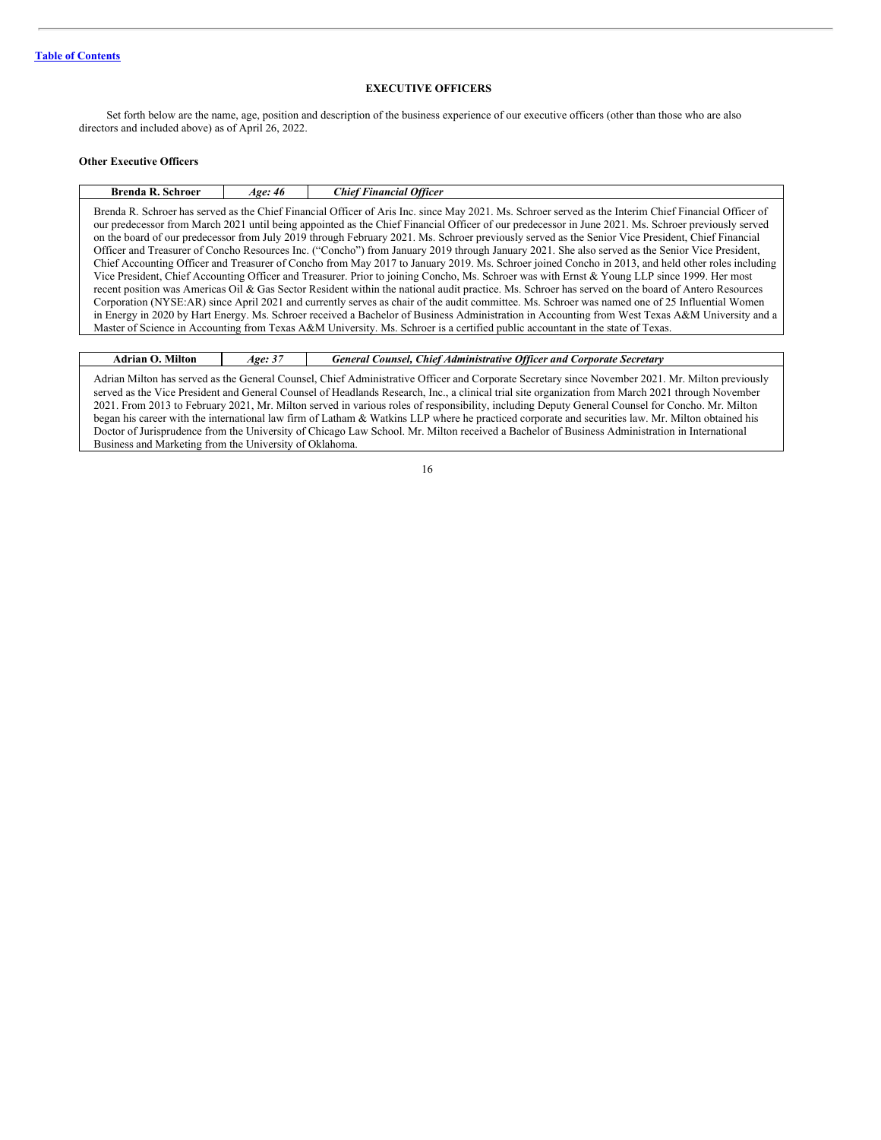# <span id="page-18-0"></span>**EXECUTIVE OFFICERS**

Set forth below are the name, age, position and description of the business experience of our executive officers (other than those who are also directors and included above) as of April 26, 2022.

# **Other Executive Officers**

| Brenda R. Schroer has served as the Chief Financial Officer of Aris Inc. since May 2021. Ms. Schroer served as the Interim Chief Financial Officer of<br>our predecessor from March 2021 until being appointed as the Chief Financial Officer of our predecessor in June 2021. Ms. Schroer previously served<br>on the board of our predecessor from July 2019 through February 2021. Ms. Schroer previously served as the Senior Vice President, Chief Financial<br>Officer and Treasurer of Concho Resources Inc. ("Concho") from January 2019 through January 2021. She also served as the Senior Vice President,<br>Chief Accounting Officer and Treasurer of Concho from May 2017 to January 2019. Ms. Schroer joined Concho in 2013, and held other roles including<br>Vice President, Chief Accounting Officer and Treasurer. Prior to joining Concho, Ms. Schroer was with Ernst & Young LLP since 1999. Her most<br>recent position was Americas Oil & Gas Sector Resident within the national audit practice. Ms. Schroer has served on the board of Antero Resources<br>Corporation (NYSE:AR) since April 2021 and currently serves as chair of the audit committee. Ms. Schroer was named one of 25 Influential Women<br>in Energy in 2020 by Hart Energy. Ms. Schroer received a Bachelor of Business Administration in Accounting from West Texas A&M University and a | <b>Brenda R. Schroer</b> | Age: 46 | <b>Chief Financial Officer</b> |  |
|--------------------------------------------------------------------------------------------------------------------------------------------------------------------------------------------------------------------------------------------------------------------------------------------------------------------------------------------------------------------------------------------------------------------------------------------------------------------------------------------------------------------------------------------------------------------------------------------------------------------------------------------------------------------------------------------------------------------------------------------------------------------------------------------------------------------------------------------------------------------------------------------------------------------------------------------------------------------------------------------------------------------------------------------------------------------------------------------------------------------------------------------------------------------------------------------------------------------------------------------------------------------------------------------------------------------------------------------------------------------------------------|--------------------------|---------|--------------------------------|--|
| Master of Science in Accounting from Texas A&M University. Ms. Schroer is a certified public accountant in the state of Texas.                                                                                                                                                                                                                                                                                                                                                                                                                                                                                                                                                                                                                                                                                                                                                                                                                                                                                                                                                                                                                                                                                                                                                                                                                                                       |                          |         |                                |  |

| <b>Adrian O. Milton</b>                                 | Age: 37 | General Counsel, Chief Administrative Officer and Corporate Secretary                                                                                                                                                                                                                                 |
|---------------------------------------------------------|---------|-------------------------------------------------------------------------------------------------------------------------------------------------------------------------------------------------------------------------------------------------------------------------------------------------------|
|                                                         |         | Adrian Milton has served as the General Counsel, Chief Administrative Officer and Corporate Secretary since November 2021. Mr. Milton previously<br>served as the Vice President and General Counsel of Headlands Research, Inc., a clinical trial site organization from March 2021 through November |
|                                                         |         | 2021. From 2013 to February 2021, Mr. Milton served in various roles of responsibility, including Deputy General Counsel for Concho. Mr. Milton                                                                                                                                                       |
|                                                         |         | began his career with the international law firm of Latham & Watkins LLP where he practiced corporate and securities law. Mr. Milton obtained his                                                                                                                                                     |
|                                                         |         | Doctor of Jurisprudence from the University of Chicago Law School. Mr. Milton received a Bachelor of Business Administration in International                                                                                                                                                         |
| Business and Marketing from the University of Oklahoma. |         |                                                                                                                                                                                                                                                                                                       |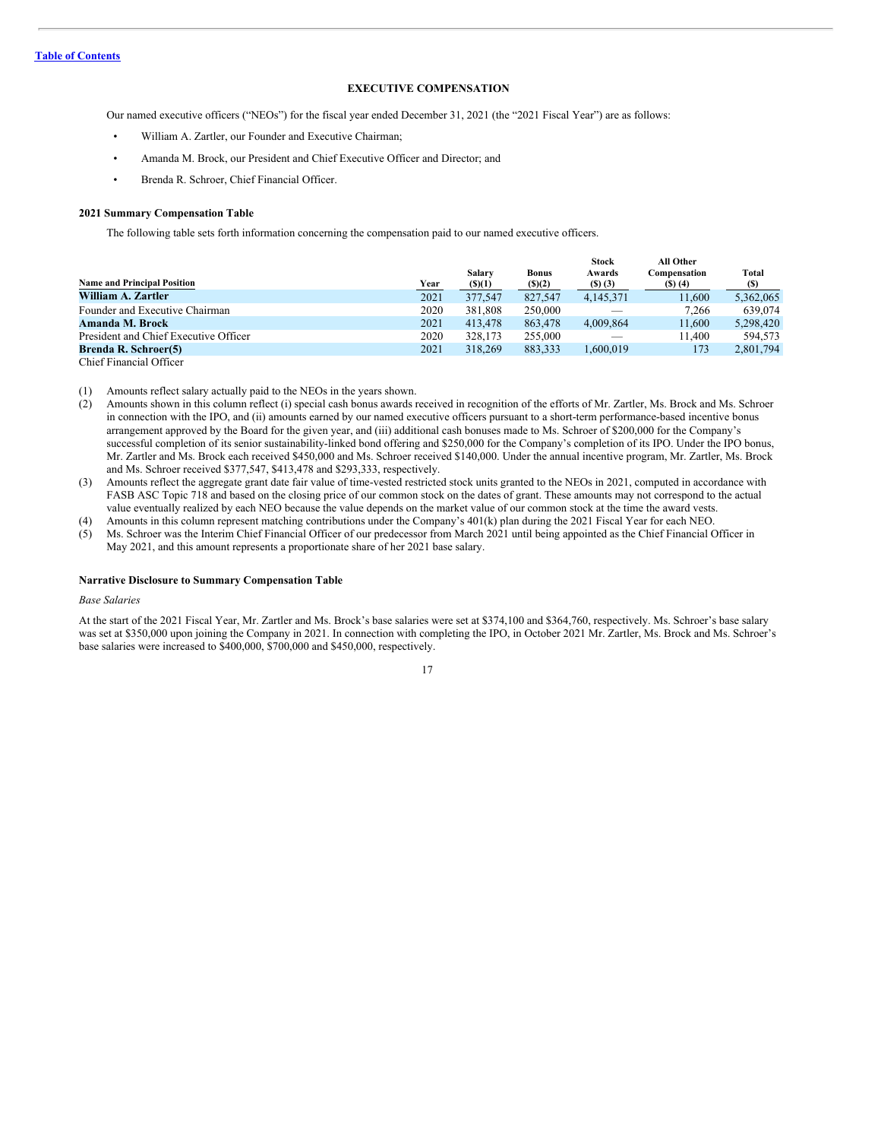# <span id="page-19-0"></span>**EXECUTIVE COMPENSATION**

Our named executive officers ("NEOs") for the fiscal year ended December 31, 2021 (the "2021 Fiscal Year") are as follows:

- William A. Zartler, our Founder and Executive Chairman;
- Amanda M. Brock, our President and Chief Executive Officer and Director; and
- Brenda R. Schroer, Chief Financial Officer.

### **2021 Summary Compensation Table**

The following table sets forth information concerning the compensation paid to our named executive officers.

| <b>Name and Principal Position</b>    | Year | Salary<br>$($ \$ $)(1)$ | <b>Bonus</b><br>$($ (\$) $(2)$ | <b>Stock</b><br>Awards<br>(5)(3) | All Other<br>Compensation<br>(5)(4) | Total<br>(S) |
|---------------------------------------|------|-------------------------|--------------------------------|----------------------------------|-------------------------------------|--------------|
| William A. Zartler                    | 2021 | 377,547                 | 827,547                        | 4.145.371                        | 11,600                              | 5,362,065    |
| Founder and Executive Chairman        | 2020 | 381,808                 | 250,000                        |                                  | 7,266                               | 639,074      |
| Amanda M. Brock                       | 2021 | 413,478                 | 863,478                        | 4.009.864                        | 11,600                              | 5.298.420    |
| President and Chief Executive Officer | 2020 | 328,173                 | 255,000                        |                                  | 11.400                              | 594.573      |
| <b>Brenda R. Schroer(5)</b>           | 2021 | 318,269                 | 883.333                        | 1.600.019                        | 173                                 | 2,801,794    |
| Chief Financial Officer               |      |                         |                                |                                  |                                     |              |

(1) Amounts reflect salary actually paid to the NEOs in the years shown.

- (2) Amounts shown in this column reflect (i) special cash bonus awards received in recognition of the efforts of Mr. Zartler, Ms. Brock and Ms. Schroer in connection with the IPO, and (ii) amounts earned by our named executive officers pursuant to a short-term performance-based incentive bonus arrangement approved by the Board for the given year, and (iii) additional cash bonuses made to Ms. Schroer of \$200,000 for the Company's successful completion of its senior sustainability-linked bond offering and \$250,000 for the Company's completion of its IPO. Under the IPO bonus, Mr. Zartler and Ms. Brock each received \$450,000 and Ms. Schroer received \$140,000. Under the annual incentive program, Mr. Zartler, Ms. Brock and Ms. Schroer received \$377,547, \$413,478 and \$293,333, respectively.
- (3) Amounts reflect the aggregate grant date fair value of time-vested restricted stock units granted to the NEOs in 2021, computed in accordance with FASB ASC Topic 718 and based on the closing price of our common stock on the dates of grant. These amounts may not correspond to the actual value eventually realized by each NEO because the value depends on the market value of our common stock at the time the award vests.

(4) Amounts in this column represent matching contributions under the Company's 401(k) plan during the 2021 Fiscal Year for each NEO.

(5) Ms. Schroer was the Interim Chief Financial Officer of our predecessor from March 2021 until being appointed as the Chief Financial Officer in May 2021, and this amount represents a proportionate share of her 2021 base salary.

#### **Narrative Disclosure to Summary Compensation Table**

#### *Base Salaries*

At the start of the 2021 Fiscal Year, Mr. Zartler and Ms. Brock's base salaries were set at \$374,100 and \$364,760, respectively. Ms. Schroer's base salary was set at \$350,000 upon joining the Company in 2021. In connection with completing the IPO, in October 2021 Mr. Zartler, Ms. Brock and Ms. Schroer's base salaries were increased to \$400,000, \$700,000 and \$450,000, respectively.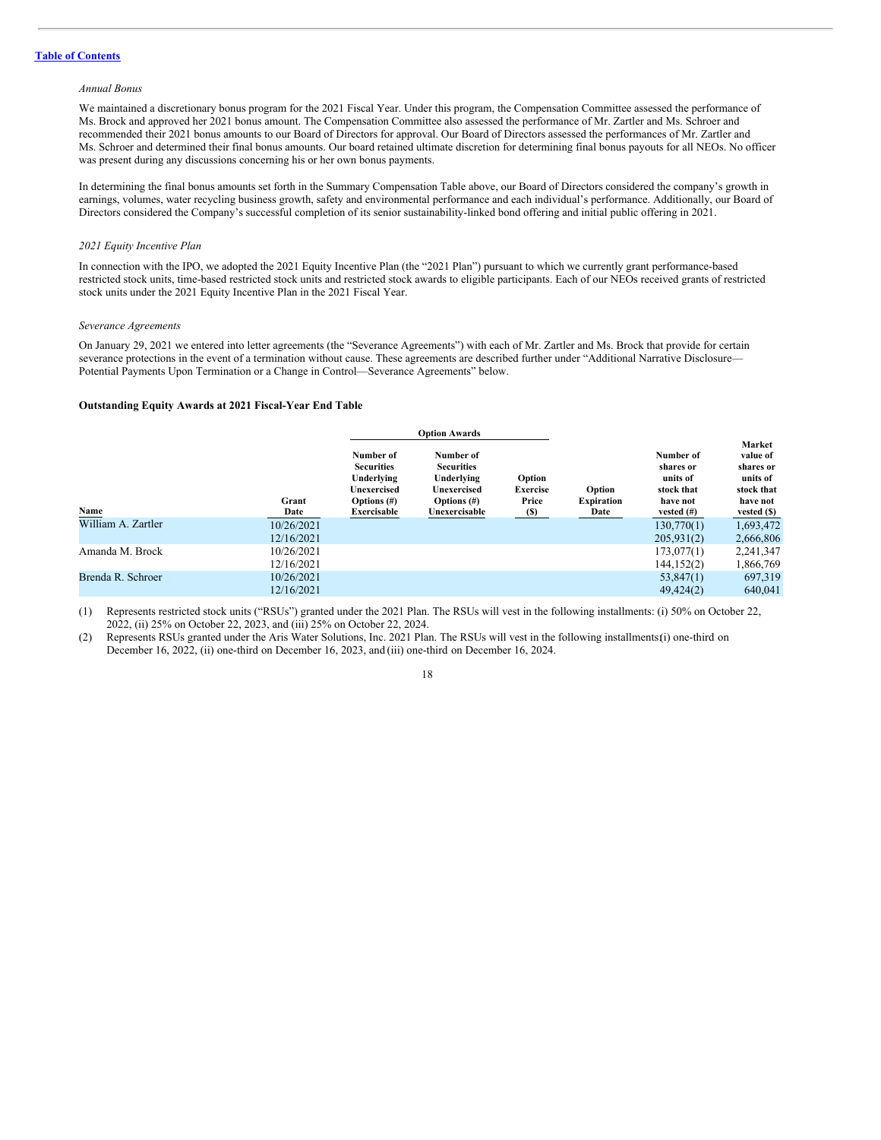#### *Annual Bonus*

We maintained a discretionary bonus program for the 2021 Fiscal Year. Under this program, the Compensation Committee assessed the performance of Ms. Brock and approved her 2021 bonus amount. The Compensation Committee also assessed the performance of Mr. Zartler and Ms. Schroer and recommended their 2021 bonus amounts to our Board of Directors for approval. Our Board of Directors assessed the performances of Mr. Zartler and Ms. Schroer and determined their final bonus amounts. Our board retained ultimate discretion for determining final bonus payouts for all NEOs. No officer was present during any discussions concerning his or her own bonus payments.

In determining the final bonus amounts set forth in the Summary Compensation Table above, our Board of Directors considered the company's growth in earnings, volumes, water recycling business growth, safety and environmental performance and each individual's performance. Additionally, our Board of Directors considered the Company's successful completion of its senior sustainability-linked bond offering and initial public offering in 2021.

#### *2021 Equity Incentive Plan*

In connection with the IPO, we adopted the 2021 Equity Incentive Plan (the "2021 Plan") pursuant to which we currently grant performance-based restricted stock units, time-based restricted stock units and restricted stock awards to eligible participants. Each of our NEOs received grants of restricted stock units under the 2021 Equity Incentive Plan in the 2021 Fiscal Year.

#### *Severance Agreements*

On January 29, 2021 we entered into letter agreements (the "Severance Agreements") with each of Mr. Zartler and Ms. Brock that provide for certain severance protections in the event of a termination without cause. These agreements are described further under "Additional Narrative Disclosure— Potential Payments Upon Termination or a Change in Control—Severance Agreements" below.

#### **Outstanding Equity Awards at 2021 Fiscal-Year End Table**

|                    |               |                                                                                              | <b>Option Awards</b>                                                                           |                                             |                                     |                                                                               |                                                                                      |
|--------------------|---------------|----------------------------------------------------------------------------------------------|------------------------------------------------------------------------------------------------|---------------------------------------------|-------------------------------------|-------------------------------------------------------------------------------|--------------------------------------------------------------------------------------|
| Name               | Grant<br>Date | Number of<br><b>Securities</b><br>Underlying<br>Unexercised<br>Options $(\#)$<br>Exercisable | Number of<br><b>Securities</b><br>Underlying<br>Unexercised<br>Options $(\#)$<br>Unexercisable | Option<br><b>Exercise</b><br>Price<br>$(S)$ | Option<br><b>Expiration</b><br>Date | Number of<br>shares or<br>units of<br>stock that<br>have not<br>vested $(\#)$ | Market<br>value of<br>shares or<br>units of<br>stock that<br>have not<br>vested (\$) |
| William A. Zartler | 10/26/2021    |                                                                                              |                                                                                                |                                             |                                     | 130,770(1)                                                                    | 1,693,472                                                                            |
|                    | 12/16/2021    |                                                                                              |                                                                                                |                                             |                                     | 205,931(2)                                                                    | 2,666,806                                                                            |
| Amanda M. Brock    | 10/26/2021    |                                                                                              |                                                                                                |                                             |                                     | 173,077(1)                                                                    | 2,241,347                                                                            |
|                    | 12/16/2021    |                                                                                              |                                                                                                |                                             |                                     | 144,152(2)                                                                    | 1,866,769                                                                            |
| Brenda R. Schroer  | 10/26/2021    |                                                                                              |                                                                                                |                                             |                                     | 53,847(1)                                                                     | 697,319                                                                              |
|                    | 12/16/2021    |                                                                                              |                                                                                                |                                             |                                     | 49,424(2)                                                                     | 640.041                                                                              |

(1) Represents restricted stock units ("RSUs") granted under the 2021 Plan. The RSUs will vest in the following installments: (i) 50% on October 22, 2022, (ii) 25% on October 22, 2023, and (iii) 25% on October 22, 2024.

(2) Represents RSUs granted under the Aris Water Solutions, Inc. 2021 Plan. The RSUs will vest in the following installments:(i) one-third on December 16, 2022, (ii) one-third on December 16, 2023, and (iii) one-third on December 16, 2024.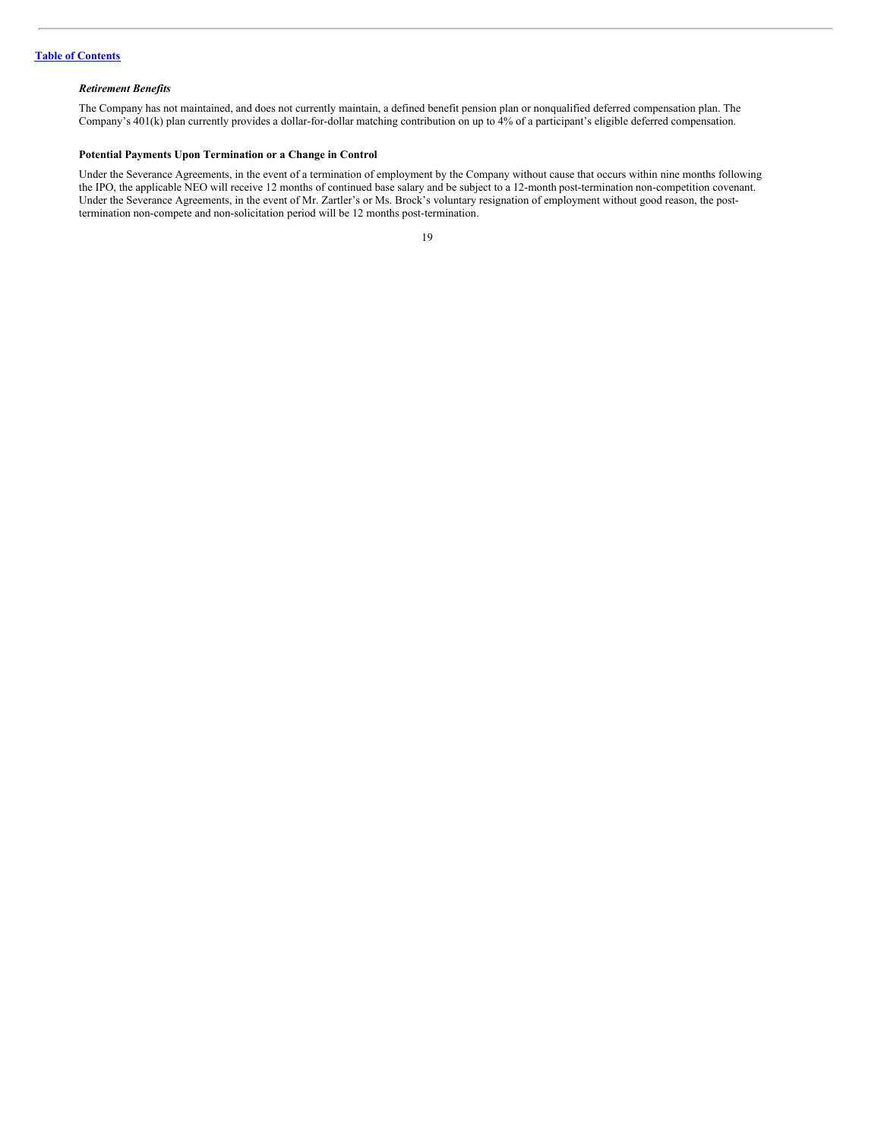# *Retirement Benefits*

The Company has not maintained, and does not currently maintain, a defined benefit pension plan or nonqualified deferred compensation plan. The Company's 401(k) plan currently provides a dollar-for-dollar matching contribution on up to 4% of a participant's eligible deferred compensation.

#### **Potential Payments Upon Termination or a Change in Control**

Under the Severance Agreements, in the event of a termination of employment by the Company without cause that occurs within nine months following the IPO, the applicable NEO will receive 12 months of continued base salary and be subject to a 12-month post-termination non-competition covenant. Under the Severance Agreements, in the event of Mr. Zartler's or Ms. Brock's voluntary resignation of employment without good reason, the posttermination non-compete and non-solicitation period will be 12 months post-termination.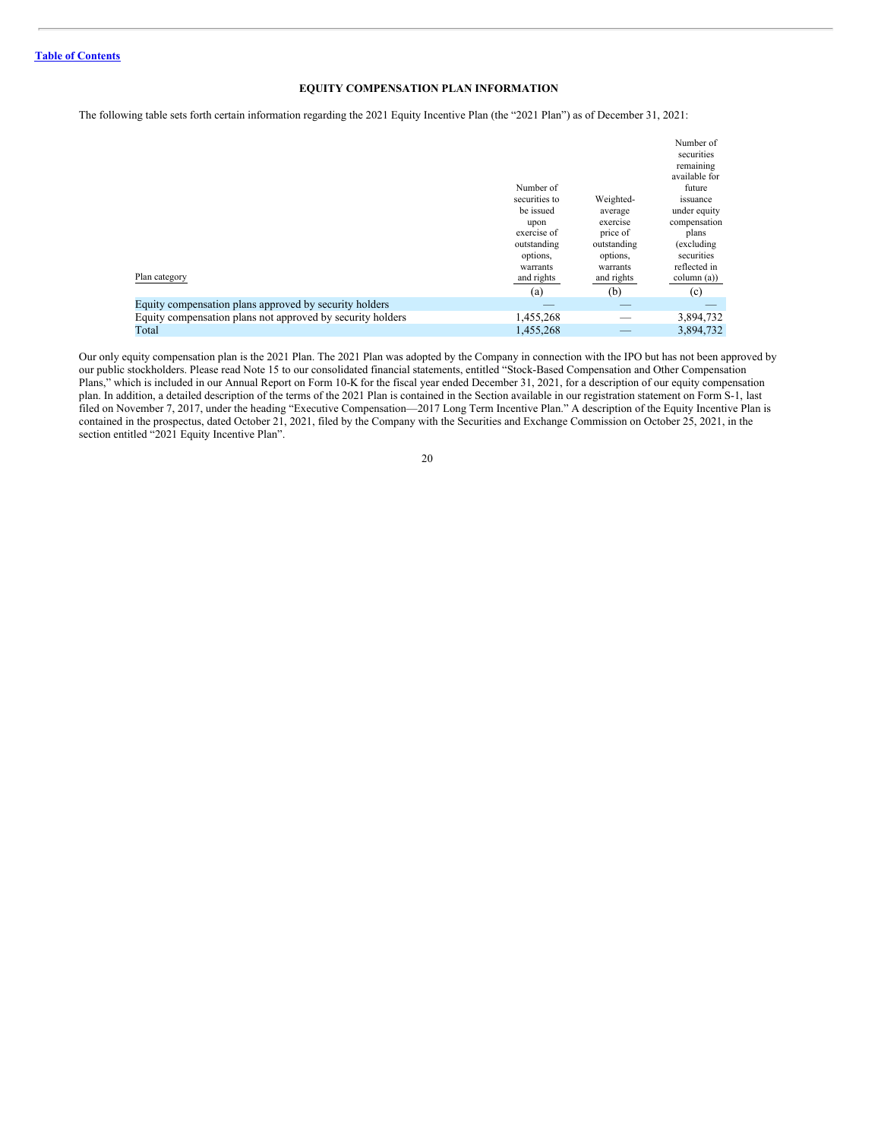# <span id="page-22-0"></span>**EQUITY COMPENSATION PLAN INFORMATION**

The following table sets forth certain information regarding the 2021 Equity Incentive Plan (the "2021 Plan") as of December 31, 2021:

| Plan category                                              | Number of<br>securities to<br>be issued<br>upon<br>exercise of<br>outstanding<br>options,<br>warrants<br>and rights<br>(a) | Weighted-<br>average<br>exercise<br>price of<br>outstanding<br>options.<br>warrants<br>and rights<br>(b) | Number of<br>securities<br>remaining<br>available for<br>future<br>issuance<br>under equity<br>compensation<br>plans<br>(excluding)<br>securities<br>reflected in<br>column (a))<br>(c) |
|------------------------------------------------------------|----------------------------------------------------------------------------------------------------------------------------|----------------------------------------------------------------------------------------------------------|-----------------------------------------------------------------------------------------------------------------------------------------------------------------------------------------|
| Equity compensation plans approved by security holders     |                                                                                                                            |                                                                                                          |                                                                                                                                                                                         |
| Equity compensation plans not approved by security holders | 1,455,268                                                                                                                  |                                                                                                          | 3,894,732                                                                                                                                                                               |
| Total                                                      | 1,455,268                                                                                                                  |                                                                                                          | 3,894,732                                                                                                                                                                               |

Our only equity compensation plan is the 2021 Plan. The 2021 Plan was adopted by the Company in connection with the IPO but has not been approved by our public stockholders. Please read Note 15 to our consolidated financial statements, entitled "Stock-Based Compensation and Other Compensation Plans," which is included in our Annual Report on Form 10-K for the fiscal year ended December 31, 2021, for a description of our equity compensation plan. In addition, a detailed description of the terms of the 2021 Plan is contained in the Section available in our registration statement on Form S-1, last filed on November 7, 2017, under the heading "Executive Compensation—2017 Long Term Incentive Plan." A description of the Equity Incentive Plan is contained in the prospectus, dated October 21, 2021, filed by the Company with the Securities and Exchange Commission on October 25, 2021, in the section entitled "2021 Equity Incentive Plan".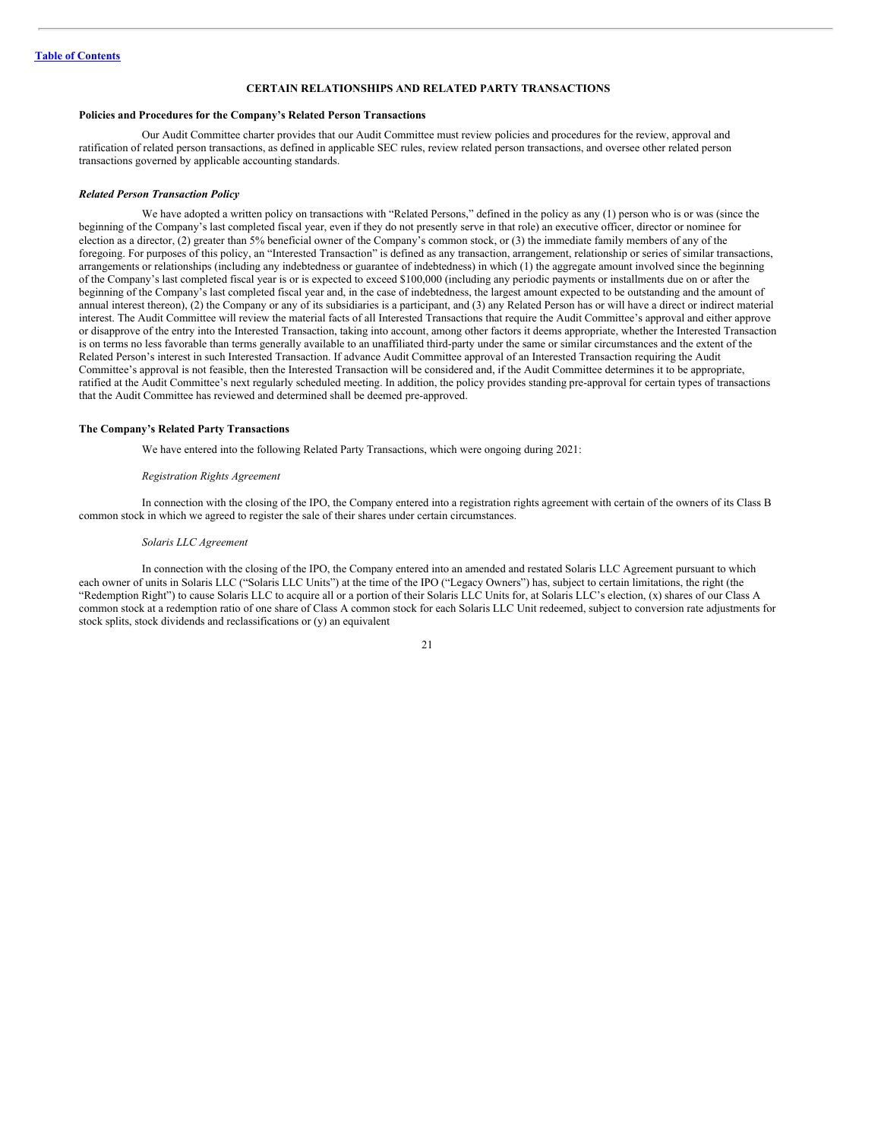# <span id="page-23-0"></span>**CERTAIN RELATIONSHIPS AND RELATED PARTY TRANSACTIONS**

#### **Policies and Procedures for the Company's Related Person Transactions**

Our Audit Committee charter provides that our Audit Committee must review policies and procedures for the review, approval and ratification of related person transactions, as defined in applicable SEC rules, review related person transactions, and oversee other related person transactions governed by applicable accounting standards.

#### *Related Person Transaction Policy*

We have adopted a written policy on transactions with "Related Persons," defined in the policy as any (1) person who is or was (since the beginning of the Company's last completed fiscal year, even if they do not presently serve in that role) an executive officer, director or nominee for election as a director, (2) greater than 5% beneficial owner of the Company's common stock, or (3) the immediate family members of any of the foregoing. For purposes of this policy, an "Interested Transaction" is defined as any transaction, arrangement, relationship or series of similar transactions, arrangements or relationships (including any indebtedness or guarantee of indebtedness) in which (1) the aggregate amount involved since the beginning of the Company's last completed fiscal year is or is expected to exceed \$100,000 (including any periodic payments or installments due on or after the beginning of the Company's last completed fiscal year and, in the case of indebtedness, the largest amount expected to be outstanding and the amount of annual interest thereon), (2) the Company or any of its subsidiaries is a participant, and (3) any Related Person has or will have a direct or indirect material interest. The Audit Committee will review the material facts of all Interested Transactions that require the Audit Committee's approval and either approve or disapprove of the entry into the Interested Transaction, taking into account, among other factors it deems appropriate, whether the Interested Transaction is on terms no less favorable than terms generally available to an unaffiliated third-party under the same or similar circumstances and the extent of the Related Person's interest in such Interested Transaction. If advance Audit Committee approval of an Interested Transaction requiring the Audit Committee's approval is not feasible, then the Interested Transaction will be considered and, if the Audit Committee determines it to be appropriate, ratified at the Audit Committee's next regularly scheduled meeting. In addition, the policy provides standing pre-approval for certain types of transactions that the Audit Committee has reviewed and determined shall be deemed pre-approved.

### **The Company's Related Party Transactions**

We have entered into the following Related Party Transactions, which were ongoing during 2021:

#### *Registration Rights Agreement*

In connection with the closing of the IPO, the Company entered into a registration rights agreement with certain of the owners of its Class B common stock in which we agreed to register the sale of their shares under certain circumstances.

#### *Solaris LLC Agreement*

In connection with the closing of the IPO, the Company entered into an amended and restated Solaris LLC Agreement pursuant to which each owner of units in Solaris LLC ("Solaris LLC Units") at the time of the IPO ("Legacy Owners") has, subject to certain limitations, the right (the "Redemption Right") to cause Solaris LLC to acquire all or a portion of their Solaris LLC Units for, at Solaris LLC's election, (x) shares of our Class A common stock at a redemption ratio of one share of Class A common stock for each Solaris LLC Unit redeemed, subject to conversion rate adjustments for stock splits, stock dividends and reclassifications or (y) an equivalent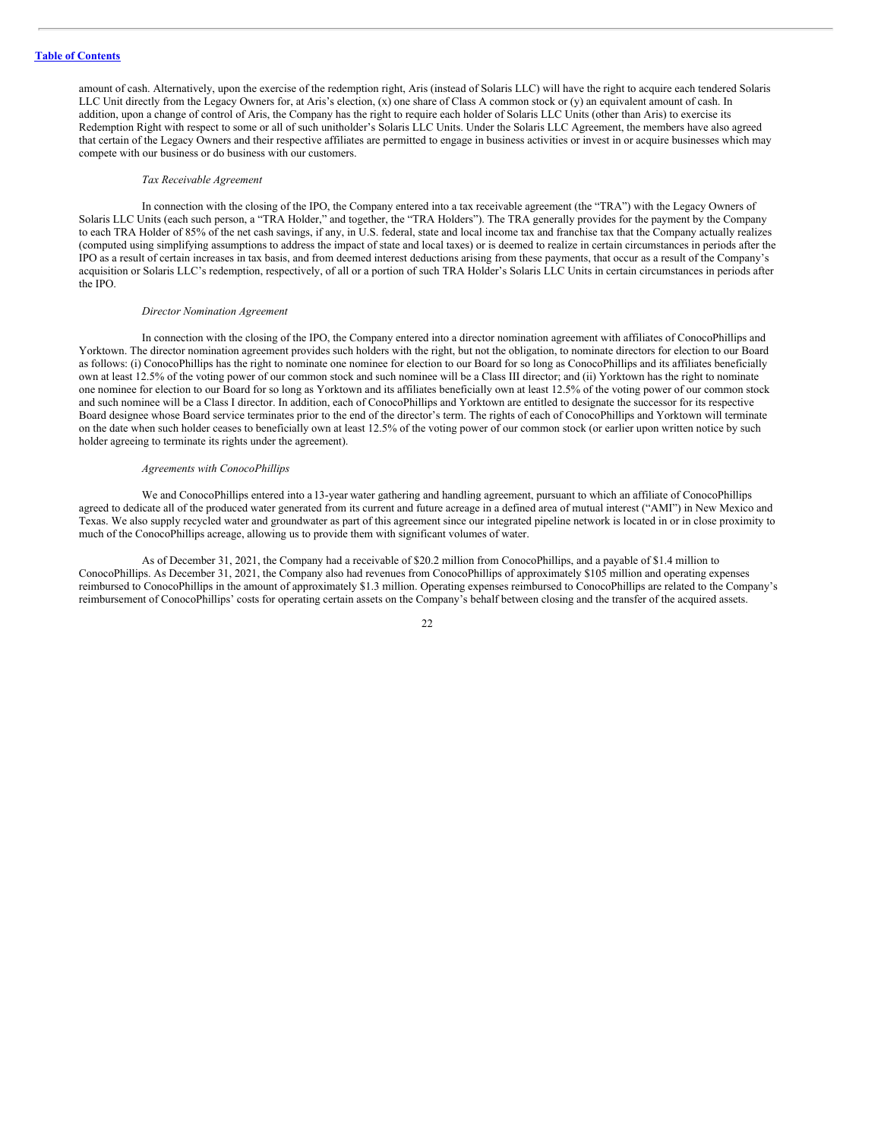amount of cash. Alternatively, upon the exercise of the redemption right, Aris (instead of Solaris LLC) will have the right to acquire each tendered Solaris LLC Unit directly from the Legacy Owners for, at Aris's election, (x) one share of Class A common stock or (y) an equivalent amount of cash. In addition, upon a change of control of Aris, the Company has the right to require each holder of Solaris LLC Units (other than Aris) to exercise its Redemption Right with respect to some or all of such unitholder's Solaris LLC Units. Under the Solaris LLC Agreement, the members have also agreed that certain of the Legacy Owners and their respective affiliates are permitted to engage in business activities or invest in or acquire businesses which may compete with our business or do business with our customers.

### *Tax Receivable Agreement*

In connection with the closing of the IPO, the Company entered into a tax receivable agreement (the "TRA") with the Legacy Owners of Solaris LLC Units (each such person, a "TRA Holder," and together, the "TRA Holders"). The TRA generally provides for the payment by the Company to each TRA Holder of 85% of the net cash savings, if any, in U.S. federal, state and local income tax and franchise tax that the Company actually realizes (computed using simplifying assumptions to address the impact of state and local taxes) or is deemed to realize in certain circumstances in periods after the IPO as a result of certain increases in tax basis, and from deemed interest deductions arising from these payments, that occur as a result of the Company's acquisition or Solaris LLC's redemption, respectively, of all or a portion of such TRA Holder's Solaris LLC Units in certain circumstances in periods after the IPO.

#### *Director Nomination Agreement*

In connection with the closing of the IPO, the Company entered into a director nomination agreement with affiliates of ConocoPhillips and Yorktown. The director nomination agreement provides such holders with the right, but not the obligation, to nominate directors for election to our Board as follows: (i) ConocoPhillips has the right to nominate one nominee for election to our Board for so long as ConocoPhillips and its affiliates beneficially own at least 12.5% of the voting power of our common stock and such nominee will be a Class III director; and (ii) Yorktown has the right to nominate one nominee for election to our Board for so long as Yorktown and its affiliates beneficially own at least 12.5% of the voting power of our common stock and such nominee will be a Class I director. In addition, each of ConocoPhillips and Yorktown are entitled to designate the successor for its respective Board designee whose Board service terminates prior to the end of the director's term. The rights of each of ConocoPhillips and Yorktown will terminate on the date when such holder ceases to beneficially own at least 12.5% of the voting power of our common stock (or earlier upon written notice by such holder agreeing to terminate its rights under the agreement).

#### *Agreements with ConocoPhillips*

We and ConocoPhillips entered into a 13-year water gathering and handling agreement, pursuant to which an affiliate of ConocoPhillips agreed to dedicate all of the produced water generated from its current and future acreage in a defined area of mutual interest ("AMI") in New Mexico and Texas. We also supply recycled water and groundwater as part of this agreement since our integrated pipeline network is located in or in close proximity to much of the ConocoPhillips acreage, allowing us to provide them with significant volumes of water.

As of December 31, 2021, the Company had a receivable of \$20.2 million from ConocoPhillips, and a payable of \$1.4 million to ConocoPhillips. As December 31, 2021, the Company also had revenues from ConocoPhillips of approximately \$105 million and operating expenses reimbursed to ConocoPhillips in the amount of approximately \$1.3 million. Operating expenses reimbursed to ConocoPhillips are related to the Company's reimbursement of ConocoPhillips' costs for operating certain assets on the Company's behalf between closing and the transfer of the acquired assets.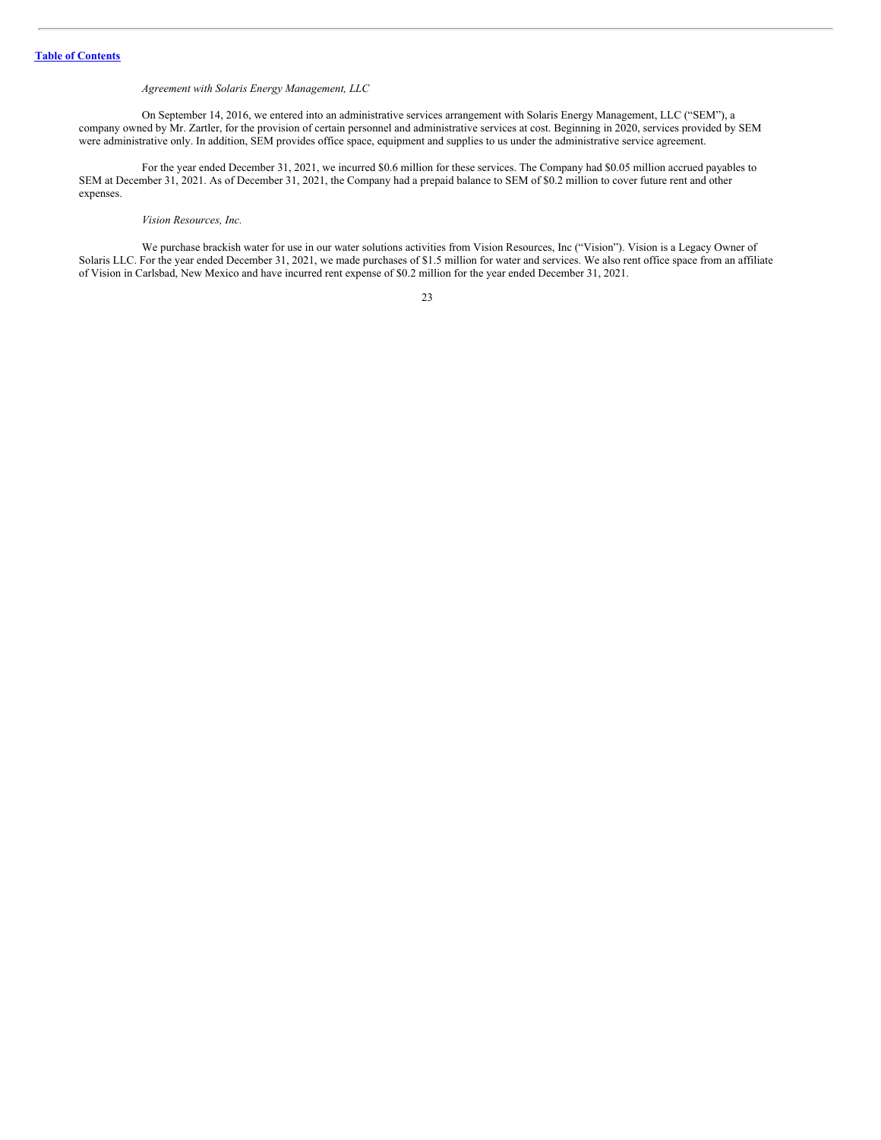# *Agreement with Solaris Energy Management, LLC*

On September 14, 2016, we entered into an administrative services arrangement with Solaris Energy Management, LLC ("SEM"), a company owned by Mr. Zartler, for the provision of certain personnel and administrative services at cost. Beginning in 2020, services provided by SEM were administrative only. In addition, SEM provides office space, equipment and supplies to us under the administrative service agreement.

For the year ended December 31, 2021, we incurred \$0.6 million for these services. The Company had \$0.05 million accrued payables to SEM at December 31, 2021. As of December 31, 2021, the Company had a prepaid balance to SEM of \$0.2 million to cover future rent and other expenses.

### *Vision Resources, Inc.*

We purchase brackish water for use in our water solutions activities from Vision Resources, Inc ("Vision"). Vision is a Legacy Owner of Solaris LLC. For the year ended December 31, 2021, we made purchases of \$1.5 million for water and services. We also rent office space from an affiliate of Vision in Carlsbad, New Mexico and have incurred rent expense of \$0.2 million for the year ended December 31, 2021.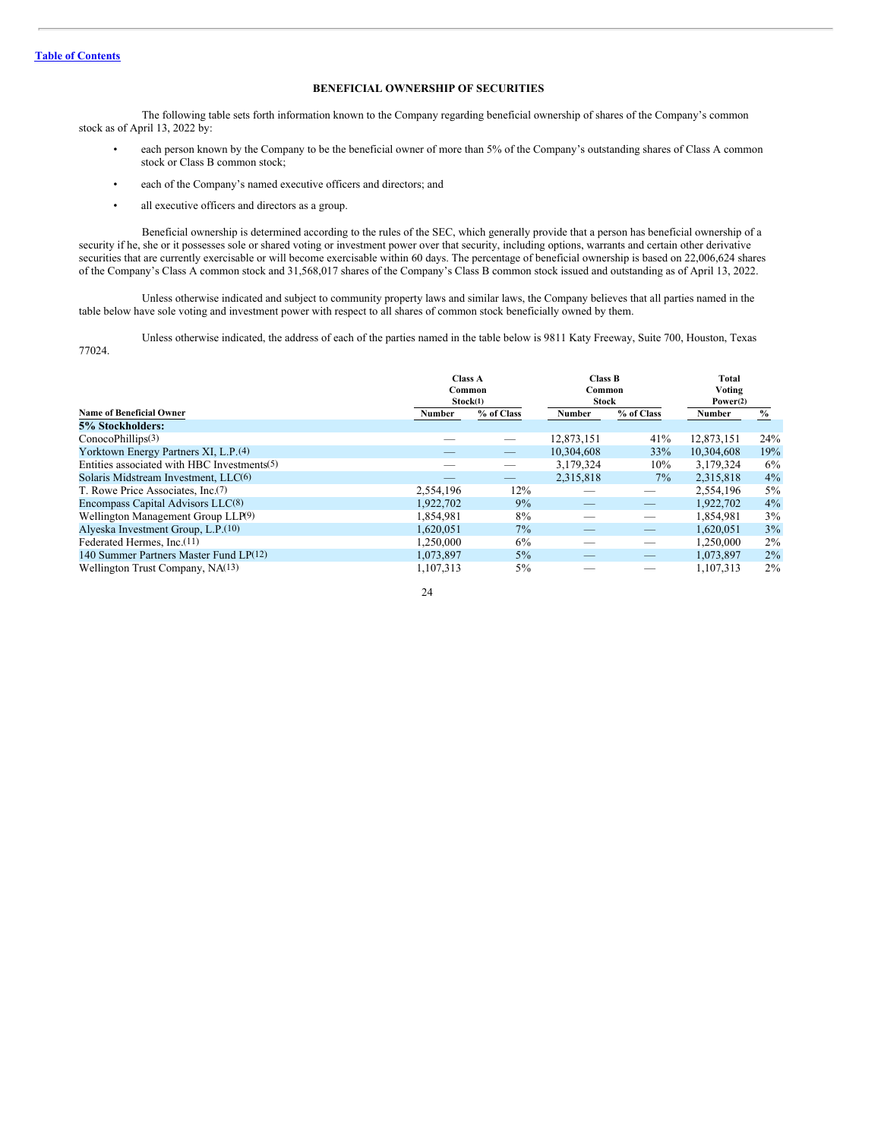# <span id="page-26-0"></span>**BENEFICIAL OWNERSHIP OF SECURITIES**

The following table sets forth information known to the Company regarding beneficial ownership of shares of the Company's common stock as of April 13, 2022 by:

- each person known by the Company to be the beneficial owner of more than 5% of the Company's outstanding shares of Class A common stock or Class B common stock;
- each of the Company's named executive officers and directors; and
- all executive officers and directors as a group.

Beneficial ownership is determined according to the rules of the SEC, which generally provide that a person has beneficial ownership of a security if he, she or it possesses sole or shared voting or investment power over that security, including options, warrants and certain other derivative securities that are currently exercisable or will become exercisable within 60 days. The percentage of beneficial ownership is based on 22,006,624 shares of the Company's Class A common stock and 31,568,017 shares of the Company's Class B common stock issued and outstanding as of April 13, 2022.

Unless otherwise indicated and subject to community property laws and similar laws, the Company believes that all parties named in the table below have sole voting and investment power with respect to all shares of common stock beneficially owned by them.

Unless otherwise indicated, the address of each of the parties named in the table below is 9811 Katy Freeway, Suite 700, Houston, Texas 77024.

|                                                  | <b>Class A</b><br>Common<br>Stock(1) |            | Class B<br>Common<br><b>Stock</b> |            | Total<br>Voting<br>Power(2) |               |
|--------------------------------------------------|--------------------------------------|------------|-----------------------------------|------------|-----------------------------|---------------|
| <b>Name of Beneficial Owner</b>                  | Number                               | % of Class | Number                            | % of Class | Number                      | $\frac{0}{0}$ |
| 5% Stockholders:                                 |                                      |            |                                   |            |                             |               |
| ConocoPhilips(3)                                 |                                      |            | 12,873,151                        | 41%        | 12,873,151                  | 24%           |
| Yorktown Energy Partners XI, L.P. <sup>(4)</sup> |                                      |            | 10.304.608                        | 33%        | 10,304,608                  | 19%           |
| Entities associated with HBC Investments(5)      |                                      |            | 3,179,324                         | $10\%$     | 3,179,324                   | $6\%$         |
| Solaris Midstream Investment, LLC(6)             |                                      |            | 2,315,818                         | $7\%$      | 2,315,818                   | 4%            |
| T. Rowe Price Associates, Inc.(7)                | 2,554,196                            | 12%        |                                   |            | 2,554,196                   | 5%            |
| Encompass Capital Advisors LLC(8)                | 1.922.702                            | 9%         |                                   |            | 1.922.702                   | 4%            |
| Wellington Management Group LLP(9)               | 1,854,981                            | 8%         |                                   | –          | 1,854,981                   | 3%            |
| Alyeska Investment Group, L.P.(10)               | 1.620.051                            | 7%         |                                   | --         | 1.620.051                   | 3%            |
| Federated Hermes, Inc. <sup>(11)</sup>           | 1.250,000                            | 6%         |                                   | _          | 1.250.000                   | $2\%$         |
| 140 Summer Partners Master Fund LP(12)           | 1.073.897                            | $5\%$      |                                   | _          | 1,073,897                   | $2\%$         |
| Wellington Trust Company, NA(13)                 | 1.107.313                            | $5\%$      |                                   |            | 1.107.313                   | $2\%$         |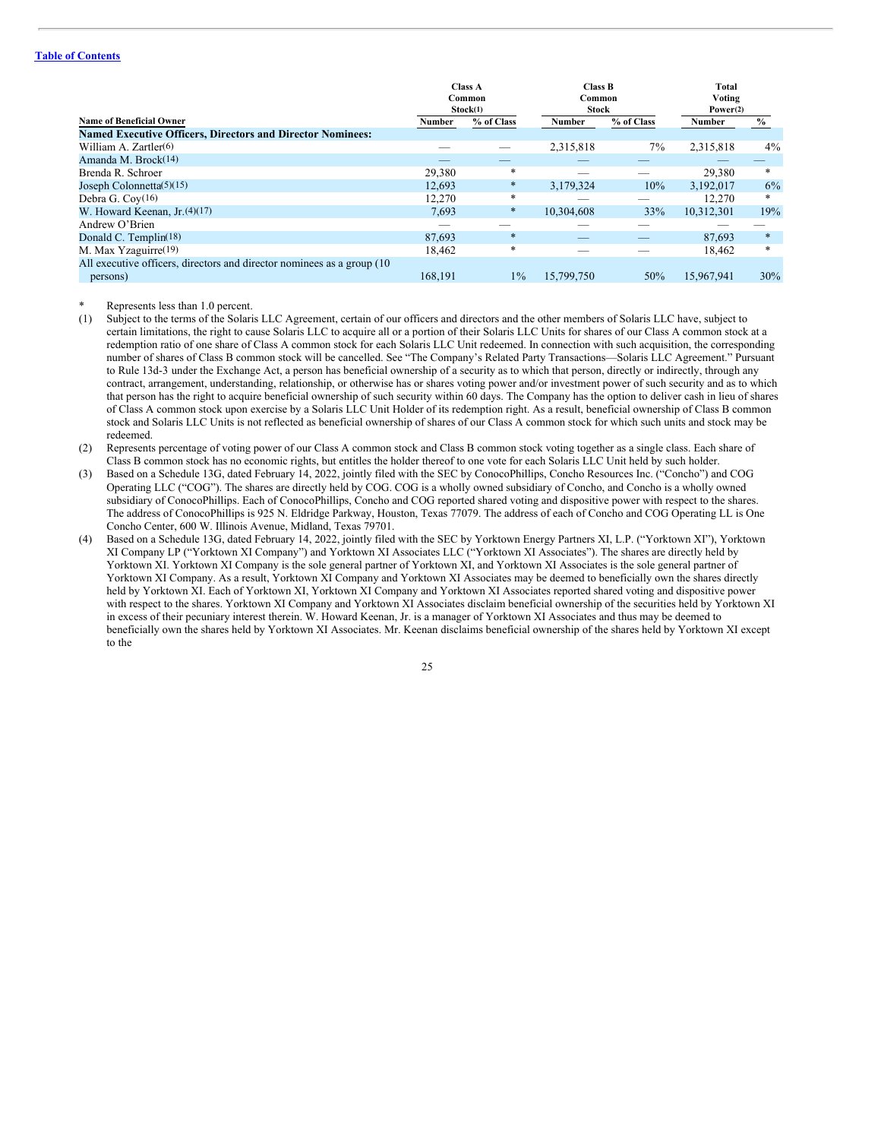## **Table of [Contents](#page-2-0)**

|                                                                         | <b>Class A</b><br>Common<br>Stock(1) |            | <b>Class B</b><br>Common<br><b>Stock</b> |            | Total<br>Voting<br>Power(2) |        |
|-------------------------------------------------------------------------|--------------------------------------|------------|------------------------------------------|------------|-----------------------------|--------|
| <b>Name of Beneficial Owner</b>                                         | Number                               | % of Class | Number                                   | % of Class | Number                      | $\%$   |
| <b>Named Executive Officers, Directors and Director Nominees:</b>       |                                      |            |                                          |            |                             |        |
| William A. Zartler(6)                                                   |                                      |            | 2,315,818                                | $7\%$      | 2,315,818                   | $4\%$  |
| Amanda M. Brock <sup>(14)</sup>                                         |                                      |            |                                          |            |                             |        |
| Brenda R. Schroer                                                       | 29,380                               | *          |                                          |            | 29,380                      | *      |
| Joseph Colonnetta $(5)(15)$                                             | 12,693                               | $\ast$     | 3,179,324                                | 10%        | 3,192,017                   | $6\%$  |
| Debra G. Coy $(16)$                                                     | 12,270                               | $\ast$     |                                          |            | 12,270                      | $\ast$ |
| W. Howard Keenan, $Jr(4)(17)$                                           | 7.693                                | $\ast$     | 10.304.608                               | 33%        | 10.312.301                  | 19%    |
| Andrew O'Brien                                                          |                                      |            |                                          |            |                             |        |
| Donald C. Templin $(18)$                                                | 87.693                               | $\ast$     | _                                        |            | 87.693                      | $\ast$ |
| M. Max Yzaguirre(19)                                                    | 18,462                               | *          |                                          |            | 18,462                      | $*$    |
| All executive officers, directors and director nominees as a group (10) |                                      |            |                                          |            |                             |        |
| persons)                                                                | 168.191                              | $1\%$      | 15,799,750                               | 50%        | 15.967.941                  | 30%    |

Represents less than 1.0 percent.

- (1) Subject to the terms of the Solaris LLC Agreement, certain of our officers and directors and the other members of Solaris LLC have, subject to certain limitations, the right to cause Solaris LLC to acquire all or a portion of their Solaris LLC Units for shares of our Class A common stock at a redemption ratio of one share of Class A common stock for each Solaris LLC Unit redeemed. In connection with such acquisition, the corresponding number of shares of Class B common stock will be cancelled. See "The Company's Related Party Transactions—Solaris LLC Agreement." Pursuant to Rule 13d-3 under the Exchange Act, a person has beneficial ownership of a security as to which that person, directly or indirectly, through any contract, arrangement, understanding, relationship, or otherwise has or shares voting power and/or investment power of such security and as to which that person has the right to acquire beneficial ownership of such security within 60 days. The Company has the option to deliver cash in lieu of shares of Class A common stock upon exercise by a Solaris LLC Unit Holder of its redemption right. As a result, beneficial ownership of Class B common stock and Solaris LLC Units is not reflected as beneficial ownership of shares of our Class A common stock for which such units and stock may be redeemed.
- (2) Represents percentage of voting power of our Class A common stock and Class B common stock voting together as a single class. Each share of Class B common stock has no economic rights, but entitles the holder thereof to one vote for each Solaris LLC Unit held by such holder.
- (3) Based on a Schedule 13G, dated February 14, 2022, jointly filed with the SEC by ConocoPhillips, Concho Resources Inc. ("Concho") and COG Operating LLC ("COG"). The shares are directly held by COG. COG is a wholly owned subsidiary of Concho, and Concho is a wholly owned subsidiary of ConocoPhillips. Each of ConocoPhillips, Concho and COG reported shared voting and dispositive power with respect to the shares. The address of ConocoPhillips is 925 N. Eldridge Parkway, Houston, Texas 77079. The address of each of Concho and COG Operating LL is One Concho Center, 600 W. Illinois Avenue, Midland, Texas 79701.
- (4) Based on a Schedule 13G, dated February 14, 2022, jointly filed with the SEC by Yorktown Energy Partners XI, L.P. ("Yorktown XI"), Yorktown XI Company LP ("Yorktown XI Company") and Yorktown XI Associates LLC ("Yorktown XI Associates"). The shares are directly held by Yorktown XI. Yorktown XI Company is the sole general partner of Yorktown XI, and Yorktown XI Associates is the sole general partner of Yorktown XI Company. As a result, Yorktown XI Company and Yorktown XI Associates may be deemed to beneficially own the shares directly held by Yorktown XI. Each of Yorktown XI, Yorktown XI Company and Yorktown XI Associates reported shared voting and dispositive power with respect to the shares. Yorktown XI Company and Yorktown XI Associates disclaim beneficial ownership of the securities held by Yorktown XI in excess of their pecuniary interest therein. W. Howard Keenan, Jr. is a manager of Yorktown XI Associates and thus may be deemed to beneficially own the shares held by Yorktown XI Associates. Mr. Keenan disclaims beneficial ownership of the shares held by Yorktown XI except to the

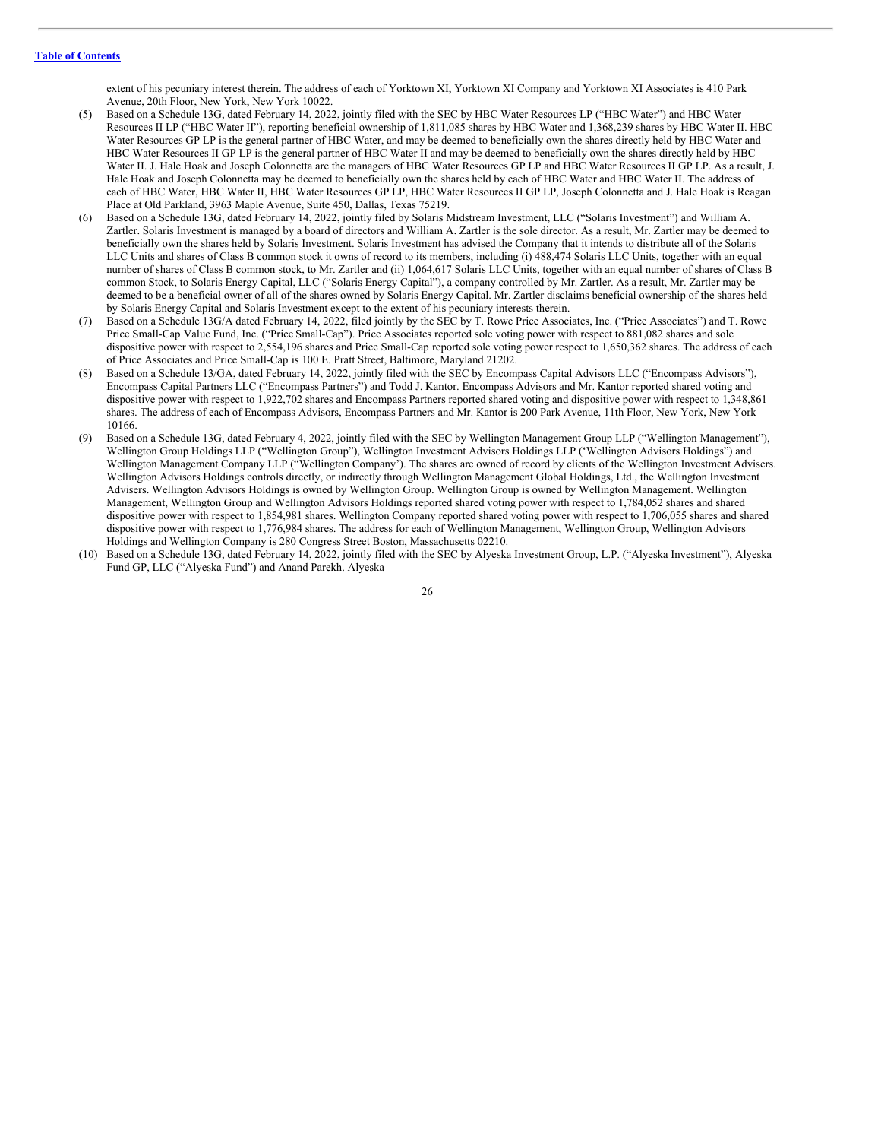extent of his pecuniary interest therein. The address of each of Yorktown XI, Yorktown XI Company and Yorktown XI Associates is 410 Park Avenue, 20th Floor, New York, New York 10022.

- Based on a Schedule 13G, dated February 14, 2022, jointly filed with the SEC by HBC Water Resources LP ("HBC Water") and HBC Water Resources II LP ("HBC Water II"), reporting beneficial ownership of 1,811,085 shares by HBC Water and 1,368,239 shares by HBC Water II. HBC Water Resources GP LP is the general partner of HBC Water, and may be deemed to beneficially own the shares directly held by HBC Water and HBC Water Resources II GP LP is the general partner of HBC Water II and may be deemed to beneficially own the shares directly held by HBC Water II. J. Hale Hoak and Joseph Colonnetta are the managers of HBC Water Resources GP LP and HBC Water Resources II GP LP. As a result, J. Hale Hoak and Joseph Colonnetta may be deemed to beneficially own the shares held by each of HBC Water and HBC Water II. The address of each of HBC Water, HBC Water II, HBC Water Resources GP LP, HBC Water Resources II GP LP, Joseph Colonnetta and J. Hale Hoak is Reagan Place at Old Parkland, 3963 Maple Avenue, Suite 450, Dallas, Texas 75219.
- (6) Based on a Schedule 13G, dated February 14, 2022, jointly filed by Solaris Midstream Investment, LLC ("Solaris Investment") and William A. Zartler. Solaris Investment is managed by a board of directors and William A. Zartler is the sole director. As a result, Mr. Zartler may be deemed to beneficially own the shares held by Solaris Investment. Solaris Investment has advised the Company that it intends to distribute all of the Solaris LLC Units and shares of Class B common stock it owns of record to its members, including (i) 488,474 Solaris LLC Units, together with an equal number of shares of Class B common stock, to Mr. Zartler and (ii) 1,064,617 Solaris LLC Units, together with an equal number of shares of Class B common Stock, to Solaris Energy Capital, LLC ("Solaris Energy Capital"), a company controlled by Mr. Zartler. As a result, Mr. Zartler may be deemed to be a beneficial owner of all of the shares owned by Solaris Energy Capital. Mr. Zartler disclaims beneficial ownership of the shares held by Solaris Energy Capital and Solaris Investment except to the extent of his pecuniary interests therein.
- (7) Based on a Schedule 13G/A dated February 14, 2022, filed jointly by the SEC by T. Rowe Price Associates, Inc. ("Price Associates") and T. Rowe Price Small-Cap Value Fund, Inc. ("Price Small-Cap"). Price Associates reported sole voting power with respect to 881,082 shares and sole dispositive power with respect to 2,554,196 shares and Price Small-Cap reported sole voting power respect to 1,650,362 shares. The address of each of Price Associates and Price Small-Cap is 100 E. Pratt Street, Baltimore, Maryland 21202.
- Based on a Schedule 13/GA, dated February 14, 2022, jointly filed with the SEC by Encompass Capital Advisors LLC ("Encompass Advisors"), Encompass Capital Partners LLC ("Encompass Partners") and Todd J. Kantor. Encompass Advisors and Mr. Kantor reported shared voting and dispositive power with respect to 1,922,702 shares and Encompass Partners reported shared voting and dispositive power with respect to 1,348,861 shares. The address of each of Encompass Advisors, Encompass Partners and Mr. Kantor is 200 Park Avenue, 11th Floor, New York, New York 10166.
- (9) Based on a Schedule 13G, dated February 4, 2022, jointly filed with the SEC by Wellington Management Group LLP ("Wellington Management"), Wellington Group Holdings LLP ("Wellington Group"), Wellington Investment Advisors Holdings LLP ('Wellington Advisors Holdings") and Wellington Management Company LLP ("Wellington Company'). The shares are owned of record by clients of the Wellington Investment Advisers. Wellington Advisors Holdings controls directly, or indirectly through Wellington Management Global Holdings, Ltd., the Wellington Investment Advisers. Wellington Advisors Holdings is owned by Wellington Group. Wellington Group is owned by Wellington Management. Wellington Management, Wellington Group and Wellington Advisors Holdings reported shared voting power with respect to 1,784,052 shares and shared dispositive power with respect to 1,854,981 shares. Wellington Company reported shared voting power with respect to 1,706,055 shares and shared dispositive power with respect to 1,776,984 shares. The address for each of Wellington Management, Wellington Group, Wellington Advisors Holdings and Wellington Company is 280 Congress Street Boston, Massachusetts 02210.
- (10) Based on a Schedule 13G, dated February 14, 2022, jointly filed with the SEC by Alyeska Investment Group, L.P. ("Alyeska Investment"), Alyeska Fund GP, LLC ("Alyeska Fund") and Anand Parekh. Alyeska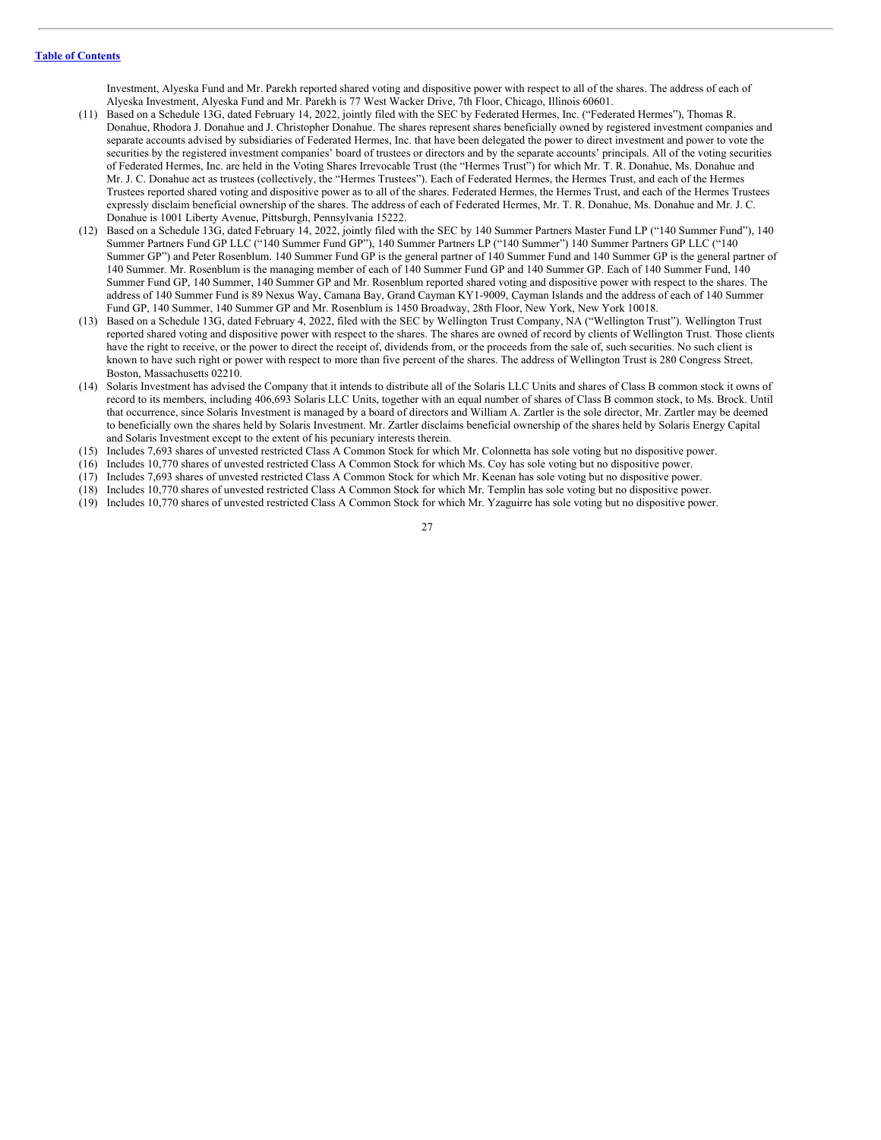Investment, Alyeska Fund and Mr. Parekh reported shared voting and dispositive power with respect to all of the shares. The address of each of Alyeska Investment, Alyeska Fund and Mr. Parekh is 77 West Wacker Drive, 7th Floor, Chicago, Illinois 60601.

- (11) Based on a Schedule 13G, dated February 14, 2022, jointly filed with the SEC by Federated Hermes, Inc. ("Federated Hermes"), Thomas R. Donahue, Rhodora J. Donahue and J. Christopher Donahue. The shares represent shares beneficially owned by registered investment companies and separate accounts advised by subsidiaries of Federated Hermes, Inc. that have been delegated the power to direct investment and power to vote the securities by the registered investment companies' board of trustees or directors and by the separate accounts' principals. All of the voting securities of Federated Hermes, Inc. are held in the Voting Shares Irrevocable Trust (the "Hermes Trust") for which Mr. T. R. Donahue, Ms. Donahue and Mr. J. C. Donahue act as trustees (collectively, the "Hermes Trustees"). Each of Federated Hermes, the Hermes Trust, and each of the Hermes Trustees reported shared voting and dispositive power as to all of the shares. Federated Hermes, the Hermes Trust, and each of the Hermes Trustees expressly disclaim beneficial ownership of the shares. The address of each of Federated Hermes, Mr. T. R. Donahue, Ms. Donahue and Mr. J. C. Donahue is 1001 Liberty Avenue, Pittsburgh, Pennsylvania 15222.
- (12) Based on a Schedule 13G, dated February 14, 2022, jointly filed with the SEC by 140 Summer Partners Master Fund LP ("140 Summer Fund"), 140 Summer Partners Fund GP LLC ("140 Summer Fund GP"), 140 Summer Partners LP ("140 Summer") 140 Summer Partners GP LLC ("140 Summer GP") and Peter Rosenblum. 140 Summer Fund GP is the general partner of 140 Summer Fund and 140 Summer GP is the general partner of 140 Summer. Mr. Rosenblum is the managing member of each of 140 Summer Fund GP and 140 Summer GP. Each of 140 Summer Fund, 140 Summer Fund GP, 140 Summer, 140 Summer GP and Mr. Rosenblum reported shared voting and dispositive power with respect to the shares. The address of 140 Summer Fund is 89 Nexus Way, Camana Bay, Grand Cayman KY1-9009, Cayman Islands and the address of each of 140 Summer Fund GP, 140 Summer, 140 Summer GP and Mr. Rosenblum is 1450 Broadway, 28th Floor, New York, New York 10018.
- (13) Based on a Schedule 13G, dated February 4, 2022, filed with the SEC by Wellington Trust Company, NA ("Wellington Trust"). Wellington Trust reported shared voting and dispositive power with respect to the shares. The shares are owned of record by clients of Wellington Trust. Those clients have the right to receive, or the power to direct the receipt of, dividends from, or the proceeds from the sale of, such securities. No such client is known to have such right or power with respect to more than five percent of the shares. The address of Wellington Trust is 280 Congress Street, Boston, Massachusetts 02210.
- (14) Solaris Investment has advised the Company that it intends to distribute all of the Solaris LLC Units and shares of Class B common stock it owns of record to its members, including 406,693 Solaris LLC Units, together with an equal number of shares of Class B common stock, to Ms. Brock. Until that occurrence, since Solaris Investment is managed by a board of directors and William A. Zartler is the sole director, Mr. Zartler may be deemed to beneficially own the shares held by Solaris Investment. Mr. Zartler disclaims beneficial ownership of the shares held by Solaris Energy Capital and Solaris Investment except to the extent of his pecuniary interests therein.
- (15) Includes 7,693 shares of unvested restricted Class A Common Stock for which Mr. Colonnetta has sole voting but no dispositive power.
- (16) Includes 10,770 shares of unvested restricted Class A Common Stock for which Ms. Coy has sole voting but no dispositive power.
- (17) Includes 7,693 shares of unvested restricted Class A Common Stock for which Mr. Keenan has sole voting but no dispositive power.
- (18) Includes 10,770 shares of unvested restricted Class A Common Stock for which Mr. Templin has sole voting but no dispositive power.
- (19) Includes 10,770 shares of unvested restricted Class A Common Stock for which Mr. Yzaguirre has sole voting but no dispositive power.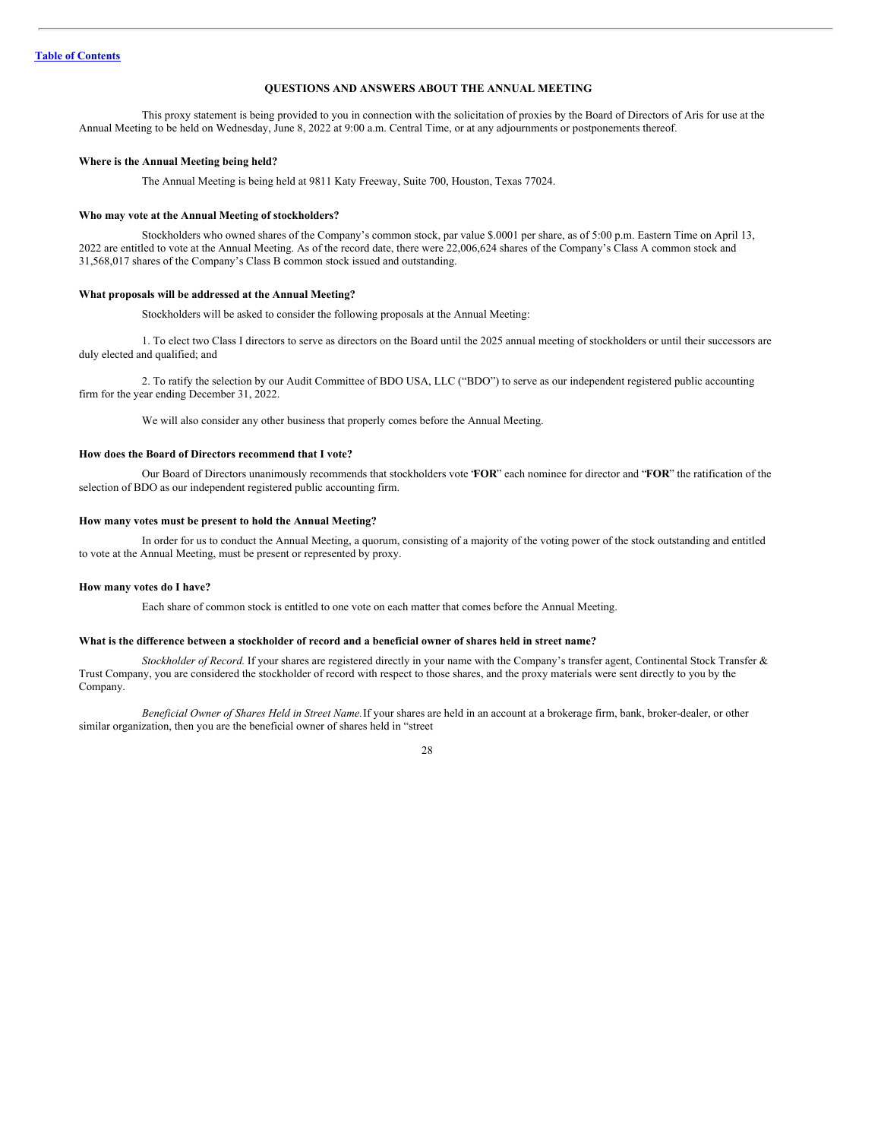# <span id="page-30-0"></span>**QUESTIONS AND ANSWERS ABOUT THE ANNUAL MEETING**

This proxy statement is being provided to you in connection with the solicitation of proxies by the Board of Directors of Aris for use at the Annual Meeting to be held on Wednesday, June 8, 2022 at 9:00 a.m. Central Time, or at any adjournments or postponements thereof.

#### **Where is the Annual Meeting being held?**

The Annual Meeting is being held at 9811 Katy Freeway, Suite 700, Houston, Texas 77024.

#### **Who may vote at the Annual Meeting of stockholders?**

Stockholders who owned shares of the Company's common stock, par value \$.0001 per share, as of 5:00 p.m. Eastern Time on April 13, 2022 are entitled to vote at the Annual Meeting. As of the record date, there were 22,006,624 shares of the Company's Class A common stock and 31,568,017 shares of the Company's Class B common stock issued and outstanding.

#### **What proposals will be addressed at the Annual Meeting?**

Stockholders will be asked to consider the following proposals at the Annual Meeting:

1. To elect two Class I directors to serve as directors on the Board until the 2025 annual meeting of stockholders or until their successors are duly elected and qualified; and

2. To ratify the selection by our Audit Committee of BDO USA, LLC ("BDO") to serve as our independent registered public accounting firm for the year ending December 31, 2022.

We will also consider any other business that properly comes before the Annual Meeting.

### **How does the Board of Directors recommend that I vote?**

Our Board of Directors unanimously recommends that stockholders vote "**FOR**" each nominee for director and "**FOR**" the ratification of the selection of BDO as our independent registered public accounting firm.

#### **How many votes must be present to hold the Annual Meeting?**

In order for us to conduct the Annual Meeting, a quorum, consisting of a majority of the voting power of the stock outstanding and entitled to vote at the Annual Meeting, must be present or represented by proxy.

#### **How many votes do I have?**

Each share of common stock is entitled to one vote on each matter that comes before the Annual Meeting.

#### What is the difference between a stockholder of record and a beneficial owner of shares held in street name?

*Stockholder of Record.* If your shares are registered directly in your name with the Company's transfer agent, Continental Stock Transfer & Trust Company, you are considered the stockholder of record with respect to those shares, and the proxy materials were sent directly to you by the Company.

*Beneficial Owner of Shares Held in Street Name.*If your shares are held in an account at a brokerage firm, bank, broker-dealer, or other similar organization, then you are the beneficial owner of shares held in "street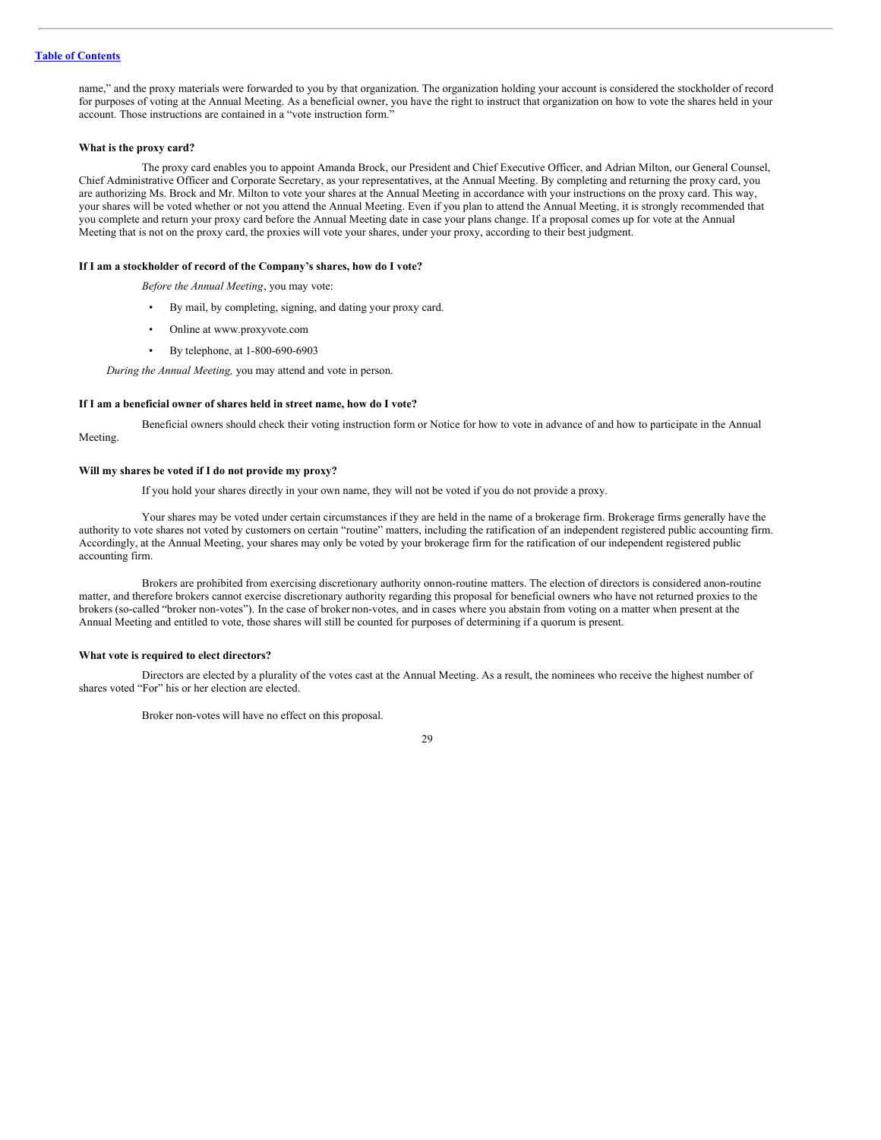#### **Table of [Contents](#page-2-0)**

name," and the proxy materials were forwarded to you by that organization. The organization holding your account is considered the stockholder of record for purposes of voting at the Annual Meeting. As a beneficial owner, you have the right to instruct that organization on how to vote the shares held in your account. Those instructions are contained in a "vote instruction form."

#### **What is the proxy card?**

The proxy card enables you to appoint Amanda Brock, our President and Chief Executive Officer, and Adrian Milton, our General Counsel, Chief Administrative Officer and Corporate Secretary, as your representatives, at the Annual Meeting. By completing and returning the proxy card, you are authorizing Ms. Brock and Mr. Milton to vote your shares at the Annual Meeting in accordance with your instructions on the proxy card. This way, your shares will be voted whether or not you attend the Annual Meeting. Even if you plan to attend the Annual Meeting, it is strongly recommended that you complete and return your proxy card before the Annual Meeting date in case your plans change. If a proposal comes up for vote at the Annual Meeting that is not on the proxy card, the proxies will vote your shares, under your proxy, according to their best judgment.

#### **If I am a stockholder of record of the Company's shares, how do I vote?**

*Before the Annual Meeting*, you may vote:

- By mail, by completing, signing, and dating your proxy card.
- Online at www.proxyvote.com
- By telephone, at 1-800-690-6903

*During the Annual Meeting,* you may attend and vote in person.

# **If I am a beneficial owner of shares held in street name, how do I vote?**

Beneficial owners should check their voting instruction form or Notice for how to vote in advance of and how to participate in the Annual Meeting.

# **Will my shares be voted if I do not provide my proxy?**

If you hold your shares directly in your own name, they will not be voted if you do not provide a proxy.

Your shares may be voted under certain circumstances if they are held in the name of a brokerage firm. Brokerage firms generally have the authority to vote shares not voted by customers on certain "routine" matters, including the ratification of an independent registered public accounting firm. Accordingly, at the Annual Meeting, your shares may only be voted by your brokerage firm for the ratification of our independent registered public accounting firm.

Brokers are prohibited from exercising discretionary authority onnon-routine matters. The election of directors is considered anon-routine matter, and therefore brokers cannot exercise discretionary authority regarding this proposal for beneficial owners who have not returned proxies to the brokers (so-called "broker non-votes"). In the case of broker non-votes, and in cases where you abstain from voting on a matter when present at the Annual Meeting and entitled to vote, those shares will still be counted for purposes of determining if a quorum is present.

#### **What vote is required to elect directors?**

Directors are elected by a plurality of the votes cast at the Annual Meeting. As a result, the nominees who receive the highest number of shares voted "For" his or her election are elected.

Broker non-votes will have no effect on this proposal.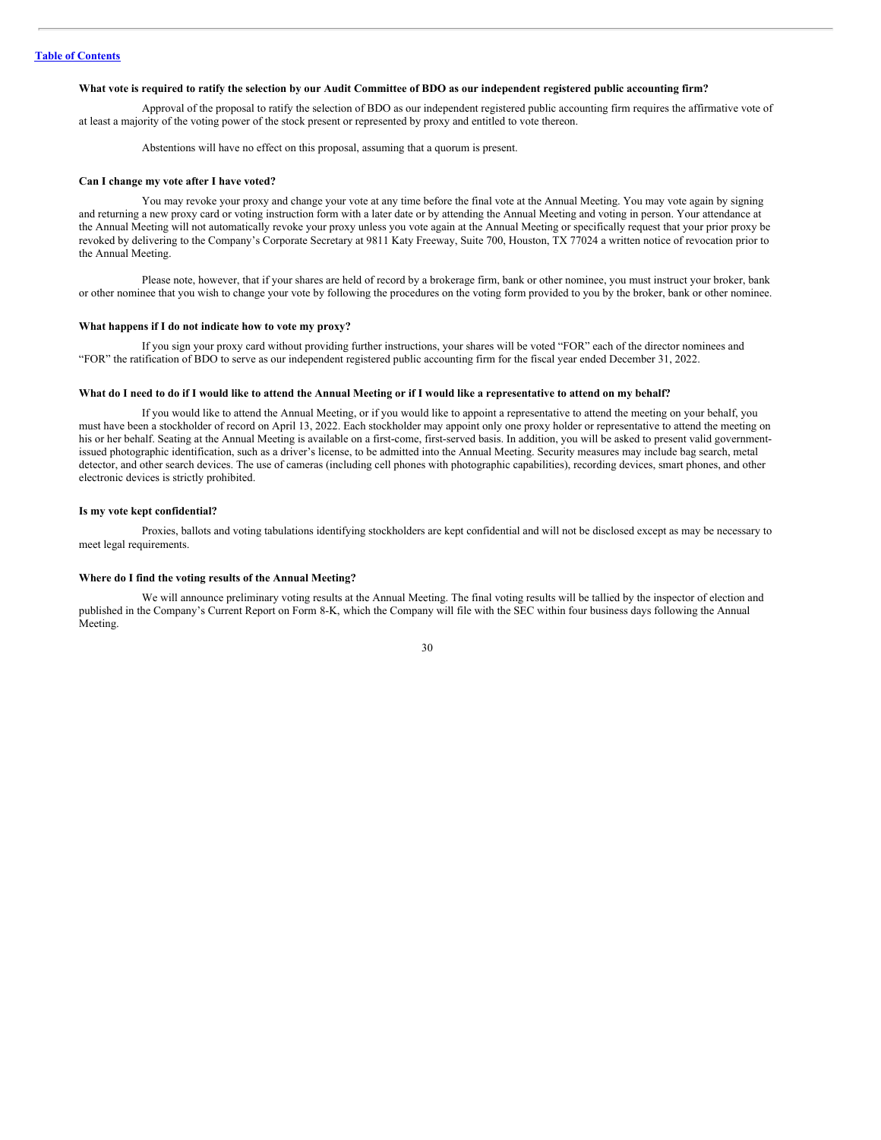# What vote is required to ratify the selection by our Audit Committee of BDO as our independent registered public accounting firm?

Approval of the proposal to ratify the selection of BDO as our independent registered public accounting firm requires the affirmative vote of at least a majority of the voting power of the stock present or represented by proxy and entitled to vote thereon.

Abstentions will have no effect on this proposal, assuming that a quorum is present.

#### **Can I change my vote after I have voted?**

You may revoke your proxy and change your vote at any time before the final vote at the Annual Meeting. You may vote again by signing and returning a new proxy card or voting instruction form with a later date or by attending the Annual Meeting and voting in person. Your attendance at the Annual Meeting will not automatically revoke your proxy unless you vote again at the Annual Meeting or specifically request that your prior proxy be revoked by delivering to the Company's Corporate Secretary at 9811 Katy Freeway, Suite 700, Houston, TX 77024 a written notice of revocation prior to the Annual Meeting.

Please note, however, that if your shares are held of record by a brokerage firm, bank or other nominee, you must instruct your broker, bank or other nominee that you wish to change your vote by following the procedures on the voting form provided to you by the broker, bank or other nominee.

#### **What happens if I do not indicate how to vote my proxy?**

If you sign your proxy card without providing further instructions, your shares will be voted "FOR" each of the director nominees and "FOR" the ratification of BDO to serve as our independent registered public accounting firm for the fiscal year ended December 31, 2022.

#### What do I need to do if I would like to attend the Annual Meeting or if I would like a representative to attend on my behalf?

If you would like to attend the Annual Meeting, or if you would like to appoint a representative to attend the meeting on your behalf, you must have been a stockholder of record on April 13, 2022. Each stockholder may appoint only one proxy holder or representative to attend the meeting on his or her behalf. Seating at the Annual Meeting is available on a first-come, first-served basis. In addition, you will be asked to present valid governmentissued photographic identification, such as a driver's license, to be admitted into the Annual Meeting. Security measures may include bag search, metal detector, and other search devices. The use of cameras (including cell phones with photographic capabilities), recording devices, smart phones, and other electronic devices is strictly prohibited.

#### **Is my vote kept confidential?**

Proxies, ballots and voting tabulations identifying stockholders are kept confidential and will not be disclosed except as may be necessary to meet legal requirements.

#### **Where do I find the voting results of the Annual Meeting?**

We will announce preliminary voting results at the Annual Meeting. The final voting results will be tallied by the inspector of election and published in the Company's Current Report on Form 8-K, which the Company will file with the SEC within four business days following the Annual Meeting.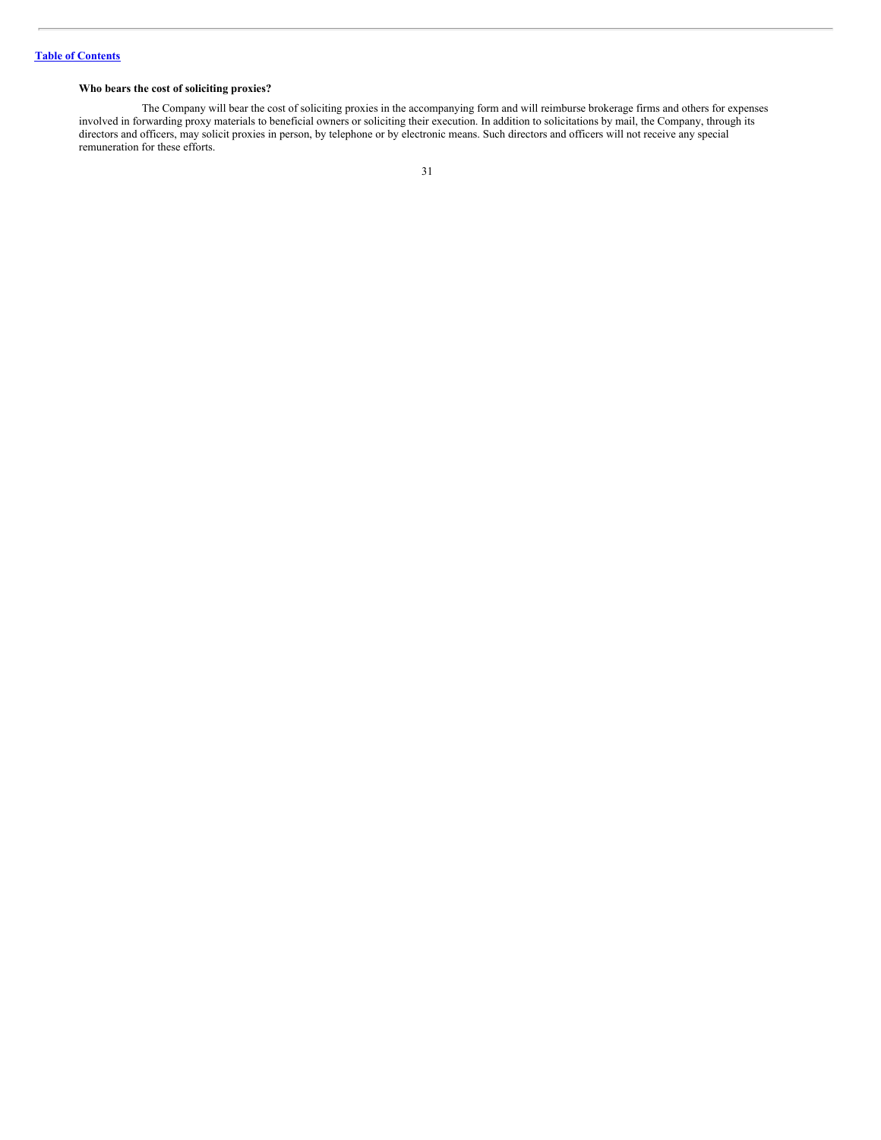# **Who bears the cost of soliciting proxies?**

The Company will bear the cost of soliciting proxies in the accompanying form and will reimburse brokerage firms and others for expenses involved in forwarding proxy materials to beneficial owners or soliciting their execution. In addition to solicitations by mail, the Company, through its directors and officers, may solicit proxies in person, by telephone or by electronic means. Such directors and officers will not receive any special remuneration for these efforts.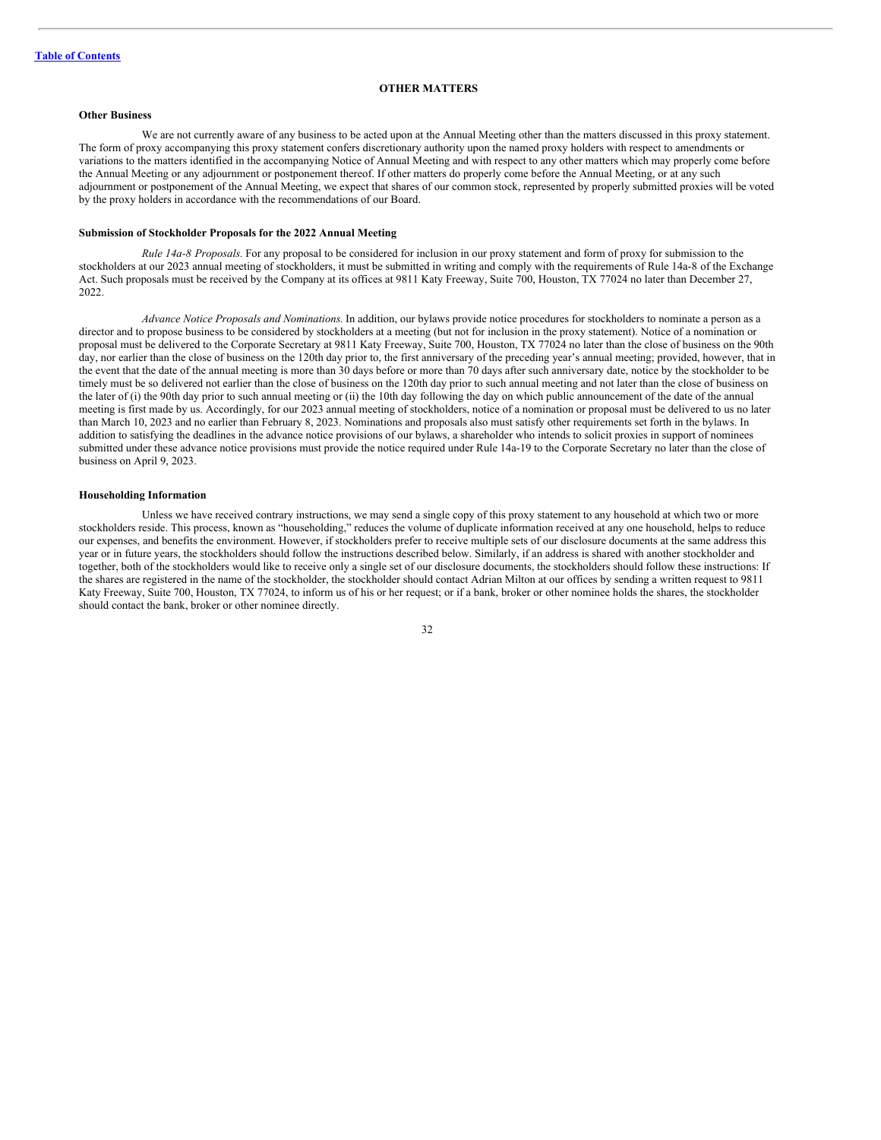# <span id="page-34-0"></span>**OTHER MATTERS**

# **Other Business**

We are not currently aware of any business to be acted upon at the Annual Meeting other than the matters discussed in this proxy statement. The form of proxy accompanying this proxy statement confers discretionary authority upon the named proxy holders with respect to amendments or variations to the matters identified in the accompanying Notice of Annual Meeting and with respect to any other matters which may properly come before the Annual Meeting or any adjournment or postponement thereof. If other matters do properly come before the Annual Meeting, or at any such adjournment or postponement of the Annual Meeting, we expect that shares of our common stock, represented by properly submitted proxies will be voted by the proxy holders in accordance with the recommendations of our Board.

#### **Submission of Stockholder Proposals for the 2022 Annual Meeting**

*Rule 14a-8 Proposals.* For any proposal to be considered for inclusion in our proxy statement and form of proxy for submission to the stockholders at our 2023 annual meeting of stockholders, it must be submitted in writing and comply with the requirements of Rule 14a-8 of the Exchange Act. Such proposals must be received by the Company at its offices at 9811 Katy Freeway, Suite 700, Houston, TX 77024 no later than December 27, 2022.

*Advance Notice Proposals and Nominations.* In addition, our bylaws provide notice procedures for stockholders to nominate a person as a director and to propose business to be considered by stockholders at a meeting (but not for inclusion in the proxy statement). Notice of a nomination or proposal must be delivered to the Corporate Secretary at 9811 Katy Freeway, Suite 700, Houston, TX 77024 no later than the close of business on the 90th day, nor earlier than the close of business on the 120th day prior to, the first anniversary of the preceding year's annual meeting; provided, however, that in the event that the date of the annual meeting is more than 30 days before or more than 70 days after such anniversary date, notice by the stockholder to be timely must be so delivered not earlier than the close of business on the 120th day prior to such annual meeting and not later than the close of business on the later of (i) the 90th day prior to such annual meeting or (ii) the 10th day following the day on which public announcement of the date of the annual meeting is first made by us. Accordingly, for our 2023 annual meeting of stockholders, notice of a nomination or proposal must be delivered to us no later than March 10, 2023 and no earlier than February 8, 2023. Nominations and proposals also must satisfy other requirements set forth in the bylaws. In addition to satisfying the deadlines in the advance notice provisions of our bylaws, a shareholder who intends to solicit proxies in support of nominees submitted under these advance notice provisions must provide the notice required under Rule 14a-19 to the Corporate Secretary no later than the close of business on April 9, 2023.

#### **Householding Information**

Unless we have received contrary instructions, we may send a single copy of this proxy statement to any household at which two or more stockholders reside. This process, known as "householding," reduces the volume of duplicate information received at any one household, helps to reduce our expenses, and benefits the environment. However, if stockholders prefer to receive multiple sets of our disclosure documents at the same address this year or in future years, the stockholders should follow the instructions described below. Similarly, if an address is shared with another stockholder and together, both of the stockholders would like to receive only a single set of our disclosure documents, the stockholders should follow these instructions: If the shares are registered in the name of the stockholder, the stockholder should contact Adrian Milton at our offices by sending a written request to 9811 Katy Freeway, Suite 700, Houston, TX 77024, to inform us of his or her request; or if a bank, broker or other nominee holds the shares, the stockholder should contact the bank, broker or other nominee directly.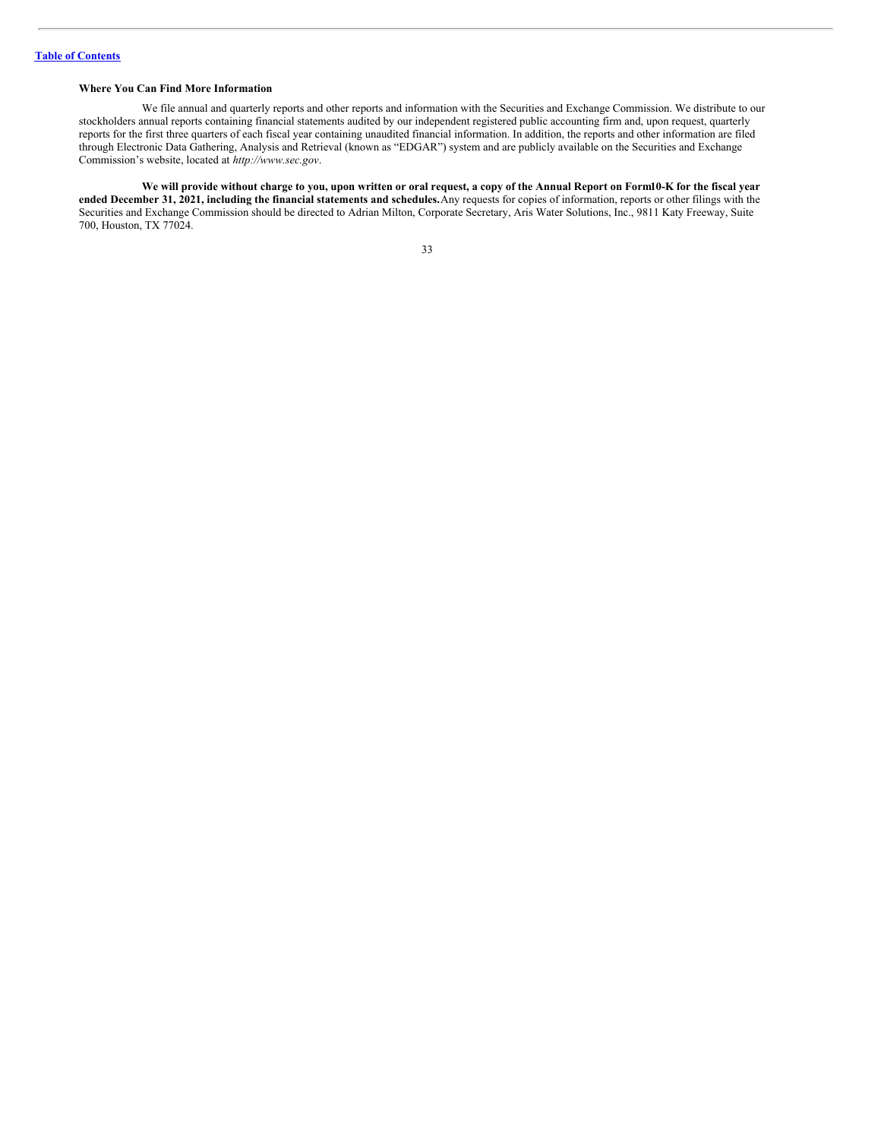# **Where You Can Find More Information**

We file annual and quarterly reports and other reports and information with the Securities and Exchange Commission. We distribute to our stockholders annual reports containing financial statements audited by our independent registered public accounting firm and, upon request, quarterly reports for the first three quarters of each fiscal year containing unaudited financial information. In addition, the reports and other information are filed through Electronic Data Gathering, Analysis and Retrieval (known as "EDGAR") system and are publicly available on the Securities and Exchange Commission's website, located at *http://www.sec.gov*.

We will provide without charge to you, upon written or oral request, a copy of the Annual Report on Form10-K for the fiscal year **ended December 31, 2021, including the financial statements and schedules.**Any requests for copies of information, reports or other filings with the Securities and Exchange Commission should be directed to Adrian Milton, Corporate Secretary, Aris Water Solutions, Inc., 9811 Katy Freeway, Suite 700, Houston, TX 77024.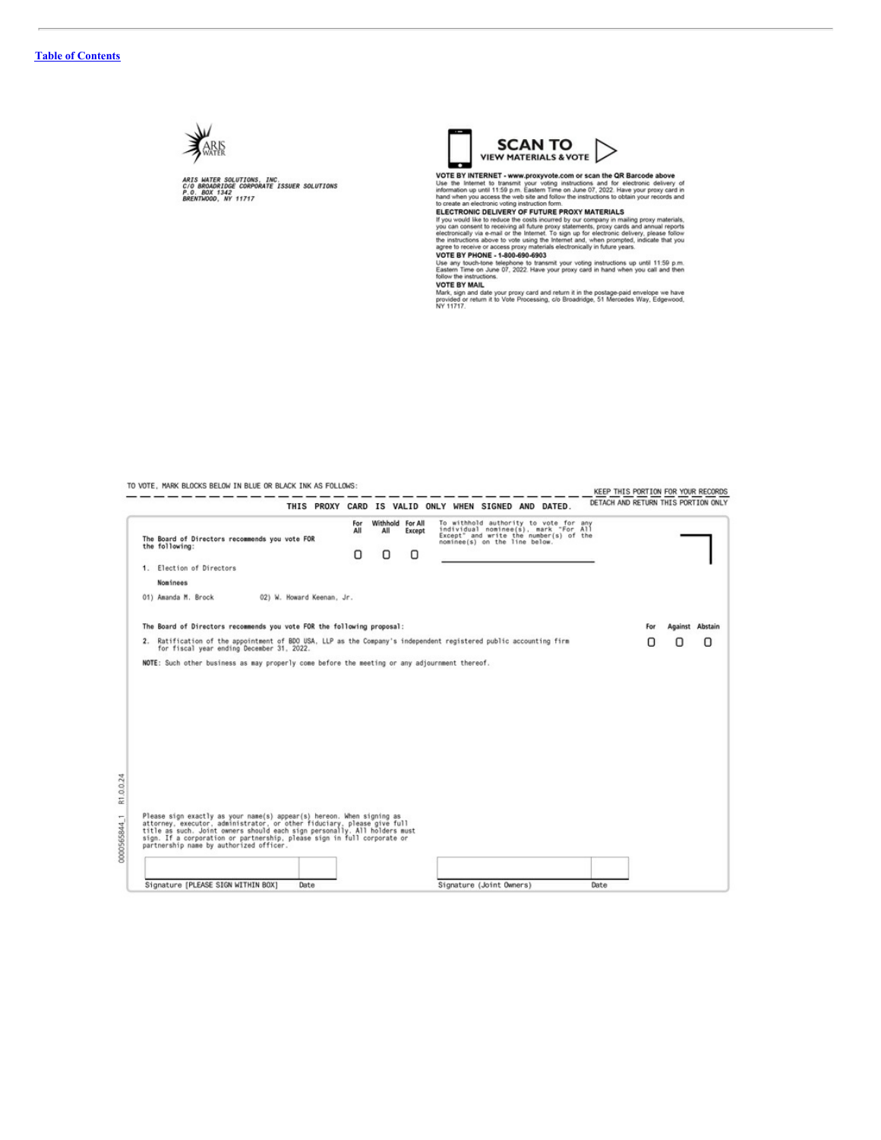

RIS WATER SOLUTIONS, INC.<br>/0 BROADRIDGE CORPORATE ISSUER SOLUTIONS<br>.0. BOX 1342<br>RENTWOOD, NY 11717

TO VOTE, MARK BLOCKS BELOW IN BLUE OR BLACK INK AS FOLLOWS:

-----------

Signature [PLEASE SIGN WITHIN BOX]

Date



VOTE BY INTERNET - www.proxyvote.com or scan the QR Barcode above<br>Use the Internet to transmit your voting instructions and for electronic delivery of<br>information up until 11:59 p.m. Eastern Time on June 07, 2022. Have you

to create an electronic volting instruction form.<br>
ELECTRONIC DELIVERY OF FUTURE PROXY MATERIALS If you would like to reduce the costs incurrent by our company in mailing proxy materials, you can consent to receiving at f

renow the instructions.<br>VOTE BY MAIL<br>Mark, sign and date your proxy card and return it in the postage-paid envelope we have<br>provided or return it to Vote Processing, c/o Broadridge, 51 Mercedes Way, Edgewood,<br>NY 11717.

KEEP THIS PORTION FOR YOUR RECORDS

Withhold For All<br>All Except To withhold authority to vote for any<br>individual nominee(s), mark "For All<br>Except" and write the number(s) of the<br>nominee(s) on the line below. For<br>All The Board of Directors recommends you vote FOR<br>the following:  $\cup$  $\Box$  $\Box$ 1. Election of Directors Nominees 02) W. Howard Keenan, Jr. 01) Amanda M. Brock The Board of Directors recommends you vote FOR the following proposal: For Against Abstain 2. Ratification of the appointment of BDO USA, LLP as the Company's independent registered public accounting firm<br>for fiscal year ending December 31, 2022. O  $\Box$  $\hbox{O}$ NOTE: Such other business as may properly come before the meeting or any adjournment thereof. Please sign exactly as your name(s) appear(s) hereon. When signing as<br>attorney, executor, administrator, or other fiduciary, please give full<br>title as such. Joint owners should each sign personally. All holders must<br>sign.

R1.0.0.24 0000565844 1

Signature (Joint Owners)

Date